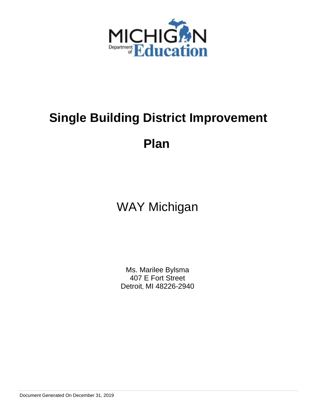

# **Single Building District Improvement**

**Plan** 

## WAY Michigan

Ms. Marilee Bylsma 407 E Fort Street Detroit, MI 48226-2940

Document Generated On December 31, 2019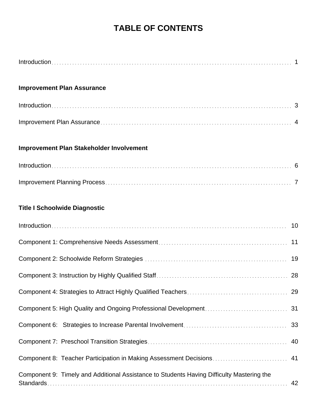## **TABLE OF CONTENTS**

| <b>Improvement Plan Assurance</b>                                                         |    |
|-------------------------------------------------------------------------------------------|----|
|                                                                                           |    |
|                                                                                           |    |
| Improvement Plan Stakeholder Involvement                                                  |    |
|                                                                                           |    |
|                                                                                           |    |
| <b>Title I Schoolwide Diagnostic</b>                                                      |    |
|                                                                                           |    |
|                                                                                           |    |
|                                                                                           | 19 |
|                                                                                           | 28 |
|                                                                                           |    |
|                                                                                           | 31 |
|                                                                                           | 33 |
|                                                                                           | 40 |
|                                                                                           | 41 |
| Component 9: Timely and Additional Assistance to Students Having Difficulty Mastering the | 42 |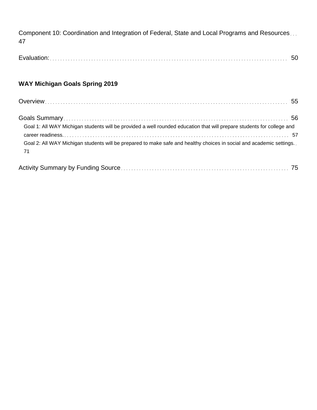Component 10: Coordination and Integration of Federal, State and Local Programs and Resources... 47

Evaluation: 50

## **WAY Michigan Goals Spring 2019**

| Goal 1: All WAY Michigan students will be provided a well rounded education that will prepare students for college and     |  |
|----------------------------------------------------------------------------------------------------------------------------|--|
|                                                                                                                            |  |
| Goal 2: All WAY Michigan students will be prepared to make safe and healthy choices in social and academic settings<br>-71 |  |

|--|--|--|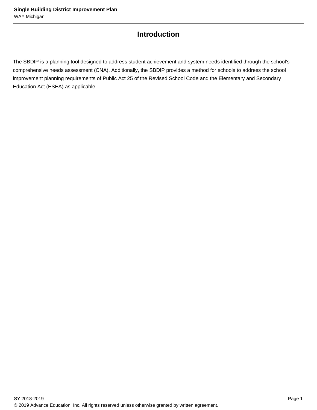## **Introduction**

The SBDIP is a planning tool designed to address student achievement and system needs identified through the school's comprehensive needs assessment (CNA). Additionally, the SBDIP provides a method for schools to address the school improvement planning requirements of Public Act 25 of the Revised School Code and the Elementary and Secondary Education Act (ESEA) as applicable.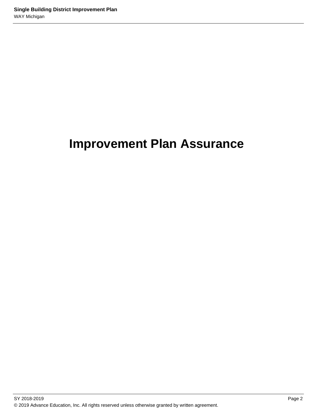## **Improvement Plan Assurance**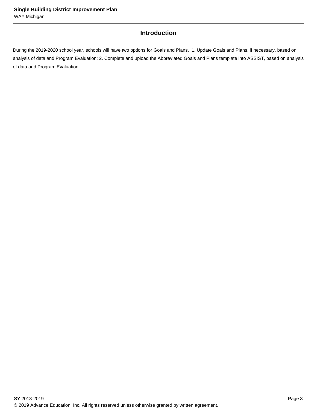## **Introduction**

During the 2019-2020 school year, schools will have two options for Goals and Plans. 1. Update Goals and Plans, if necessary, based on analysis of data and Program Evaluation; 2. Complete and upload the Abbreviated Goals and Plans template into ASSIST, based on analysis of data and Program Evaluation.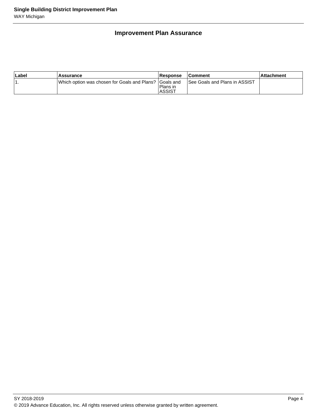## **Improvement Plan Assurance**

| ∣Label | Assurance                                                | Response                  | <b>Comment</b>                       | ∣Attachment |
|--------|----------------------------------------------------------|---------------------------|--------------------------------------|-------------|
|        | IWhich option was chosen for Goals and Plans? IGoals and | Plans in<br><b>ASSIST</b> | <b>See Goals and Plans in ASSIST</b> |             |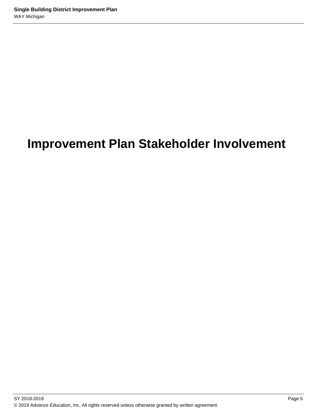## **Improvement Plan Stakeholder Involvement**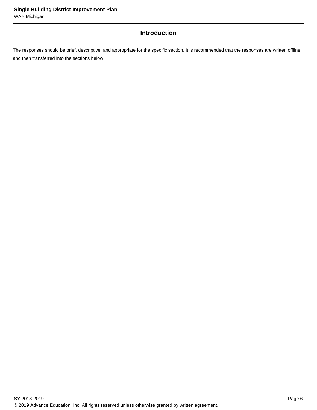## **Introduction**

The responses should be brief, descriptive, and appropriate for the specific section. It is recommended that the responses are written offline and then transferred into the sections below.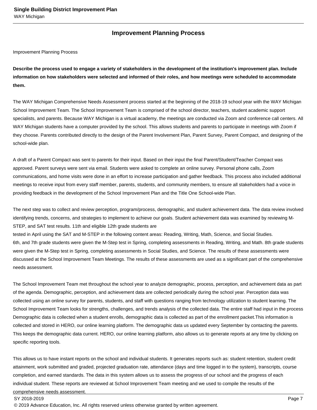### **Improvement Planning Process**

Improvement Planning Process

**Describe the process used to engage a variety of stakeholders in the development of the institution's improvement plan. Include information on how stakeholders were selected and informed of their roles, and how meetings were scheduled to accommodate them.** 

The WAY Michigan Comprehensive Needs Assessment process started at the beginning of the 2018-19 school year with the WAY Michigan School Improvement Team. The School Improvement Team is comprised of the school director, teachers, student academic support specialists, and parents. Because WAY Michigan is a virtual academy, the meetings are conducted via Zoom and conference call centers. All WAY Michigan students have a computer provided by the school. This allows students and parents to participate in meetings with Zoom if they choose. Parents contributed directly to the design of the Parent Involvement Plan, Parent Survey, Parent Compact, and designing of the school-wide plan.

A draft of a Parent Compact was sent to parents for their input. Based on their input the final Parent/Student/Teacher Compact was approved. Parent surveys were sent via email. Students were asked to complete an online survey. Personal phone calls, Zoom communications, and home visits were done in an effort to increase participation and gather feedback. This process also included additional meetings to receive input from every staff member, parents, students, and community members, to ensure all stakeholders had a voice in providing feedback in the development of the School Improvement Plan and the Title One School-wide Plan.

The next step was to collect and review perception, program/process, demographic, and student achievement data. The data review involved identifying trends, concerns, and strategies to implement to achieve our goals. Student achievement data was examined by reviewing M-STEP, and SAT test results. 11th and eligible 12th grade students are

tested in April using the SAT and M-STEP in the following content areas: Reading, Writing, Math, Science, and Social Studies. 6th, and 7th grade students were given the M-Step test in Spring, completing assessments in Reading, Writing, and Math. 8th grade students were given the M-Step test in Spring, completing assessments in Social Studies, and Science. The results of these assessments were discussed at the School Improvement Team Meetings. The results of these assessments are used as a significant part of the comprehensive needs assessment.

The School Improvement Team met throughout the school year to analyze demographic, process, perception, and achievement data as part of the agenda. Demographic, perception, and achievement data are collected periodically during the school year. Perception data was collected using an online survey for parents, students, and staff with questions ranging from technology utilization to student learning. The School Improvement Team looks for strengths, challenges, and trends analysis of the collected data. The entire staff had input in the process Demographic data is collected when a student enrolls, demographic data is collected as part of the enrollment packet.This information is collected and stored in HERO, our online learning platform. The demographic data us updated every September by contacting the parents. This keeps the demographic data current. HERO, our online learning platform, also allows us to generate reports at any time by clicking on specific reporting tools.

This allows us to have instant reports on the school and individual students. It generates reports such as: student retention, student credit attainment, work submitted and graded, projected graduation rate, attendance (days and time logged in to the system), transcripts, course completion, and earned standards. The data in this system allows us to assess the progress of our school and the progress of each individual student. These reports are reviewed at School Improvement Team meeting and we used to compile the results of the comprehensive needs assessment.

#### SY 2018-2019 Page 7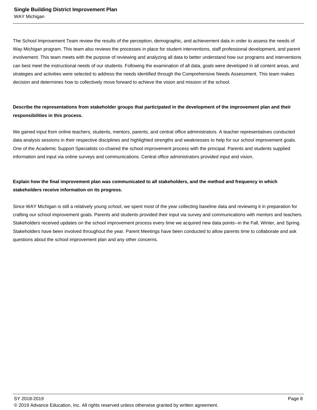The School Improvement Team review the results of the perception, demographic, and achievement data in order to assess the needs of Way Michigan program. This team also reviews the processes in place for student interventions, staff professional development, and parent involvement. This team meets with the purpose of reviewing and analyzing all data to better understand how our programs and interventions can best meet the instructional needs of our students. Following the examination of all data, goals were developed in all content areas, and strategies and activities were selected to address the needs identified through the Comprehensive Needs Assessment. This team makes decision and determines how to collectively move forward to achieve the vision and mission of the school.

## **Describe the representations from stakeholder groups that participated in the development of the improvement plan and their responsibilities in this process.**

We gained input from online teachers, students, mentors, parents, and central office administrators. A teacher representatives conducted data analysis sessions in their respective disciplines and highlighted strengths and weaknesses to help for our school improvement goals. One of the Academic Support Specialists co-chaired the school improvement process with the principal. Parents and students supplied information and input via online surveys and communications. Central office administrators provided input and vision.

## **Explain how the final improvement plan was communicated to all stakeholders, and the method and frequency in which stakeholders receive information on its progress.**

Since WAY Michigan is still a relatively young school, we spent most of the year collecting baseline data and reviewing it in preparation for crafting our school improvement goals. Parents and students provided their input via survey and communications with mentors and teachers. Stakeholders received updates on the school improvement process every time we acquired new data points--in the Fall, Winter, and Spring. Stakeholders have been involved throughout the year. Parent Meetings have been conducted to allow parents time to collaborate and ask questions about the school improvement plan and any other concerns.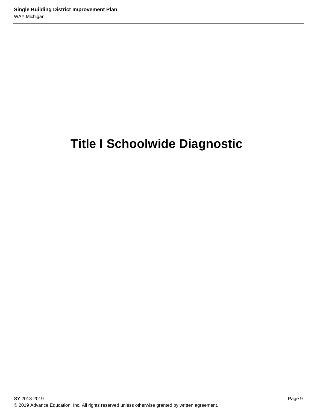## **Title I Schoolwide Diagnostic**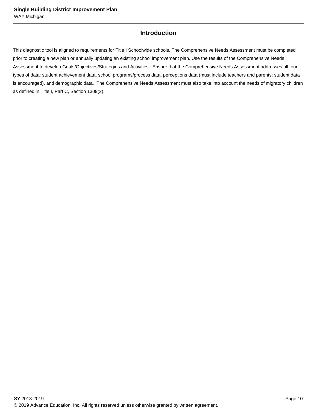## **Introduction**

This diagnostic tool is aligned to requirements for Title I Schoolwide schools. The Comprehensive Needs Assessment must be completed prior to creating a new plan or annually updating an existing school improvement plan. Use the results of the Comprehensive Needs Assessment to develop Goals/Objectives/Strategies and Activities. Ensure that the Comprehensive Needs Assessment addresses all four types of data: student achievement data, school programs/process data, perceptions data (must include teachers and parents; student data is encouraged), and demographic data. The Comprehensive Needs Assessment must also take into account the needs of migratory children as defined in Title I, Part C, Section 1309(2).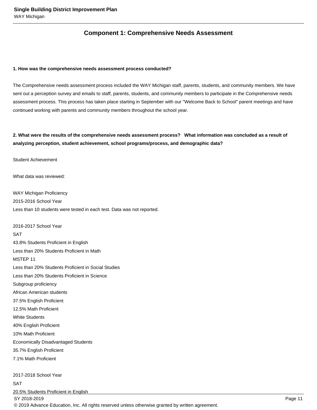## **Component 1: Comprehensive Needs Assessment**

#### **1. How was the comprehensive needs assessment process conducted?**

The Comprehensive needs assessment process included the WAY Michigan staff, parents, students, and community members. We have sent out a perception survey and emails to staff, parents, students, and community members to participate in the Comprehensive needs assessment process. This process has taken place starting in September with our "Welcome Back to School" parent meetings and have continued working with parents and community members throughout the school year.

## **2. What were the results of the comprehensive needs assessment process? What information was concluded as a result of analyzing perception, student achievement, school programs/process, and demographic data?**

Student Achievement

 What data was reviewed:

 WAY Michigan Proficiency 2015-2016 School Year Less than 10 students were tested in each test. Data was not reported.

 2016-2017 School Year **SAT** 43.8% Students Proficient in English Less than 20% Students Proficient in Math MSTEP 11 Less than 20% Students Proficient in Social Studies Less than 20% Students Proficient in Science Subgroup proficiency African American students 37.5% English Proficient 12.5% Math Proficient White Students 40% English Proficient 10% Math Proficient Economically Disadvantaged Students 35.7% English Proficient 7.1% Math Proficient 2017-2018 School Year SAT 20.5% Students Proficient in English SY 2018-2019 Page 11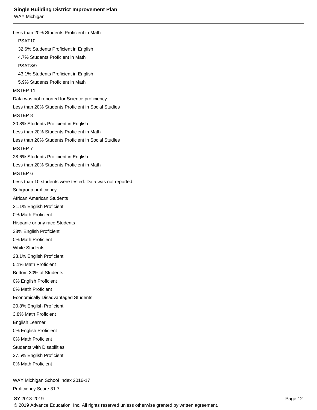Less than 20% Students Proficient in Math PSAT10 32.6% Students Proficient in English 4.7% Students Proficient in Math PSAT8/9 43.1% Students Proficient in English 5.9% Students Proficient in Math MSTEP 11 Data was not reported for Science proficiency. Less than 20% Students Proficient in Social Studies MSTEP 8 30.8% Students Proficient in English Less than 20% Students Proficient in Math Less than 20% Students Proficient in Social Studies MSTEP 7 28.6% Students Proficient in English Less than 20% Students Proficient in Math MSTEP 6 Less than 10 students were tested. Data was not reported. Subgroup proficiency African American Students 21.1% English Proficient 0% Math Proficient Hispanic or any race Students 33% English Proficient 0% Math Proficient White Students 23.1% English Proficient 5.1% Math Proficient Bottom 30% of Students 0% English Proficient 0% Math Proficient Economically Disadvantaged Students 20.8% English Proficient 3.8% Math Proficient English Learner 0% English Proficient 0% Math Proficient Students with Disabilities 37.5% English Proficient 0% Math Proficient

 WAY Michigan School Index 2016-17

 Proficiency Score 31.7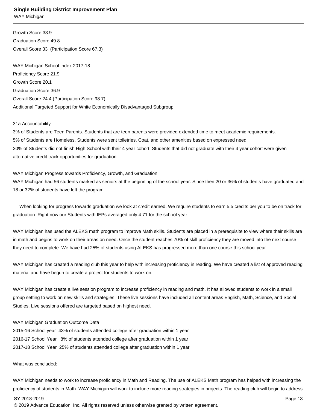Growth Score 33.9 Graduation Score 49.8 Overall Score 33 (Participation Score 67.3)

 WAY Michigan School Index 2017-18 Proficiency Score 21.9 Growth Score 20.1 Graduation Score 36.9 Overall Score 24.4 (Participation Score 98.7) Additional Targeted Support for White Economically Disadvantaged Subgroup

#### 31a Accountability

 3% of Students are Teen Parents. Students that are teen parents were provided extended time to meet academic requirements. 5% of Students are Homeless. Students were sent toiletries, Coat, and other amenities based on expressed need. 20% of Students did not finish High School with their 4 year cohort. Students that did not graduate with their 4 year cohort were given alternative credit track opportunities for graduation.

#### WAY Michigan Progress towards Proficiency, Growth, and Graduation

 WAY Michigan had 56 students marked as seniors at the beginning of the school year. Since then 20 or 36% of students have graduated and 18 or 32% of students have left the program.

 When looking for progress towards graduation we look at credit earned. We require students to earn 5.5 credits per you to be on track for graduation. Right now our Students with IEPs averaged only 4.71 for the school year.

 WAY Michigan has used the ALEKS math program to improve Math skills. Students are placed in a prerequisite to view where their skills are in math and begins to work on their areas on need. Once the student reaches 70% of skill proficiency they are moved into the next course they need to complete. We have had 25% of students using ALEKS has progressed more than one course this school year.

 WAY Michigan has created a reading club this year to help with increasing proficiency in reading. We have created a list of approved reading material and have begun to create a project for students to work on.

 WAY Michigan has create a live session program to increase proficiency in reading and math. It has allowed students to work in a small group setting to work on new skills and strategies. These live sessions have included all content areas English, Math, Science, and Social Studies. Live sessions offered are targeted based on highest need.

#### WAY Michigan Graduation Outcome Data

 2015-16 School year 43% of students attended college after graduation within 1 year 2016-17 School Year 8% of students attended college after graduation within 1 year 2017-18 School Year 25% of students attended college after graduation within 1 year

 What was concluded:

 WAY Michigan needs to work to increase proficiency in Math and Reading. The use of ALEKS Math program has helped with increasing the proficiency of students in Math. WAY Michigan will work to include more reading strategies in projects. The reading club will begin to address

SY 2018-2019 Page 13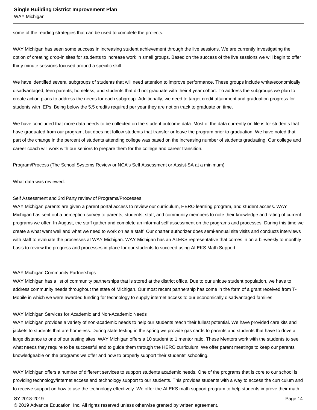some of the reading strategies that can be used to complete the projects.

 WAY Michigan has seen some success in increasing student achievement through the live sessions. We are currently investigating the option of creating drop-in sites for students to increase work in small groups. Based on the success of the live sessions we will begin to offer thirty minute sessions focused around a specific skill.

We have identified several subgroups of students that will need attention to improve performance. These groups include white/economically disadvantaged, teen parents, homeless, and students that did not graduate with their 4 year cohort. To address the subgroups we plan to create action plans to address the needs for each subgroup. Additionally, we need to target credit attainment and graduation progress for students with IEPs. Being below the 5.5 credits required per year they are not on track to graduate on time.

We have concluded that more data needs to be collected on the student outcome data. Most of the data currently on file is for students that have graduated from our program, but does not follow students that transfer or leave the program prior to graduation. We have noted that part of the change in the percent of students attending college was based on the increasing number of students graduating. Our college and career coach will work with our seniors to prepare them for the college and career transition. 

Program/Process (The School Systems Review or NCA's Self Assessment or Assist-SA at a minimum)

#### What data was reviewed:

#### Self Assessment and 3rd Party review of Programs/Processes

 WAY Michigan parents are given a parent portal access to review our curriculum, HERO learning program, and student access. WAY Michigan has sent out a perception survey to parents, students, staff, and community members to note their knowledge and rating of current programs we offer. In August, the staff gather and complete an informal self assessment on the programs and processes. During this time we create a what went well and what we need to work on as a staff. Our charter authorizer does semi-annual site visits and conducts interviews with staff to evaluate the processes at WAY Michigan. WAY Michigan has an ALEKS representative that comes in on a bi-weekly to monthly basis to review the progress and processes in place for our students to succeed using ALEKS Math Support.

#### WAY Michigan Community Partnerships

WAY Michigan has a list of community partnerships that is stored at the district office. Due to our unique student population, we have to address community needs throughout the state of Michigan. Our most recent partnership has come in the form of a grant received from T-Mobile in which we were awarded funding for technology to supply internet access to our economically disadvantaged families.

#### WAY Michigan Services for Academic and Non-Academic Needs

 WAY Michigan provides a variety of non-academic needs to help our students reach their fullest potential. We have provided care kits and jackets to students that are homeless. During state testing in the spring we provide gas cards to parents and students that have to drive a large distance to one of our testing sites. WAY Michigan offers a 10 student to 1 mentor ratio. These Mentors work with the students to see what needs they require to be successful and to guide them through the HERO curriculum. We offer parent meetings to keep our parents knowledgeable on the programs we offer and how to properly support their students' schooling.

 WAY Michigan offers a number of different services to support students academic needs. One of the programs that is core to our school is providing technology/internet access and technology support to our students. This provides students with a way to access the curriculum and to receive support on how to use the technology effectively. We offer the ALEKS math support program to help students improve their math

SY 2018-2019 Page 14

<sup>© 2019</sup> Advance Education, Inc. All rights reserved unless otherwise granted by written agreement.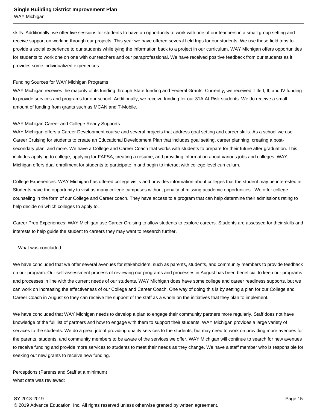#### **Single Building District Improvement Plan**

WAY Michigan

skills. Additionally, we offer live sessions for students to have an opportunity to work with one of our teachers in a small group setting and receive support on working through our projects. This year we have offered several field trips for our students. We use these field trips to provide a social experience to our students while tying the information back to a project in our curriculum. WAY Michigan offers opportunities for students to work one on one with our teachers and our paraprofessional. We have received positive feedback from our students as it provides some individualized experiences.

#### Funding Sources for WAY Michigan Programs

WAY Michigan receives the majority of its funding through State funding and Federal Grants. Currently, we received Title I, II, and IV funding to provide services and programs for our school. Additionally, we receive funding for our 31A At-Risk students. We do receive a small amount of funding from grants such as MCAN and T-Mobile.

#### WAY Michigan Career and College Ready Supports

 WAY Michigan offers a Career Development course and several projects that address goal setting and career skills. As a school we use Career Cruising for students to create an Educational Development Plan that includes goal setting, career planning, creating a postsecondary plan, and more. We have a College and Career Coach that works with students to prepare for their future after graduation. This includes applying to college, applying for FAFSA, creating a resume, and providing information about various jobs and colleges. WAY Michigan offers dual enrollment for students to participate in and begin to interact with college level curriculum.

 College Experiences: WAY Michigan has offered college visits and provides information about colleges that the student may be interested in. Students have the opportunity to visit as many college campuses without penalty of missing academic opportunities. We offer college counseling in the form of our College and Career coach. They have access to a program that can help determine their admissions rating to help decide on which colleges to apply to.

 Career Prep Experiences: WAY Michigan use Career Cruising to allow students to explore careers. Students are assessed for their skills and interests to help guide the student to careers they may want to research further.

#### What was concluded:

 We have concluded that we offer several avenues for stakeholders, such as parents, students, and community members to provide feedback on our program. Our self-assessment process of reviewing our programs and processes in August has been beneficial to keep our programs and processes in line with the current needs of our students. WAY Michigan does have some college and career readiness supports, but we can work on increasing the effectiveness of our College and Career Coach. One way of doing this is by setting a plan for our College and Career Coach in August so they can receive the support of the staff as a whole on the initiatives that they plan to implement.

 We have concluded that WAY Michigan needs to develop a plan to engage their community partners more regularly. Staff does not have knowledge of the full list of partners and how to engage with them to support their students. WAY Michigan provides a large variety of services to the students. We do a great job of providing quality services to the students, but may need to work on providing more avenues for the parents, students, and community members to be aware of the services we offer. WAY Michigan will continue to search for new avenues to receive funding and provide more services to students to meet their needs as they change. We have a staff member who is responsible for seeking out new grants to receive new funding.

 Perceptions (Parents and Staff at a minimum) What data was reviewed: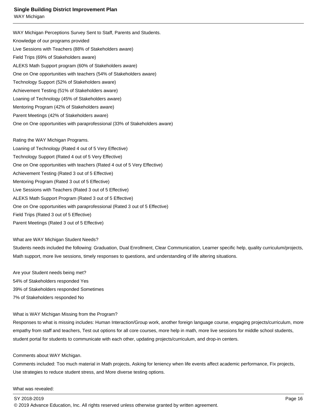#### **Single Building District Improvement Plan**

WAY Michigan

 WAY Michigan Perceptions Survey Sent to Staff, Parents and Students. Knowledge of our programs provided Live Sessions with Teachers (88% of Stakeholders aware) Field Trips (69% of Stakeholders aware) ALEKS Math Support program (60% of Stakeholders aware) One on One opportunities with teachers (54% of Stakeholders aware) Technology Support (52% of Stakeholders aware) Achievement Testing (51% of Stakeholders aware) Loaning of Technology (45% of Stakeholders aware) Mentoring Program (42% of Stakeholders aware) Parent Meetings (42% of Stakeholders aware) One on One opportunities with paraprofessional (33% of Stakeholders aware)

 Rating the WAY Michigan Programs.

Loaning of Technology (Rated 4 out of 5 Very Effective) Technology Support (Rated 4 out of 5 Very Effective) One on One opportunities with teachers (Rated 4 out of 5 Very Effective) Achievement Testing (Rated 3 out of 5 Effective) Mentoring Program (Rated 3 out of 5 Effective) Live Sessions with Teachers (Rated 3 out of 5 Effective) ALEKS Math Support Program (Rated 3 out of 5 Effective) One on One opportunities with paraprofessional (Rated 3 out of 5 Effective) Field Trips (Rated 3 out of 5 Effective) Parent Meetings (Rated 3 out of 5 Effective)

 What are WAY Michigan Student Needs?

 Students needs included the following: Graduation, Dual Enrollment, Clear Communication, Learner specific help, quality curriculum/projects, Math support, more live sessions, timely responses to questions, and understanding of life altering situations.

 Are your Student needs being met? 54% of Stakeholders responded Yes 39% of Stakeholders responded Sometimes 7% of Stakeholders responded No

 What is WAY Michigan Missing from the Program?

 Responses to what is missing includes: Human Interaction/Group work, another foreign language course, engaging projects/curriculum, more empathy from staff and teachers, Test out options for all core courses, more help in math, more live sessions for middle school students, student portal for students to communicate with each other, updating projects/curriculum, and drop-in centers.

 Comments about WAY Michigan.

 Comments included: Too much material in Math projects, Asking for leniency when life events affect academic performance, Fix projects, Use strategies to reduce student stress, and More diverse testing options.

 What was revealed: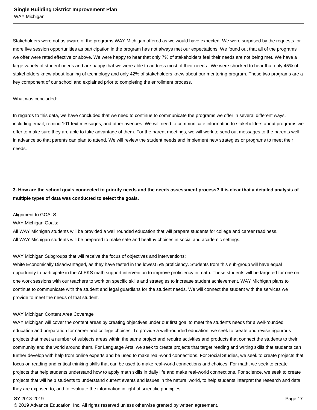Stakeholders were not as aware of the programs WAY Michigan offered as we would have expected. We were surprised by the requests for more live session opportunities as participation in the program has not always met our expectations. We found out that all of the programs we offer were rated effective or above. We were happy to hear that only 7% of stakeholders feel their needs are not being met. We have a large variety of student needs and are happy that we were able to address most of their needs. We were shocked to hear that only 45% of stakeholders knew about loaning of technology and only 42% of stakeholders knew about our mentoring program. These two programs are a key component of our school and explained prior to completing the enrollment process.

#### What was concluded:

 In regards to this data, we have concluded that we need to continue to communicate the programs we offer in several different ways, including email, remind 101 text messages, and other avenues. We will need to communicate information to stakeholders about programs we offer to make sure they are able to take advantage of them. For the parent meetings, we will work to send out messages to the parents well in advance so that parents can plan to attend. We will review the student needs and implement new strategies or programs to meet their needs.

**3. How are the school goals connected to priority needs and the needs assessment process? It is clear that a detailed analysis of multiple types of data was conducted to select the goals.**

#### Alignment to GOALS

 WAY Michigan Goals:

All WAY Michigan students will be provided a well rounded education that will prepare students for college and career readiness. All WAY Michigan students will be prepared to make safe and healthy choices in social and academic settings.

 WAY Michigan Subgroups that will receive the focus of objectives and interventions:

 White Economically Disadvantaged, as they have tested in the lowest 5% proficiency. Students from this sub-group will have equal opportunity to participate in the ALEKS math support intervention to improve proficiency in math. These students will be targeted for one on one work sessions with our teachers to work on specific skills and strategies to increase student achievement. WAY Michigan plans to continue to communicate with the student and legal guardians for the student needs. We will connect the student with the services we provide to meet the needs of that student.

#### WAY Michigan Content Area Coverage

 WAY Michigan will cover the content areas by creating objectives under our first goal to meet the students needs for a well-rounded education and preparation for career and college choices. To provide a well-rounded education, we seek to create and revise rigourous projects that meet a number of subjects areas within the same project and require activities and products that connect the students to their community and the world around them. For Language Arts, we seek to create projects that target reading and writing skills that students can further develop with help from online experts and be used to make real-world connections. For Social Studies, we seek to create projects that focus on reading and critical thinking skills that can be used to make real-world connections and choices. For math, we seek to create projects that help students understand how to apply math skills in daily life and make real-world connections. For science, we seek to create projects that will help students to understand current events and issues in the natural world, to help students interpret the research and data they are exposed to, and to evaluate the information in light of scientific principles.

#### SY 2018-2019 Page 17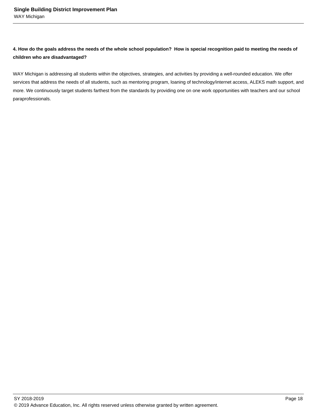**4. How do the goals address the needs of the whole school population? How is special recognition paid to meeting the needs of children who are disadvantaged?**

WAY Michigan is addressing all students within the objectives, strategies, and activities by providing a well-rounded education. We offer services that address the needs of all students, such as mentoring program, loaning of technology/internet access, ALEKS math support, and more. We continuously target students farthest from the standards by providing one on one work opportunities with teachers and our school paraprofessionals.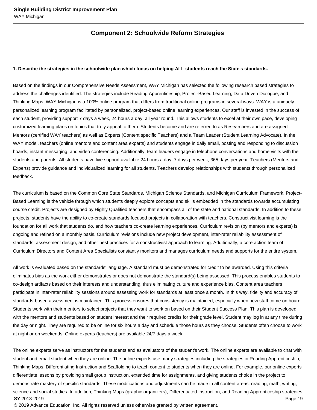## **Component 2: Schoolwide Reform Strategies**

#### **1. Describe the strategies in the schoolwide plan which focus on helping ALL students reach the State's standards.**

Based on the findings in our Comprehensive Needs Assessment, WAY Michigan has selected the following research based strategies to address the challenges identified. The strategies include Reading Apprenticeship, Project-Based Learning, Data Driven Dialogue, and Thinking Maps. WAY-Michigan is a 100% online program that differs from traditional online programs in several ways. WAY is a uniquely personalized learning program facilitated by personalized, project-based online learning experiences. Our staff is invested in the success of each student, providing support 7 days a week, 24 hours a day, all year round. This allows students to excel at their own pace, developing customized learning plans on topics that truly appeal to them. Students become and are referred to as Researchers and are assigned Mentors (certified WAY teachers) as well as Experts (Content specific Teachers) and a Team Leader (Student Learning Advocate). In the WAY model, teachers (online mentors and content area experts) and students engage in daily email, posting and responding to discussion boards, instant messaging, and video conferencing. Additionally, team leaders engage in telephone conversations and home visits with the students and parents. All students have live support available 24 hours a day, 7 days per week, 365 days per year. Teachers (Mentors and Experts) provide guidance and individualized learning for all students. Teachers develop relationships with students through personalized feedback.

The curriculum is based on the Common Core State Standards, Michigan Science Standards, and Michigan Curriculum Framework. Project-Based Learning is the vehicle through which students deeply explore concepts and skills embedded in the standards towards accumulating course credit. Projects are designed by Highly Qualified teachers that encompass all of the state and national standards. In addition to these projects, students have the ability to co-create standards focused projects in collaboration with teachers. Constructivist learning is the foundation for all work that students do, and how teachers co-create learning experiences. Curriculum revision (by mentors and experts) is ongoing and refined on a monthly basis. Curriculum revisions include new project development, inter-rater reliability assessment of standards, assessment design, and other best practices for a constructivist approach to learning. Additionally, a core action team of Curriculum Directors and Content Area Specialists constantly monitors and manages curriculum needs and supports for the entire system.

All work is evaluated based on the standards' language. A standard must be demonstrated for credit to be awarded. Using this criteria eliminates bias as the work either demonstrates or does not demonstrate the standard(s) being assessed. This process enables students to co-design artifacts based on their interests and understanding, thus eliminating culture and experience bias. Content area teachers participate in inter-rater reliability sessions around assessing work for standards at least once a month. In this way, fidelity and accuracy of standards-based assessment is maintained. This process ensures that consistency is maintained, especially when new staff come on board. Students work with their mentors to select projects that they want to work on based on their Student Success Plan. This plan is developed with the mentors and students based on student interest and their required credits for their grade level. Student may log in at any time during the day or night. They are required to be online for six hours a day and schedule those hours as they choose. Students often choose to work at night or on weekends. Online experts (teachers) are available 24/7 days a week.

The online experts serve as instructors for the students and as evaluators of the student's work. The online experts are available to chat with student and email student when they are online. The online experts use many strategies including the strategies in Reading Apprenticeship, Thinking Maps, Differentiating Instruction and Scaffolding to teach content to students when they are online. For example, our online experts differentiate lessons by providing small group instruction, extended time for assignments, and giving students choice in the project to demonstrate mastery of specific standards. These modifications and adjustments can be made in all content areas: reading, math, writing, science and social studies. In addition, Thinking Maps (graphic organizers), Differentiated Instruction, and Reading Apprenticeship strategies SY 2018-2019 Page 19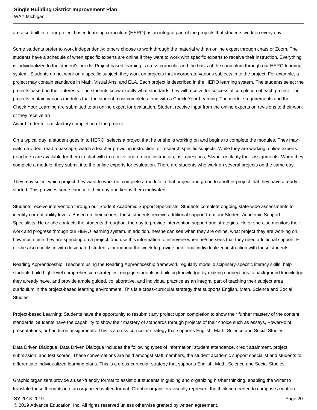are also built in to our project based learning curriculum (HERO) as an integral part of the projects that students work on every day.

Some students prefer to work independently; others choose to work through the material with an online expert through chats or Zoom. The students have a schedule of when specific experts are online if they want to work with specific experts to receive their instruction. Everything is individualized to the student's needs. Project based learning is cross-curricular and the basis of the curriculum through our HERO learning system. Students do not work on a specific subject; they work on projects that incorporate various subjects in to the project. For example, a project may contain standards in Math, Visual Arts, and ELA. Each project is described in the HERO learning system. The students select the projects based on their interests. The students know exactly what standards they will receive for successful completion of each project. The projects contain various modules that the student must complete along with a Check Your Learning. The module requirements and the Check Your Learning are submitted to an online expert for evaluation. Student receive input from the online experts on revisions to their work or they receive an 

Award Letter for satisfactory completion of the project.

On a typical day, a student goes in to HERO, selects a project that he or she is working on and begins to complete the modules. They may watch a video, read a passage, watch a teacher providing instruction, or research specific subjects. While they are working, online experts (teachers) are available for them to chat with to receive one-on-one instruction, ask questions, Skype, or clarify their assignments. When they complete a module, they submit it to the online experts for evaluation. There are students who work on several projects on the same day.

They may select which project they want to work on, complete a module in that project and go on to another project that they have already started. This provides some variety to their day and keeps them motivated.

Students receive intervention through our Student Academic Support Specialists. Students complete ongoing state-wide assessments to identify current ability levels. Based on their scores, these students receive additional support from our Student Academic Support Specialists. He or she contacts the students throughout the day to provide intervention support and strategies. He or she also monitors their work and progress through our HERO learning system. In addition, he/she can see when they are online, what project they are working on, how much time they are spending on a project, and use this information to intervene when he/she sees that they need additional support. H or she also checks in with designated students throughout the week to provide additional individualized instruction with these students.

Reading Apprenticeship: Teachers using the Reading Apprenticeship framework regularly model disciplinary-specific literacy skills, help students build high-level comprehension strategies, engage students in building knowledge by making connections to background knowledge they already have, and provide ample guided, collaborative, and individual practice as an integral part of teaching their subject area curriculum in the project-based learning environment. This is a cross-curricular strategy that supports English, Math, Science and Social Studies.

Project-based Learning: Students have the opportunity to resubmit any project upon completion to show their further mastery of the content standards. Students have the capability to show their mastery of standards through projects of their choice such as essays, PowerPoint presentations, or hands-on assignments. This is a cross-curricular strategy that supports English, Math, Science and Social Studies.

Data Driven Dialogue: Data Driven Dialogue includes the following types of information: student attendance, credit attainment, project submission, and test scores. These conversations are held amongst staff members, the student academic support specialist and students to differentiate individualized learning plans. This is a cross-curricular strategy that supports English, Math, Science and Social Studies.

Graphic organizers provide a user-friendly format to assist our students in guiding and organizing his/her thinking, enabling the writer to translate those thoughts into an organized written format. Graphic organizers visually represent the thinking needed to compose a written

SY 2018-2019 Page 20

<sup>© 2019</sup> Advance Education, Inc. All rights reserved unless otherwise granted by written agreement.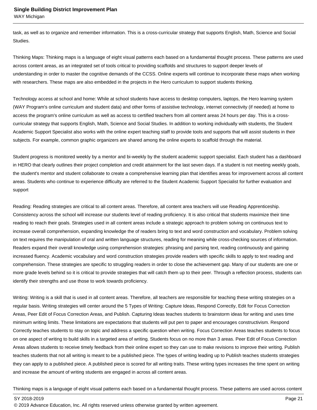task, as well as to organize and remember information. This is a cross-curricular strategy that supports English, Math, Science and Social Studies.

Thinking Maps: Thinking maps is a language of eight visual patterns each based on a fundamental thought process. These patterns are used across content areas, as an integrated set of tools critical to providing scaffolds and structures to support deeper levels of understanding in order to master the cognitive demands of the CCSS. Online experts will continue to incorporate these maps when working with researchers. These maps are also embedded in the projects in the Hero curriculum to support students thinking.

Technology access at school and home: While at school students have access to desktop computers, laptops, the Hero learning system (WAY Program's online curriculum and student data) and other forms of assistive technology, internet connectivity (if needed) at home to access the program's online curriculum as well as access to certified teachers from all content areas 24 hours per day. This is a crosscurricular strategy that supports English, Math, Science and Social Studies. In addition to working individually with students, the Student Academic Support Specialist also works with the online expert teaching staff to provide tools and supports that will assist students in their subjects. For example, common graphic organizers are shared among the online experts to scaffold through the material.

Student progress is monitored weekly by a mentor and bi-weekly by the student academic support specialist. Each student has a dashboard in HERO that clearly outlines their project completion and credit attainment for the last seven days. If a student is not meeting weekly goals, the student's mentor and student collaborate to create a comprehensive learning plan that identifies areas for improvement across all content areas. Students who continue to experience difficulty are referred to the Student Academic Support Specialist for further evaluation and support

Reading: Reading strategies are critical to all content areas. Therefore, all content area teachers will use Reading Apprenticeship. Consistency across the school will increase our students level of reading proficiency. It is also critical that students maximize their time reading to reach their goals. Strategies used in all content areas include a strategic approach to problem solving on continuous text to increase overall comprehension, expanding knowledge the of readers bring to text and word construction and vocabulary. Problem solving on text requires the manipulation of oral and written language structures, reading for meaning while cross-checking sources of information. Readers expand their overall knowledge using comprehension strategies: phrasing and parsing text, reading continuously and gaining increased fluency. Academic vocabulary and word construction strategies provide readers with specific skills to apply to text reading and comprehension. These strategies are specific to struggling readers in order to close the achievement gap. Many of our students are one or more grade levels behind so it is critical to provide strategies that will catch them up to their peer. Through a reflection process, students can identify their strengths and use those to work towards proficiency.

Writing: Writing is a skill that is used in all content areas. Therefore, all teachers are responsible for teaching these writing strategies on a regular basis. Writing strategies will center around the 5 Types of Writing: Capture Ideas, Respond Correctly, Edit for Focus Correction Areas, Peer Edit of Focus Correction Areas, and Publish. Capturing Ideas teaches students to brainstorm ideas for writing and uses time minimum writing limits. These limitations are expectations that students will put pen to paper and encourages constructivism. Respond Correctly teaches students to stay on topic and address a specific question when writing. Focus Correction Areas teaches students to focus on one aspect of writing to build skills in a targeted area of writing. Students focus on no more than 3 areas. Peer Edit of Focus Correction Areas allows students to receive timely feedback from their online expert so they can use to make revisions to improve their writing. Publish teaches students that not all writing is meant to be a published piece. The types of writing leading up to Publish teaches students strategies they can apply to a published piece. A published piece is scored for all writing traits. These writing types increases the time spent on writing and increase the amount of writing students are engaged in across all content areas.

Thinking maps is a language of eight visual patterns each based on a fundamental thought process. These patterns are used across content

SY 2018-2019 Page 21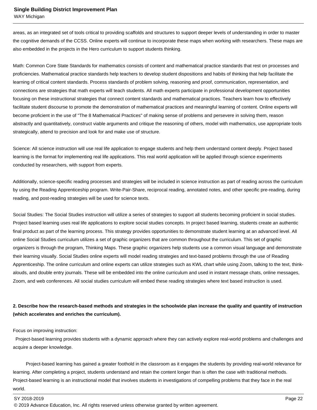#### **Single Building District Improvement Plan**

WAY Michigan

areas, as an integrated set of tools critical to providing scaffolds and structures to support deeper levels of understanding in order to master the cognitive demands of the CCSS. Online experts will continue to incorporate these maps when working with researchers. These maps are also embedded in the projects in the Hero curriculum to support students thinking. 

Math: Common Core State Standards for mathematics consists of content and mathematical practice standards that rest on processes and proficiencies. Mathematical practice standards help teachers to develop student dispositions and habits of thinking that help facilitate the learning of critical content standards. Process standards of problem solving, reasoning and proof, communication, representation, and connections are strategies that math experts will teach students. All math experts participate in professional development opportunities focusing on these instructional strategies that connect content standards and mathematical practices. Teachers learn how to effectively facilitate student discourse to promote the demonstration of mathematical practices and meaningful learning of content. Online experts will become proficient in the use of "The 8 Mathematical Practices" of making sense of problems and persevere in solving them, reason abstractly and quantitatively, construct viable arguments and critique the reasoning of others, model with mathematics, use appropriate tools strategically, attend to precision and look for and make use of structure.

Science: All science instruction will use real life application to engage students and help them understand content deeply. Project based learning is the format for implementing real life applications. This real world application will be applied through science experiments conducted by researchers, with support from experts.

Additionally, science-specific reading processes and strategies will be included in science instruction as part of reading across the curriculum by using the Reading Apprenticeship program. Write-Pair-Share, reciprocal reading, annotated notes, and other specific pre-reading, during reading, and post-reading strategies will be used for science texts.

Social Studies: The Social Studies instruction will utilize a series of strategies to support all students becoming proficient in social studies. Project based learning uses real life applications to explore social studies concepts. In project based learning, students create an authentic final product as part of the learning process. This strategy provides opportunities to demonstrate student learning at an advanced level. All online Social Studies curriculum utilizes a set of graphic organizers that are common throughout the curriculum. This set of graphic organizers is through the program, Thinking Maps. These graphic organizers help students use a common visual language and demonstrate their learning visually. Social Studies online experts will model reading strategies and text-based problems through the use of Reading Apprenticeship. The online curriculum and online experts can utilize strategies such as KWL chart while using Zoom, talking to the text, thinkalouds, and double entry journals. These will be embedded into the online curriculum and used in instant message chats, online messages, Zoom, and web conferences. All social studies curriculum will embed these reading strategies where text based instruction is used.

### **2. Describe how the research-based methods and strategies in the schoolwide plan increase the quality and quantity of instruction (which accelerates and enriches the curriculum).**

Focus on improving instruction:

 Project-based learning provides students with a dynamic approach where they can actively explore real-world problems and challenges and acquire a deeper knowledge.

 Project-based learning has gained a greater foothold in the classroom as it engages the students by providing real-world relevance for learning. After completing a project, students understand and retain the content longer than is often the case with traditional methods. Project-based learning is an instructional model that involves students in investigations of compelling problems that they face in the real world. 

<sup>© 2019</sup> Advance Education, Inc. All rights reserved unless otherwise granted by written agreement.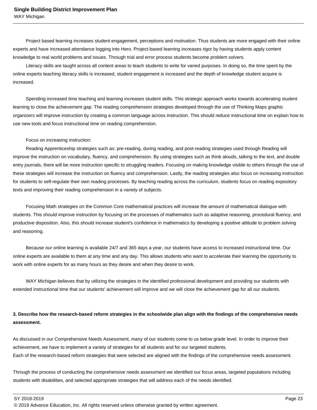Project based learning increases student engagement, perceptions and motivation. Thus students are more engaged with their online experts and have increased attendance logging into Hero. Project-based learning increases rigor by having students apply content knowledge to real world problems and issues. Through trial and error process students become problem solvers.

 Literacy skills are taught across all content areas to teach students to write for varied purposes. In doing so, the time spent by the online experts teaching literacy skills is increased, student engagement is increased and the depth of knowledge student acquire is increased.

 Spending increased time teaching and learning increases student skills. This strategic approach works towards accelerating student learning to close the achievement gap. The reading comprehension strategies developed through the use of Thinking Maps graphic organizers will improve instruction by creating a common language across instruction. This should reduce instructional time on explain how to use new tools and focus instructional time on reading comprehension.

#### Focus on increasing instruction:

 Reading Apprenticeship strategies such as: pre-reading, during reading, and post-reading strategies used through Reading will improve the instruction on vocabulary, fluency, and comprehension. By using strategies such as think alouds, talking to the text, and double entry journals, there will be more instruction specific to struggling readers. Focusing on making knowledge visible to others through the use of these strategies will increase the instruction on fluency and comprehension. Lastly, the reading strategies also focus on increasing instruction for students to self-regulate their own reading processes. By teaching reading across the curriculum, students focus on reading expository texts and improving their reading comprehension in a variety of subjects.

 Focusing Math strategies on the Common Core mathematical practices will increase the amount of mathematical dialogue with students. This should improve instruction by focusing on the processes of mathematics such as adaptive reasoning, procedural fluency, and productive disposition. Also, this should increase student's confidence in mathematics by developing a positive attitude to problem solving and reasoning.

 Because our online learning is available 24/7 and 365 days a year, our students have access to increased instructional time. Our online experts are available to them at any time and any day. This allows students who want to accelerate their learning the opportunity to work with online experts for as many hours as they desire and when they desire to work.

 WAY Michigan believes that by utilizing the strategies in the identified professional development and providing our students with extended instructional time that our students' achievement will improve and we will close the achievement gap for all our students.

## **3. Describe how the research-based reform strategies in the schoolwide plan align with the findings of the comprehensive needs assessment.**

As discussed in our Comprehensive Needs Assessment, many of our students come to us below grade level. In order to improve their achievement, we have to implement a variety of strategies for all students and for our targeted students. Each of the research-based reform strategies that were selected are aligned with the findings of the comprehensive needs assessment.

Through the process of conducting the comprehensive needs assessment we identified our focus areas, targeted populations including students with disabilities, and selected appropriate strategies that will address each of the needs identified.

SY 2018-2019 Page 23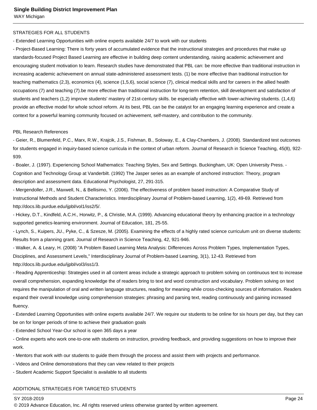#### STRATEGIES FOR ALL STUDENTS

- Extended Learning Opportunities with online experts available 24/7 to work with our students 

- Project-Based Learning: There is forty years of accumulated evidence that the instructional strategies and procedures that make up standards-focused Project Based Learning are effective in building deep content understanding, raising academic achievement and encouraging student motivation to learn. Research studies have demonstrated that PBL can: be more effective than traditional instruction in increasing academic achievement on annual state-administered assessment tests. (1) be more effective than traditional instruction for teaching mathematics (2,3), economics (4), science (1,5,6), social science (7), clinical medical skills and for careers in the allied health occupations (7) and teaching (7).be more effective than traditional instruction for long-term retention, skill development and satisfaction of students and teachers (1,2) improve students' mastery of 21st-century skills. be especially effective with lower-achieving students. (1,4,6) provide an effective model for whole school reform. At its best, PBL can be the catalyst for an engaging learning experience and create a context for a powerful learning community focused on achievement, self-mastery, and contribution to the community.

#### PBL Research References

- Geier, R., Blumenfeld, P.C., Marx, R.W., Krajcik, J.S., Fishman, B., Soloway, E., & Clay-Chambers, J. (2008). Standardized test outcomes for students engaged in inquiry-based science curricula in the context of urban reform. Journal of Research in Science Teaching, 45(8), 922- 939.

- Boaler, J. (1997). Experiencing School Mathematics: Teaching Styles, Sex and Settings. Buckingham, UK: Open University Press. - Cognition and Technology Group at Vanderbilt. (1992) The Jasper series as an example of anchored instruction: Theory, program description and assessment data. Educational Psychologist, 27, 291-315.

- Mergendoller, J.R., Maxwell, N., & Bellisimo, Y. (2006). The effectiveness of problem based instruction: A Comparative Study of Instructional Methods and Student Characteristics. Interdisciplinary Journal of Problem-based Learning, 1(2), 49-69. Retrieved from http://docs.lib.purdue.edu/ijpbl/vol1/iss2/5/.

- Hickey, D.T., Kindfeld, A.C.H., Horwitz, P., & Christie, M.A. (1999). Advancing educational theory by enhancing practice in a technology supported genetics-learning environment. Journal of Education, 181, 25-55.

- Lynch, S., Kuipers, JU., Pyke, C., & Szesze, M. (2005). Examining the effects of a highly rated science curriculum unit on diverse students: Results from a planning grant. Journal of Research in Science Teaching, 42, 921-946.

- Walker, A. & Leary, H. (2008) "A Problem Based Learning Meta Analysis: Differences Across Problem Types, Implementation Types, Disciplines, and Assessment Levels," Interdisciplinary Journal of Problem-based Learning, 3(1), 12-43. Retrieved from http://docs.lib.purdue.edu/ijpbl/vol3/iss1/3.

- Reading Apprenticeship: Strategies used in all content areas include a strategic approach to problem solving on continuous text to increase overall comprehension, expanding knowledge the of readers bring to text and word construction and vocabulary. Problem solving on text requires the manipulation of oral and written language structures, reading for meaning while cross-checking sources of information. Readers expand their overall knowledge using comprehension strategies: phrasing and parsing text, reading continuously and gaining increased fluency.

- Extended Learning Opportunities with online experts available 24/7. We require our students to be online for six hours per day, but they can be on for longer periods of time to achieve their graduation goals

- Extended School Year-Our school is open 365 days a year

- Online experts who work one-to-one with students on instruction, providing feedback, and providing suggestions on how to improve their work.

- Mentors that work with our students to guide them through the process and assist them with projects and performance.

- Videos and Online demonstrations that they can view related to their projects

- Student Academic Support Specialist is available to all students 

#### ADDITIONAL STRATEGIES FOR TARGETED STUDENTS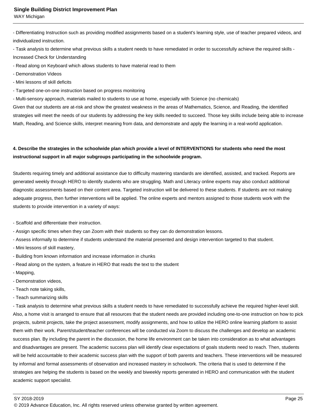#### **Single Building District Improvement Plan**

WAY Michigan

- Differentiating Instruction such as providing modified assignments based on a student's learning style, use of teacher prepared videos, and individualized instruction.

- Task analysis to determine what previous skills a student needs to have remediated in order to successfully achieve the required skills - Increased Check for Understanding

- Read along on Keyboard which allows students to have material read to them

- Demonstration Videos
- Mini lessons of skill deficits

- Targeted one-on-one instruction based on progress monitoring

- Multi-sensory approach, materials mailed to students to use at home, especially with Science (no chemicals)

Given that our students are at-risk and show the greatest weakness in the areas of Mathematics, Science, and Reading, the identified strategies will meet the needs of our students by addressing the key skills needed to succeed. Those key skills include being able to increase Math, Reading, and Science skills, interpret meaning from data, and demonstrate and apply the learning in a real-world application.

## **4. Describe the strategies in the schoolwide plan which provide a level of INTERVENTIONS for students who need the most instructional support in all major subgroups participating in the schoolwide program.**

Students requiring timely and additional assistance due to difficulty mastering standards are identified, assisted, and tracked. Reports are generated weekly through HERO to identify students who are struggling. Math and Literacy online experts may also conduct additional diagnostic assessments based on their content area. Targeted instruction will be delivered to these students. If students are not making adequate progress, then further interventions will be applied. The online experts and mentors assigned to those students work with the students to provide intervention in a variety of ways:

- Scaffold and differentiate their instruction.
- Assign specific times when they can Zoom with their students so they can do demonstration lessons.
- Assess informally to determine if students understand the material presented and design intervention targeted to that student.
- Mini lessons of skill mastery,
- Building from known information and increase information in chunks
- Read along on the system, a feature in HERO that reads the text to the student
- Mapping,
- Demonstration videos,
- Teach note taking skills,
- Teach summarizing skills

- Task analysis to determine what previous skills a student needs to have remediated to successfully achieve the required higher-level skill. Also, a home visit is arranged to ensure that all resources that the student needs are provided including one-to-one instruction on how to pick projects, submit projects, take the project assessment, modify assignments, and how to utilize the HERO online learning platform to assist them with their work. Parent/student/teacher conferences will be conducted via Zoom to discuss the challenges and develop an academic success plan. By including the parent in the discussion, the home life environment can be taken into consideration as to what advantages and disadvantages are present. The academic success plan will identify clear expectations of goals students need to reach. Then, students will be held accountable to their academic success plan with the support of both parents and teachers. These interventions will be measured by informal and formal assessments of observation and increased mastery in schoolwork. The criteria that is used to determine if the strategies are helping the students is based on the weekly and biweekly reports generated in HERO and communication with the student academic support specialist.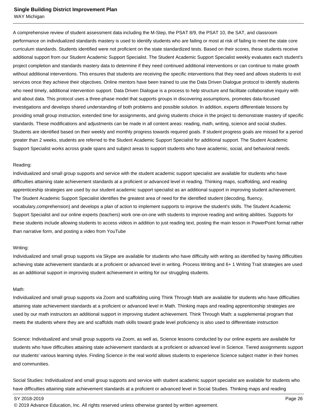#### **Single Building District Improvement Plan**

WAY Michigan

A comprehensive review of student assessment data including the M-Step, the PSAT 8/9, the PSAT 10, the SAT, and classroom performance on individualized standards mastery is used to identify students who are failing or most at risk of failing to meet the state core curriculum standards. Students identified were not proficient on the state standardized tests. Based on their scores, these students receive additional support from our Student Academic Support Specialist. The Student Academic Support Specialist weekly evaluates each student's project completion and standards mastery data to determine if they need continued additional interventions or can continue to make growth without additional interventions. This ensures that students are receiving the specific interventions that they need and allows students to exit services once they achieve their objectives. Online mentors have been trained to use the Data Driven Dialogue protocol to identify students who need timely, additional intervention support. Data Driven Dialogue is a process to help structure and facilitate collaborative inquiry with and about data. This protocol uses a three-phase model that supports groups in discovering assumptions, promotes data-focused investigations and develops shared understanding of both problems and possible solution. In addition, experts differentiate lessons by providing small group instruction, extended time for assignments, and giving students choice in the project to demonstrate mastery of specific standards. These modifications and adjustments can be made in all content areas: reading, math, writing, science and social studies. Students are identified based on their weekly and monthly progress towards required goals. If student progress goals are missed for a period greater than 2 weeks, students are referred to the Student Academic Support Specialist for additional support. The Student Academic Support Specialist works across grade spans and subject areas to support students who have academic, social, and behavioral needs.

#### Reading:

Individualized and small group supports and service with the student academic support specialist are available for students who have difficulties attaining state achievement standards at a proficient or advanced level in reading. Thinking maps, scaffolding, and reading apprenticeship strategies are used by our student academic support specialist as an additional support in improving student achievement. The Student Academic Support Specialist identifies the greatest area of need for the identified student (decoding, fluency, vocabulary,comprehension) and develops a plan of action to implement supports to improve the student's skills. The Student Academic Support Specialist and our online experts (teachers) work one-on-one with students to improve reading and writing abilities. Supports for these students include allowing students to access videos in addition to just reading text, posting the main lesson in PowerPoint format rather than narrative form, and posting a video from YouTube

#### Writing:

Individualized and small group supports via Skype are available for students who have difficulty with writing as identified by having difficulties achieving state achievement standards at a proficient or advanced level in writing. Process Writing and 6+ 1 Writing Trait strategies are used as an additional support in improving student achievement in writing for our struggling students.

#### Math:

Individualized and small group supports via Zoom and scaffolding using Think Through Math are available for students who have difficulties attaining state achievement standards at a proficient or advanced level in Math. Thinking maps and reading apprenticeship strategies are used by our math instructors an additional support in improving student achievement. Think Through Math: a supplemental program that meets the students where they are and scaffolds math skills toward grade level proficiency is also used to differentiate instruction

Science: Individualized and small group supports via Zoom, as well as, Science lessons conducted by our online experts are available for students who have difficulties attaining state achievement standards at a proficient or advanced level in Science. Tiered assignments support our students' various learning styles. Finding Science in the real world allows students to experience Science subject matter in their homes and communities.

Social Studies: Individualized and small group supports and service with student academic support specialist are available for students who have difficulties attaining state achievement standards at a proficient or advanced level in Social Studies. Thinking maps and reading

SY 2018-2019 Page 26

<sup>© 2019</sup> Advance Education, Inc. All rights reserved unless otherwise granted by written agreement.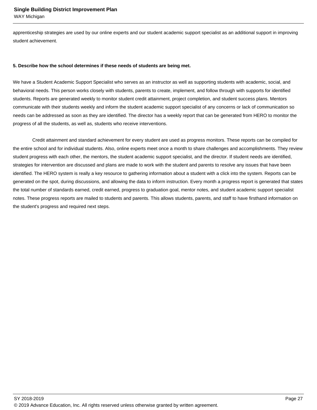apprenticeship strategies are used by our online experts and our student academic support specialist as an additional support in improving student achievement.

#### **5. Describe how the school determines if these needs of students are being met.**

We have a Student Academic Support Specialist who serves as an instructor as well as supporting students with academic, social, and behavioral needs. This person works closely with students, parents to create, implement, and follow through with supports for identified students. Reports are generated weekly to monitor student credit attainment, project completion, and student success plans. Mentors communicate with their students weekly and inform the student academic support specialist of any concerns or lack of communication so needs can be addressed as soon as they are identified. The director has a weekly report that can be generated from HERO to monitor the progress of all the students, as well as, students who receive interventions.

 Credit attainment and standard achievement for every student are used as progress monitors. These reports can be compiled for the entire school and for individual students. Also, online experts meet once a month to share challenges and accomplishments. They review student progress with each other, the mentors, the student academic support specialist, and the director. If student needs are identified, strategies for intervention are discussed and plans are made to work with the student and parents to resolve any issues that have been identified. The HERO system is really a key resource to gathering information about a student with a click into the system. Reports can be generated on the spot, during discussions, and allowing the data to inform instruction. Every month a progress report is generated that states the total number of standards earned, credit earned, progress to graduation goal, mentor notes, and student academic support specialist notes. These progress reports are mailed to students and parents. This allows students, parents, and staff to have firsthand information on the student's progress and required next steps.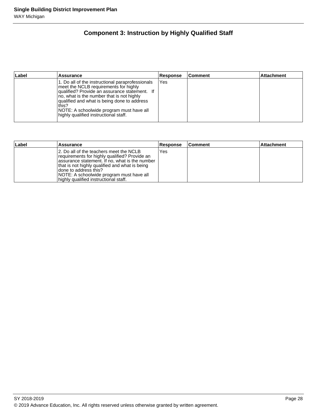## **Component 3: Instruction by Highly Qualified Staff**

| Label | Assurance                                                                                                                                                                                                                                                                                                                            | <b>Response</b> | <b>Comment</b> | <b>Attachment</b> |
|-------|--------------------------------------------------------------------------------------------------------------------------------------------------------------------------------------------------------------------------------------------------------------------------------------------------------------------------------------|-----------------|----------------|-------------------|
|       | 1. Do all of the instructional paraprofessionals<br>meet the NCLB requirements for highly<br>qualified? Provide an assurance statement. If<br>no, what is the number that is not highly<br>qualified and what is being done to address<br>this?<br>NOTE: A schoolwide program must have all<br>highly qualified instructional staff. | Yes             |                |                   |

| Label | <b>Assurance</b>                                                                                                                                                                                                                                                                                             | <b>Response</b> | lComment | <b>Attachment</b> |
|-------|--------------------------------------------------------------------------------------------------------------------------------------------------------------------------------------------------------------------------------------------------------------------------------------------------------------|-----------------|----------|-------------------|
|       | 12. Do all of the teachers meet the NCLB<br>requirements for highly qualified? Provide an<br>assurance statement. If no, what is the number<br>that is not highly qualified and what is being<br>Idone to address this?<br>NOTE: A schoolwide program must have all<br>highly qualified instructional staff. | Yes             |          |                   |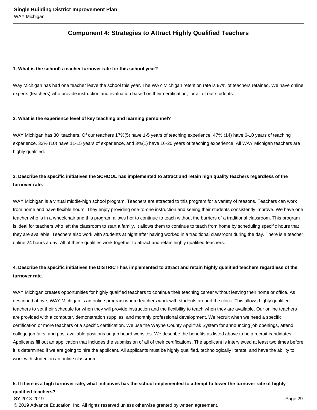## **Component 4: Strategies to Attract Highly Qualified Teachers**

#### **1. What is the school's teacher turnover rate for this school year?**

Way Michigan has had one teacher leave the school this year. The WAY Michigan retention rate is 97% of teachers retained. We have online experts (teachers) who provide instruction and evaluation based on their certification, for all of our students.

#### **2. What is the experience level of key teaching and learning personnel?**

WAY Michigan has 30 teachers. Of our teachers 17%(5) have 1-5 years of teaching experience, 47% (14) have 6-10 years of teaching experience, 33% (10) have 11-15 years of experience, and 3%(1) have 16-20 years of teaching experience. All WAY Michigan teachers are highly qualified.

## **3. Describe the specific initiatives the SCHOOL has implemented to attract and retain high quality teachers regardless of the turnover rate.**

WAY Michigan is a virtual middle-high school program. Teachers are attracted to this program for a variety of reasons. Teachers can work from home and have flexible hours. They enjoy providing one-to-one instruction and seeing their students consistently improve. We have one teacher who is in a wheelchair and this program allows her to continue to teach without the barriers of a traditional classroom. This program is ideal for teachers who left the classroom to start a family. It allows them to continue to teach from home by scheduling specific hours that they are available. Teachers also work with students at night after having worked in a traditional classroom during the day. There is a teacher online 24 hours a day. All of these qualities work together to attract and retain highly qualified teachers.

## **4. Describe the specific initiatives the DISTRICT has implemented to attract and retain highly qualified teachers regardless of the turnover rate.**

WAY Michigan creates opportunities for highly qualified teachers to continue their teaching career without leaving their home or office. As described above, WAY Michigan is an online program where teachers work with students around the clock. This allows highly qualified teachers to set their schedule for when they will provide instruction and the flexibility to teach when they are available. Our online teachers are provided with a computer, demonstration supplies, and monthly professional development. We recruit when we need a specific certification or more teachers of a specific certification. We use the Wayne County Applitrak System for announcing job openings, attend college job fairs, and post available positions on job board websites. We describe the benefits as listed above to help recruit candidates. Applicants fill out an application that includes the submission of all of their certifications. The applicant is interviewed at least two times before it is determined if we are going to hire the applicant. All applicants must be highly qualified, technologically literate, and have the ability to work with student in an online classroom.

### **5. If there is a high turnover rate, what initiatives has the school implemented to attempt to lower the turnover rate of highly qualified teachers?**

#### SY 2018-2019 Page 29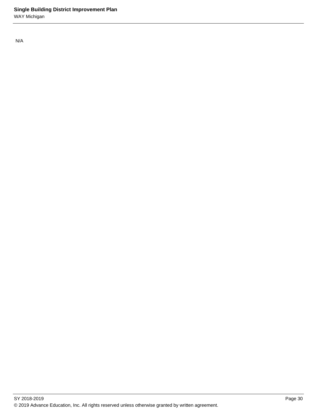N/A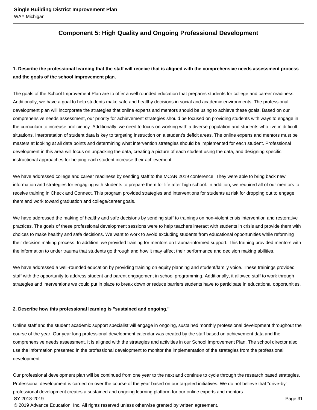## **Component 5: High Quality and Ongoing Professional Development**

## **1. Describe the professional learning that the staff will receive that is aligned with the comprehensive needs assessment process and the goals of the school improvement plan.**

The goals of the School Improvement Plan are to offer a well rounded education that prepares students for college and career readiness. Additionally, we have a goal to help students make safe and healthy decisions in social and academic environments. The professional development plan will incorporate the strategies that online experts and mentors should be using to achieve these goals. Based on our comprehensive needs assessment, our priority for achievement strategies should be focused on providing students with ways to engage in the curriculum to increase proficiency. Additionally, we need to focus on working with a diverse population and students who live in difficult situations. Interpretation of student data is key to targeting instruction on a student's deficit areas. The online experts and mentors must be masters at looking at all data points and determining what intervention strategies should be implemented for each student. Professional development in this area will focus on unpacking the data, creating a picture of each student using the data, and designing specific instructional approaches for helping each student increase their achievement.

We have addressed college and career readiness by sending staff to the MCAN 2019 conference. They were able to bring back new information and strategies for engaging with students to prepare them for life after high school. In addition, we required all of our mentors to receive training in Check and Connect. This program provided strategies and interventions for students at risk for dropping out to engage them and work toward graduation and college/career goals.

We have addressed the making of healthy and safe decisions by sending staff to trainings on non-violent crisis intervention and restorative practices. The goals of these professional development sessions were to help teachers interact with students in crisis and provide them with choices to make healthy and safe decisions. We want to work to avoid excluding students from educational opportunities while reforming their decision making process. In addition, we provided training for mentors on trauma-informed support. This training provided mentors with the information to under trauma that students go through and how it may affect their performance and decision making abilities.

We have addressed a well-rounded education by providing training on equity planning and student/family voice. These trainings provided staff with the opportunity to address student and parent engagement in school programming. Additionally, it allowed staff to work through strategies and interventions we could put in place to break down or reduce barriers students have to participate in educational opportunities.

#### **2. Describe how this professional learning is "sustained and ongoing."**

Online staff and the student academic support specialist will engage in ongoing, sustained monthly professional development throughout the course of the year. Our year long professional development calendar was created by the staff based on achievement data and the comprehensive needs assessment. It is aligned with the strategies and activities in our School Improvement Plan. The school director also use the information presented in the professional development to monitor the implementation of the strategies from the professional development.

Our professional development plan will be continued from one year to the next and continue to cycle through the research based strategies. Professional development is carried on over the course of the year based on our targeted initiatives. We do not believe that "drive-by" professional development creates a sustained and ongoing learning platform for our online experts and mentors.

#### SY 2018-2019 Page 31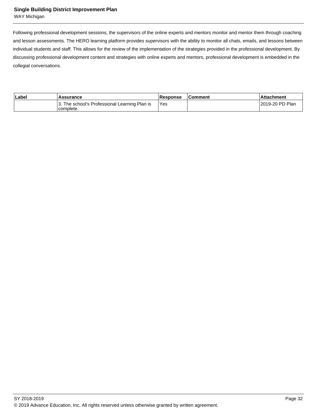#### **Single Building District Improvement Plan**

WAY Michigan

Following professional development sessions, the supervisors of the online experts and mentors monitor and mentor them through coaching and lesson assessments. The HERO learning platform provides supervisors with the ability to monitor all chats, emails, and lessons between individual students and staff. This allows for the review of the implementation of the strategies provided in the professional development. By discussing professional development content and strategies with online experts and mentors, professional development is embedded in the collegial conversations.

| ∣Label | Assurance                                                  | <b>Response</b> | <b>Comment</b> | l Attachment     |
|--------|------------------------------------------------------------|-----------------|----------------|------------------|
|        | 3. The school's Professional Learning Plan is<br>complete. | 'Yes            |                | 12019-20 PD Plan |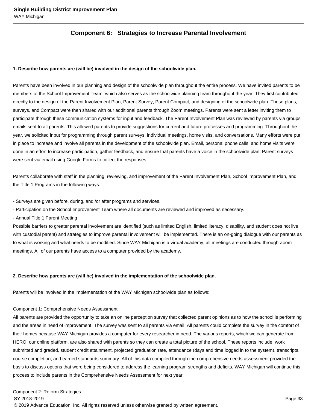## **Component 6: Strategies to Increase Parental Involvement**

#### **1. Describe how parents are (will be) involved in the design of the schoolwide plan.**

Parents have been involved in our planning and design of the schoolwide plan throughout the entire process. We have invited parents to be members of the School Improvement Team, which also serves as the schoolwide planning team throughout the year. They first contributed directly to the design of the Parent Involvement Plan, Parent Survey, Parent Compact, and designing of the schoolwide plan. These plans, surveys, and Compact were then shared with our additional parents through Zoom meetings. Parents were sent a letter inviting them to participate through these communication systems for input and feedback. The Parent Involvement Plan was reviewed by parents via groups emails sent to all parents. This allowed parents to provide suggestions for current and future processes and programming. Throughout the year, we solicited input for programming through parent surveys, individual meetings, home visits, and conversations. Many efforts were put in place to increase and involve all parents in the development of the schoolwide plan. Email, personal phone calls, and home visits were done in an effort to increase participation, gather feedback, and ensure that parents have a voice in the schoolwide plan. Parent surveys were sent via email using Google Forms to collect the responses.

Parents collaborate with staff in the planning, reviewing, and improvement of the Parent Involvement Plan, School Improvement Plan, and the Title 1 Programs in the following ways:

- Surveys are given before, during, and /or after programs and services.

- Participation on the School Improvement Team where all documents are reviewed and improved as necessary. 

- Annual Title 1 Parent Meeting

Possible barriers to greater parental involvement are identified (such as limited English, limited literacy, disability, and student does not live with custodial parent) and strategies to improve parental involvement will be implemented. There is an on-going dialogue with our parents as to what is working and what needs to be modified. Since WAY Michigan is a virtual academy, all meetings are conducted through Zoom meetings. All of our parents have access to a computer provided by the academy.

#### **2. Describe how parents are (will be) involved in the implementation of the schoolwide plan.**

Parents will be involved in the implementation of the WAY Michigan schoolwide plan as follows:

Component 1: Comprehensive Needs Assessment

All parents are provided the opportunity to take an online perception survey that collected parent opinions as to how the school is performing and the areas in need of improvement. The survey was sent to all parents via email. All parents could complete the survey in the comfort of their homes because WAY Michigan provides a computer for every researcher in need. The various reports, which we can generate from HERO, our online platform, are also shared with parents so they can create a total picture of the school. These reports include: work submitted and graded, student credit attainment, projected graduation rate, attendance (days and time logged in to the system), transcripts, course completion, and earned standards summary. All of this data compiled through the comprehensive needs assessment provided the basis to discuss options that were being considered to address the learning program strengths and deficits. WAY Michigan will continue this process to include parents in the Comprehensive Needs Assessment for next year.

#### Component 2: Reform Strategies

SY 2018-2019 Page 33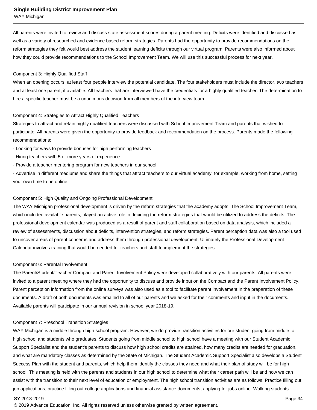WAY Michigan

All parents were invited to review and discuss state assessment scores during a parent meeting. Deficits were identified and discussed as well as a variety of researched and evidence based reform strategies. Parents had the opportunity to provide recommendations on the reform strategies they felt would best address the student learning deficits through our virtual program. Parents were also informed about how they could provide recommendations to the School Improvement Team. We will use this successful process for next year.

#### Component 3: Highly Qualified Staff

When an opening occurs, at least four people interview the potential candidate. The four stakeholders must include the director, two teachers and at least one parent, if available. All teachers that are interviewed have the credentials for a highly qualified teacher. The determination to hire a specific teacher must be a unanimous decision from all members of the interview team.

#### Component 4: Strategies to Attract Highly Qualified Teachers

Strategies to attract and retain highly qualified teachers were discussed with School Improvement Team and parents that wished to participate. All parents were given the opportunity to provide feedback and recommendation on the process. Parents made the following recommendations:

- Looking for ways to provide bonuses for high performing teachers
- Hiring teachers with 5 or more years of experience
- Provide a teacher mentoring program for new teachers in our school

- Advertise in different mediums and share the things that attract teachers to our virtual academy, for example, working from home, setting your own time to be online.

#### Component 5: High Quality and Ongoing Professional Development

The WAY Michigan professional development is driven by the reform strategies that the academy adopts. The School Improvement Team, which included available parents, played an active role in deciding the reform strategies that would be utilized to address the deficits. The professional development calendar was produced as a result of parent and staff collaboration based on data analysis, which included a review of assessments, discussion about deficits, intervention strategies, and reform strategies. Parent perception data was also a tool used to uncover areas of parent concerns and address them through professional development. Ultimately the Professional Development Calendar involves training that would be needed for teachers and staff to implement the strategies.

#### Component 6: Parental Involvement

The Parent/Student/Teacher Compact and Parent Involvement Policy were developed collaboratively with our parents. All parents were invited to a parent meeting where they had the opportunity to discuss and provide input on the Compact and the Parent Involvement Policy. Parent perception information from the online surveys was also used as a tool to facilitate parent involvement in the preparation of these documents. A draft of both documents was emailed to all of our parents and we asked for their comments and input in the documents. Available parents will participate in our annual revision in school year 2018-19.

#### Component 7: Preschool Transition Strategies

WAY Michigan is a middle through high school program. However, we do provide transition activities for our student going from middle to high school and students who graduates. Students going from middle school to high school have a meeting with our Student Academic Support Specialist and the student's parents to discuss how high school credits are attained, how many credits are needed for graduation, and what are mandatory classes as determined by the State of Michigan. The Student Academic Support Specialist also develops a Student Success Plan with the student and parents, which help them identify the classes they need and what their plan of study will be for high school. This meeting is held with the parents and students in our high school to determine what their career path will be and how we can assist with the transition to their next level of education or employment. The high school transition activities are as follows: Practice filling out job applications, practice filling out college applications and financial assistance documents, applying for jobs online. Walking students

#### SY 2018-2019 Page 34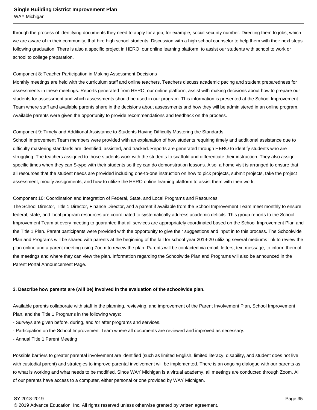WAY Michigan

through the process of identifying documents they need to apply for a job, for example, social security number. Directing them to jobs, which we are aware of in their community, that hire high school students. Discussion with a high school counselor to help them with their next steps following graduation. There is also a specific project in HERO, our online learning platform, to assist our students with school to work or school to college preparation.

#### Component 8: Teacher Participation in Making Assessment Decisions

Monthly meetings are held with the curriculum staff and online teachers. Teachers discuss academic pacing and student preparedness for assessments in these meetings. Reports generated from HERO, our online platform, assist with making decisions about how to prepare our students for assessment and which assessments should be used in our program. This information is presented at the School Improvement Team where staff and available parents share in the decisions about assessments and how they will be administered in an online program. Available parents were given the opportunity to provide recommendations and feedback on the process.

#### Component 9: Timely and Additional Assistance to Students Having Difficulty Mastering the Standards

School Improvement Team members were provided with an explanation of how students requiring timely and additional assistance due to difficulty mastering standards are identified, assisted, and tracked. Reports are generated through HERO to identify students who are struggling. The teachers assigned to those students work with the students to scaffold and differentiate their instruction. They also assign specific times when they can Skype with their students so they can do demonstration lessons. Also, a home visit is arranged to ensure that all resources that the student needs are provided including one-to-one instruction on how to pick projects, submit projects, take the project assessment, modify assignments, and how to utilize the HERO online learning platform to assist them with their work.

#### Component 10: Coordination and Integration of Federal, State, and Local Programs and Resources

The School Director, Title 1 Director, Finance Director, and a parent if available from the School Improvement Team meet monthly to ensure federal, state, and local program resources are coordinated to systematically address academic deficits. This group reports to the School Improvement Team at every meeting to guarantee that all services are appropriately coordinated based on the School Improvement Plan and the Title 1 Plan. Parent participants were provided with the opportunity to give their suggestions and input in to this process. The Schoolwide Plan and Programs will be shared with parents at the beginning of the fall for school year 2019-20 utilizing several mediums link to review the plan online and a parent meeting using Zoom to review the plan. Parents will be contacted via email, letters, text message, to inform them of the meetings and where they can view the plan. Information regarding the Schoolwide Plan and Programs will also be announced in the Parent Portal Announcement Page.

#### **3. Describe how parents are (will be) involved in the evaluation of the schoolwide plan.**

Available parents collaborate with staff in the planning, reviewing, and improvement of the Parent Involvement Plan, School Improvement Plan, and the Title 1 Programs in the following ways:

- Surveys are given before, during, and /or after programs and services.
- Participation on the School Improvement Team where all documents are reviewed and improved as necessary.
- Annual Title 1 Parent Meeting

Possible barriers to greater parental involvement are identified (such as limited English, limited literacy, disability, and student does not live with custodial parent) and strategies to improve parental involvement will be implemented. There is an ongoing dialogue with our parents as to what is working and what needs to be modified. Since WAY Michigan is a virtual academy, all meetings are conducted through Zoom. All of our parents have access to a computer, either personal or one provided by WAY Michigan.

<sup>© 2019</sup> Advance Education, Inc. All rights reserved unless otherwise granted by written agreement.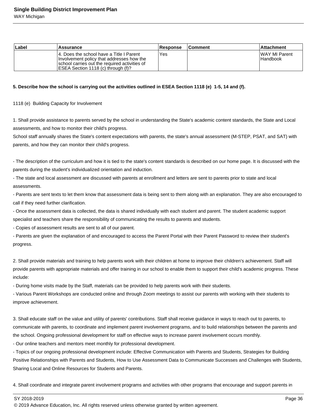| Label | Assurance                                                                                                                                                                      | <b>Response</b> | <b>Comment</b> | <b>Attachment</b>            |
|-------|--------------------------------------------------------------------------------------------------------------------------------------------------------------------------------|-----------------|----------------|------------------------------|
|       | 14. Does the school have a Title I Parent<br>Involvement policy that addresses how the<br>Ischool carries out the required activities of<br>ESEA Section 1118 (c) through (f)? | Yes             |                | IWAY MI Parent<br>l Handbook |

#### **5. Describe how the school is carrying out the activities outlined in ESEA Section 1118 (e) 1-5, 14 and (f).**

#### 1118 (e) Building Capacity for Involvement

1. Shall provide assistance to parents served by the school in understanding the State's academic content standards, the State and Local assessments, and how to monitor their child's progress.

School staff annually shares the State's content expectations with parents, the state's annual assessment (M-STEP, PSAT, and SAT) with parents, and how they can monitor their child's progress.

- The description of the curriculum and how it is tied to the state's content standards is described on our home page. It is discussed with the parents during the student's individualized orientation and induction.

- The state and local assessment are discussed with parents at enrollment and letters are sent to parents prior to state and local assessments. 

- Parents are sent texts to let them know that assessment data is being sent to them along with an explanation. They are also encouraged to call if they need further clarification.

- Once the assessment data is collected, the data is shared individually with each student and parent. The student academic support specialist and teachers share the responsibility of communicating the results to parents and students. 

- Copies of assessment results are sent to all of our parent.

- Parents are given the explanation of and encouraged to access the Parent Portal with their Parent Password to review their student's progress.

2. Shall provide materials and training to help parents work with their children at home to improve their children's achievement. Staff will provide parents with appropriate materials and offer training in our school to enable them to support their child's academic progress. These include:

- During home visits made by the Staff, materials can be provided to help parents work with their students.

- Various Parent Workshops are conducted online and through Zoom meetings to assist our parents with working with their students to improve achievement.

3. Shall educate staff on the value and utility of parents' contributions. Staff shall receive guidance in ways to reach out to parents, to communicate with parents, to coordinate and implement parent involvement programs, and to build relationships between the parents and the school. Ongoing professional development for staff on effective ways to increase parent involvement occurs monthly.

- Our online teachers and mentors meet monthly for professional development.

- Topics of our ongoing professional development include: Effective Communication with Parents and Students, Strategies for Building Positive Relationships with Parents and Students, How to Use Assessment Data to Communicate Successes and Challenges with Students, Sharing Local and Online Resources for Students and Parents.

4. Shall coordinate and integrate parent involvement programs and activities with other programs that encourage and support parents in

SY 2018-2019 Page 36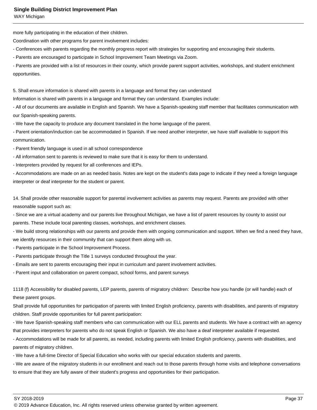WAY Michigan

more fully participating in the education of their children.

Coordination with other programs for parent involvement includes:

- Conferences with parents regarding the monthly progress report with strategies for supporting and encouraging their students.

- Parents are encouraged to participate in School Improvement Team Meetings via Zoom.

- Parents are provided with a list of resources in their county, which provide parent support activities, workshops, and student enrichment opportunities.

5. Shall ensure information is shared with parents in a language and format they can understand

Information is shared with parents in a language and format they can understand. Examples include:

- All of our documents are available in English and Spanish. We have a Spanish-speaking staff member that facilitates communication with our Spanish-speaking parents.

- We have the capacity to produce any document translated in the home language of the parent.

- Parent orientation/induction can be accommodated in Spanish. If we need another interpreter, we have staff available to support this communication.

- Parent friendly language is used in all school correspondence
- All information sent to parents is reviewed to make sure that it is easy for them to understand.
- Interpreters provided by request for all conferences and IEPs.

- Accommodations are made on an as needed basis. Notes are kept on the student's data page to indicate if they need a foreign language interpreter or deaf interpreter for the student or parent.

14. Shall provide other reasonable support for parental involvement activities as parents may request. Parents are provided with other reasonable support such as:

- Since we are a virtual academy and our parents live throughout Michigan, we have a list of parent resources by county to assist our parents. These include local parenting classes, workshops, and enrichment classes.

- We build strong relationships with our parents and provide them with ongoing communication and support. When we find a need they have, we identify resources in their community that can support them along with us.

- Parents participate in the School Improvement Process.
- Parents participate through the Title 1 surveys conducted throughout the year.
- Emails are sent to parents encouraging their input in curriculum and parent involvement activities.

- Parent input and collaboration on parent compact, school forms, and parent surveys

1118 (f) Accessibility for disabled parents, LEP parents, parents of migratory children: Describe how you handle (or will handle) each of these parent groups.

Shall provide full opportunities for participation of parents with limited English proficiency, parents with disabilities, and parents of migratory children. Staff provide opportunities for full parent participation:

- We have Spanish-speaking staff members who can communication with our ELL parents and students. We have a contract with an agency that provides interpreters for parents who do not speak English or Spanish. We also have a deaf interpreter available if requested.

- Accommodations will be made for all parents, as needed, including parents with limited English proficiency, parents with disabilities, and parents of migratory children.

- We have a full-time Director of Special Education who works with our special education students and parents.

- We are aware of the migratory students in our enrollment and reach out to those parents through home visits and telephone conversations to ensure that they are fully aware of their student's progress and opportunities for their participation.

SY 2018-2019 Page 37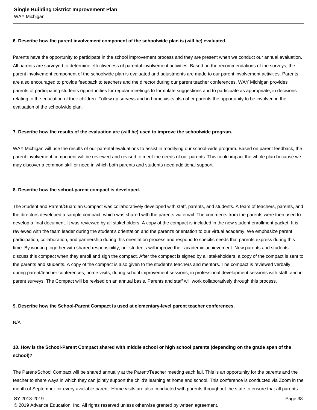#### **6. Describe how the parent involvement component of the schoolwide plan is (will be) evaluated.**

Parents have the opportunity to participate in the school improvement process and they are present when we conduct our annual evaluation. All parents are surveyed to determine effectiveness of parental involvement activities. Based on the recommendations of the surveys, the parent involvement component of the schoolwide plan is evaluated and adjustments are made to our parent involvement activities. Parents are also encouraged to provide feedback to teachers and the director during our parent teacher conferences. WAY Michigan provides parents of participating students opportunities for regular meetings to formulate suggestions and to participate as appropriate, in decisions relating to the education of their children. Follow up surveys and in home visits also offer parents the opportunity to be involved in the evaluation of the schoolwide plan.

#### **7. Describe how the results of the evaluation are (will be) used to improve the schoolwide program.**

WAY Michigan will use the results of our parental evaluations to assist in modifying our school-wide program. Based on parent feedback, the parent involvement component will be reviewed and revised to meet the needs of our parents. This could impact the whole plan because we may discover a common skill or need in which both parents and students need additional support.

#### **8. Describe how the school-parent compact is developed.**

The Student and Parent/Guardian Compact was collaboratively developed with staff, parents, and students. A team of teachers, parents, and the directors developed a sample compact, which was shared with the parents via email. The comments from the parents were then used to develop a final document. It was reviewed by all stakeholders. A copy of the compact is included in the new student enrollment packet. It is reviewed with the team leader during the student's orientation and the parent's orientation to our virtual academy. We emphasize parent participation, collaboration, and partnership during this orientation process and respond to specific needs that parents express during this time. By working together with shared responsibility, our students will improve their academic achievement. New parents and students discuss this compact when they enroll and sign the compact. After the compact is signed by all stakeholders, a copy of the compact is sent to the parents and students. A copy of the compact is also given to the student's teachers and mentors. The compact is reviewed verbally during parent/teacher conferences, home visits, during school improvement sessions, in professional development sessions with staff, and in parent surveys. The Compact will be revised on an annual basis. Parents and staff will work collaboratively through this process.

#### **9. Describe how the School-Parent Compact is used at elementary-level parent teacher conferences.**

N/A

## **10. How is the School-Parent Compact shared with middle school or high school parents (depending on the grade span of the school)?**

The Parent/School Compact will be shared annually at the Parent/Teacher meeting each fall. This is an opportunity for the parents and the teacher to share ways in which they can jointly support the child's learning at home and school. This conference is conducted via Zoom in the month of September for every available parent. Home visits are also conducted with parents throughout the state to ensure that all parents

<sup>© 2019</sup> Advance Education, Inc. All rights reserved unless otherwise granted by written agreement.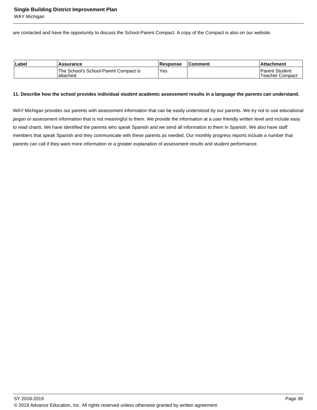WAY Michigan

are contacted and have the opportunity to discuss the School-Parent Compact. A copy of the Compact is also on our website.

| Label | <b>Assurance</b>                                   | <b>Response</b> | <b>Comment</b> | <b>Attachment</b>                   |
|-------|----------------------------------------------------|-----------------|----------------|-------------------------------------|
|       | The School's School-Parent Compact is<br>attached. | Yes.            |                | 'Parent Student<br>'Teacher Compact |

#### **11. Describe how the school provides individual student academic assessment results in a language the parents can understand.**

WAY Michigan provides our parents with assessment information that can be easily understood by our parents. We try not to use educational jargon or assessment information that is not meaningful to them. We provide the information at a user friendly written level and include easy to read charts. We have identified the parents who speak Spanish and we send all information to them in Spanish. We also have staff members that speak Spanish and they communicate with these parents as needed. Our monthly progress reports include a number that parents can call if they want more information or a greater explanation of assessment results and student performance.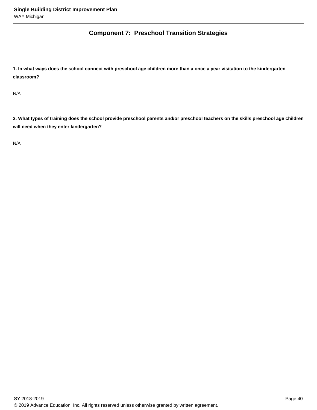## **Component 7: Preschool Transition Strategies**

**1. In what ways does the school connect with preschool age children more than a once a year visitation to the kindergarten classroom?** 

N/A

**2. What types of training does the school provide preschool parents and/or preschool teachers on the skills preschool age children will need when they enter kindergarten?** 

N/A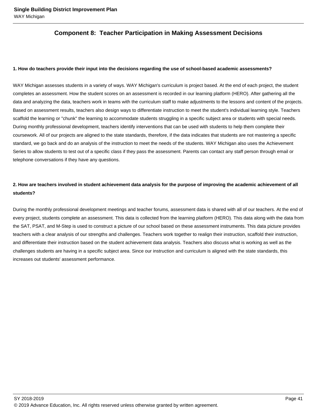## **Component 8: Teacher Participation in Making Assessment Decisions**

#### **1. How do teachers provide their input into the decisions regarding the use of school-based academic assessments?**

WAY Michigan assesses students in a variety of ways. WAY Michigan's curriculum is project based. At the end of each project, the student completes an assessment. How the student scores on an assessment is recorded in our learning platform (HERO). After gathering all the data and analyzing the data, teachers work in teams with the curriculum staff to make adjustments to the lessons and content of the projects. Based on assessment results, teachers also design ways to differentiate instruction to meet the student's individual learning style. Teachers scaffold the learning or "chunk" the learning to accommodate students struggling in a specific subject area or students with special needs. During monthly professional development, teachers identify interventions that can be used with students to help them complete their coursework. All of our projects are aligned to the state standards, therefore, if the data indicates that students are not mastering a specific standard, we go back and do an analysis of the instruction to meet the needs of the students. WAY Michigan also uses the Achievement Series to allow students to test out of a specific class if they pass the assessment. Parents can contact any staff person through email or telephone conversations if they have any questions.

## **2. How are teachers involved in student achievement data analysis for the purpose of improving the academic achievement of all students?**

During the monthly professional development meetings and teacher forums, assessment data is shared with all of our teachers. At the end of every project, students complete an assessment. This data is collected from the learning platform (HERO). This data along with the data from the SAT, PSAT, and M-Step is used to construct a picture of our school based on these assessment instruments. This data picture provides teachers with a clear analysis of our strengths and challenges. Teachers work together to realign their instruction, scaffold their instruction, and differentiate their instruction based on the student achievement data analysis. Teachers also discuss what is working as well as the challenges students are having in a specific subject area. Since our instruction and curriculum is aligned with the state standards, this increases out students' assessment performance.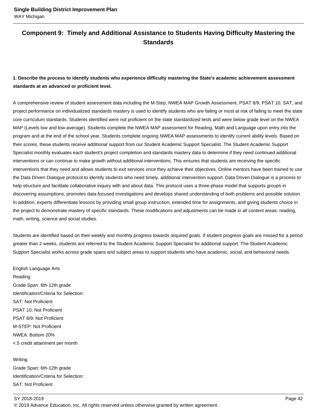## **Component 9: Timely and Additional Assistance to Students Having Difficulty Mastering the Standards**

## **1. Describe the process to identify students who experience difficulty mastering the State's academic achievement assessment standards at an advanced or proficient level.**

A comprehensive review of student assessment data including the M-Step, NWEA MAP Growth Assessment, PSAT 8/9, PSAT 10, SAT, and project performance on individualized standards mastery is used to identify students who are failing or most at risk of failing to meet the state core curriculum standards. Students identified were not proficient on the state standardized tests and were below grade level on the NWEA MAP (Levels low and low-average). Students complete the NWEA MAP assessment for Reading, Math and Language upon entry into the program and at the end of the school year. Students complete ongoing NWEA MAP assessments to identify current ability levels. Based on their scores, these students receive additional support from our Student Academic Support Specialist. The Student Academic Support Specialist monthly evaluates each student's project completion and standards mastery data to determine if they need continued additional interventions or can continue to make growth without additional interventions. This ensures that students are receiving the specific interventions that they need and allows students to exit services once they achieve their objectives. Online mentors have been trained to use the Data Driven Dialogue protocol to identify students who need timely, additional intervention support. Data Driven Dialogue is a process to help structure and facilitate collaborative inquiry with and about data. This protocol uses a three-phase model that supports groups in discovering assumptions, promotes data-focused investigations and develops shared understanding of both problems and possible solution. In addition, experts differentiate lessons by providing small group instruction, extended time for assignments, and giving students choice in the project to demonstrate mastery of specific standards. These modifications and adjustments can be made in all content areas: reading, math, writing, science and social studies.

Students are identified based on their weekly and monthly progress towards required goals. If student progress goals are missed for a period greater than 2 weeks, students are referred to the Student Academic Support Specialist for additional support. The Student Academic Support Specialist works across grade spans and subject areas to support students who have academic, social, and behavioral needs.

English Language Arts Reading Grade Span: 6th-12th grade Identification/Criteria for Selection: SAT: Not Proficient PSAT 10: Not Proficient PSAT 8/9: Not Proficient M-STEP: Not Proficient NWEA: Bottom 20% <.5 credit attainment per month

Writing Grade Span: 6th-12th grade Identification/Criteria for Selection: SAT: Not Proficient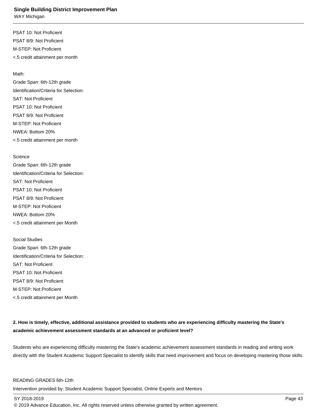WAY Michigan

PSAT 10: Not Proficient PSAT 8/9: Not Proficient M-STEP: Not Proficient <.5 credit attainment per month

Math:

Grade Span: 6th-12th grade Identification/Criteria for Selection: SAT: Not Proficient PSAT 10: Not Proficient PSAT 8/9: Not Proficient M-STEP: Not Proficient NWEA: Bottom 20% <.5 credit attainment per month

**Science** 

Grade Span: 6th-12th grade Identification/Criteria for Selection: SAT: Not Proficient PSAT 10: Not Proficient PSAT 8/9: Not Proficient M-STEP: Not Proficient NWEA: Bottom 20% <.5 credit attainment per Month

Social Studies Grade Span: 6th-12th grade Identification/Criteria for Selection: SAT: Not Proficient PSAT 10: Not Proficient PSAT 8/9: Not Proficient M-STEP: Not Proficient <.5 credit attainment per Month

## **2. How is timely, effective, additional assistance provided to students who are experiencing difficulty mastering the State's academic achievement assessment standards at an advanced or proficient level?**

Students who are experiencing difficulty mastering the State's academic achievement assessment standards in reading and writing work directly with the Student Academic Support Specialist to identify skills that need improvement and focus on developing mastering those skills.

#### READING GRADES 6th-12th

Intervention provided by: Student Academic Support Specialist, Online Experts and Mentors

SY 2018-2019 Page 43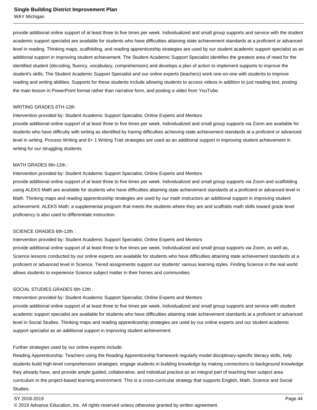WAY Michigan

provide additional online support of at least three to five times per week. Individualized and small group supports and service with the student academic support specialist are available for students who have difficulties attaining state achievement standards at a proficient or advanced level in reading. Thinking maps, scaffolding, and reading apprenticeship strategies are used by our student academic support specialist as an additional support in improving student achievement. The Student Academic Support Specialist identifies the greatest area of need for the identified student (decoding, fluency, vocabulary, comprehension) and develops a plan of action to implement supports to improve the student's skills. The Student Academic Support Specialist and our online experts (teachers) work one-on-one with students to improve reading and writing abilities. Supports for these students include allowing students to access videos in addition to just reading text, posting the main lesson in PowerPoint format rather than narrative form, and posting a video from YouTube.

#### WRITING GRADES 6TH-12th

#### Intervention provided by: Student Academic Support Specialist, Online Experts and Mentors

provide additional online support of at least three to five times per week. Individualized and small group supports via Zoom are available for students who have difficulty with writing as identified by having difficulties achieving state achievement standards at a proficient or advanced level in writing. Process Writing and 6+ 1 Writing Trait strategies are used as an additional support in improving student achievement in writing for our struggling students.

#### MATH GRADES 6th-12th :

## Intervention provided by: Student Academic Support Specialist, Online Experts and Mentors

provide additional online support of at least three to five times per week. Individualized and small group supports via Zoom and scaffolding using ALEKS Math are available for students who have difficulties attaining state achievement standards at a proficient or advanced level in Math. Thinking maps and reading apprenticeship strategies are used by our math instructors an additional support in improving student achievement. ALEKS Math: a supplemental program that meets the students where they are and scaffolds math skills toward grade level proficiency is also used to differentiate instruction.

## SCIENCE GRADES 6th-12th :

## Intervention provided by: Student Academic Support Specialist, Online Experts and Mentors

provide additional online support of at least three to five times per week. Individualized and small group supports via Zoom, as well as, Science lessons conducted by our online experts are available for students who have difficulties attaining state achievement standards at a proficient or advanced level in Science. Tiered assignments support our students' various learning styles. Finding Science in the real world allows students to experience Science subject matter in their homes and communities.

#### SOCIAL STUDIES GRADES 6th-12th :

## Intervention provided by: Student Academic Support Specialist, Online Experts and Mentors

provide additional online support of at least three to five times per week. Individualized and small group supports and service with student academic support specialist are available for students who have difficulties attaining state achievement standards at a proficient or advanced level in Social Studies. Thinking maps and reading apprenticeship strategies are used by our online experts and our student academic support specialist as an additional support in improving student achievement.

## Further strategies used by our online experts include:

Reading Apprenticeship: Teachers using the Reading Apprenticeship framework regularly model disciplinary-specific literacy skills, help students build high-level comprehension strategies, engage students in building knowledge by making connections to background knowledge they already have, and provide ample guided, collaborative, and individual practice as an integral part of teaching their subject area curriculum in the project-based learning environment. This is a cross-curricular strategy that supports English, Math, Science and Social **Studies**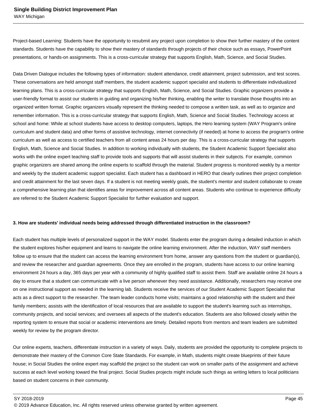Project-based Learning: Students have the opportunity to resubmit any project upon completion to show their further mastery of the content standards. Students have the capability to show their mastery of standards through projects of their choice such as essays, PowerPoint presentations, or hands-on assignments. This is a cross-curricular strategy that supports English, Math, Science, and Social Studies.

Data Driven Dialogue includes the following types of information: student attendance, credit attainment, project submission, and test scores. These conversations are held amongst staff members, the student academic support specialist and students to differentiate individualized learning plans. This is a cross-curricular strategy that supports English, Math, Science, and Social Studies. Graphic organizers provide a user-friendly format to assist our students in guiding and organizing his/her thinking, enabling the writer to translate those thoughts into an organized written format. Graphic organizers visually represent the thinking needed to compose a written task, as well as to organize and remember information. This is a cross-curricular strategy that supports English, Math, Science and Social Studies. Technology access at school and home: While at school students have access to desktop computers, laptops, the Hero learning system (WAY Program's online curriculum and student data) and other forms of assistive technology, internet connectivity (if needed) at home to access the program's online curriculum as well as access to certified teachers from all content areas 24 hours per day. This is a cross-curricular strategy that supports English, Math, Science and Social Studies. In addition to working individually with students, the Student Academic Support Specialist also works with the online expert teaching staff to provide tools and supports that will assist students in their subjects. For example, common graphic organizers are shared among the online experts to scaffold through the material. Student progress is monitored weekly by a mentor and weekly by the student academic support specialist. Each student has a dashboard in HERO that clearly outlines their project completion and credit attainment for the last seven days. If a student is not meeting weekly goals, the student's mentor and student collaborate to create a comprehensive learning plan that identifies areas for improvement across all content areas. Students who continue to experience difficulty are referred to the Student Academic Support Specialist for further evaluation and support.

#### **3. How are students' individual needs being addressed through differentiated instruction in the classroom?**

Each student has multiple levels of personalized support in the WAY model. Students enter the program during a detailed induction in which the student explores his/her equipment and learns to navigate the online learning environment. After the induction, WAY staff members follow up to ensure that the student can access the learning environment from home, answer any questions from the student or guardian(s), and review the researcher and guardian agreements. Once they are enrolled in the program, students have access to our online learning environment 24 hours a day, 365 days per year with a community of highly qualified staff to assist them. Staff are available online 24 hours a day to ensure that a student can communicate with a live person whenever they need assistance. Additionally, researchers may receive one on one instructional support as needed in the learning lab. Students receive the services of our Student Academic Support Specialist that acts as a direct support to the researcher. The team leader conducts home visits; maintains a good relationship with the student and their family members; assists with the identification of local resources that are available to support the student's learning such as internships, community projects, and social services; and oversees all aspects of the student's education. Students are also followed closely within the reporting system to ensure that social or academic interventions are timely. Detailed reports from mentors and team leaders are submitted weekly for review by the program director.

Our online experts, teachers, differentiate instruction in a variety of ways. Daily, students are provided the opportunity to complete projects to demonstrate their mastery of the Common Core State Standards. For example, in Math, students might create blueprints of their future house; in Social Studies the online expert may scaffold the project so the student can work on smaller parts of the assignment and achieve success at each level working toward the final project. Social Studies projects might include such things as writing letters to local politicians based on student concerns in their community.

SY 2018-2019 Page 45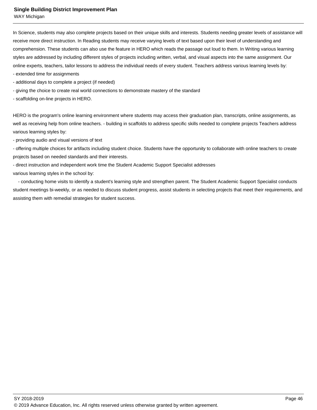WAY Michigan

In Science, students may also complete projects based on their unique skills and interests. Students needing greater levels of assistance will receive more direct instruction. In Reading students may receive varying levels of text based upon their level of understanding and comprehension. These students can also use the feature in HERO which reads the passage out loud to them. In Writing various learning styles are addressed by including different styles of projects including written, verbal, and visual aspects into the same assignment. Our online experts, teachers, tailor lessons to address the individual needs of every student. Teachers address various learning levels by:

- extended time for assignments
- additional days to complete a project (if needed)
- giving the choice to create real world connections to demonstrate mastery of the standard
- scaffolding on-line projects in HERO.

HERO is the program's online learning environment where students may access their graduation plan, transcripts, online assignments, as well as receiving help from online teachers. - building in scaffolds to address specific skills needed to complete projects Teachers address various learning styles by:

- providing audio and visual versions of text

- offering multiple choices for artifacts including student choice. Students have the opportunity to collaborate with online teachers to create projects based on needed standards and their interests.

- direct instruction and independent work time the Student Academic Support Specialist addresses

various learning styles in the school by:

 - conducting home visits to identify a student's learning style and strengthen parent. The Student Academic Support Specialist conducts student meetings bi-weekly, or as needed to discuss student progress, assist students in selecting projects that meet their requirements, and assisting them with remedial strategies for student success.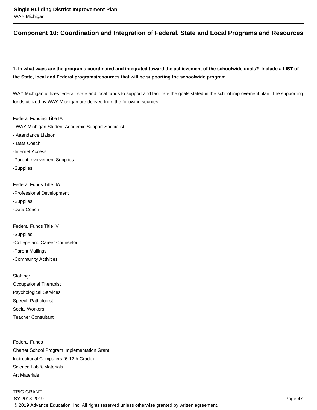## **Component 10: Coordination and Integration of Federal, State and Local Programs and Resources**

**1. In what ways are the programs coordinated and integrated toward the achievement of the schoolwide goals? Include a LIST of the State, local and Federal programs/resources that will be supporting the schoolwide program.**

WAY Michigan utilizes federal, state and local funds to support and facilitate the goals stated in the school improvement plan. The supporting funds utilized by WAY Michigan are derived from the following sources:

Federal Funding Title IA - WAY Michigan Student Academic Support Specialist - Attendance Liaison - Data Coach -Internet Access -Parent Involvement Supplies -Supplies

Federal Funds Title IIA -Professional Development -Supplies -Data Coach

Federal Funds Title IV -Supplies -College and Career Counselor -Parent Mailings

-Community Activities

Staffing: Occupational Therapist Psychological Services Speech Pathologist Social Workers Teacher Consultant

Federal Funds Charter School Program Implementation Grant Instructional Computers (6-12th Grade) Science Lab & Materials Art Materials

## TRIG GRANT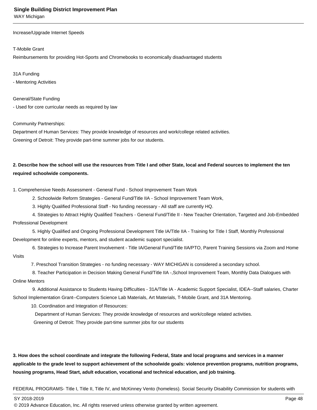WAY Michigan

Increase/Upgrade Internet Speeds

#### T-Mobile Grant

Reimbursements for providing Hot-Sports and Chromebooks to economically disadvantaged students

31A Funding

- Mentoring Activities

General/State Funding

- Used for core curricular needs as required by law

#### Community Partnerships:

Department of Human Services: They provide knowledge of resources and work/college related activities. Greening of Detroit: They provide part-time summer jobs for our students.

## **2. Describe how the school will use the resources from Title I and other State, local and Federal sources to implement the ten required schoolwide components.**

1. Comprehensive Needs Assessment - General Fund - School Improvement Team Work

2. Schoolwide Reform Strategies - General Fund/Title IIA - School Improvement Team Work,

3. Highly Qualified Professional Staff - No funding necessary - All staff are currently HQ.

 4. Strategies to Attract Highly Qualified Teachers - General Fund/Title II - New Teacher Orientation, Targeted and Job-Embedded Professional Development

 5. Highly Qualified and Ongoing Professional Development Title IA/Title IIA - Training for Title I Staff, Monthly Professional Development for online experts, mentors, and student academic support specialist.

6. Strategies to Increase Parent Involvement - Title IA/General Fund/Title IIA/PTO, Parent Training Sessions via Zoom and Home

7. Preschool Transition Strategies - no funding necessary - WAY MICHIGAN is considered a secondary school.

 8. Teacher Participation in Decision Making General Fund/Title IIA -,School Improvement Team, Monthly Data Dialogues with Online Mentors

 9. Additional Assistance to Students Having Difficulties - 31A/Title IA - Academic Support Specialist, IDEA--Staff salaries, Charter School Implementation Grant--Computers Science Lab Materials, Art Materials, T-Mobile Grant, and 31A Mentoring.

10. Coordination and Integration of Resources:

Department of Human Services: They provide knowledge of resources and work/college related activities.

Greening of Detroit: They provide part-time summer jobs for our students

**3. How does the school coordinate and integrate the following Federal, State and local programs and services in a manner applicable to the grade level to support achievement of the schoolwide goals: violence prevention programs, nutrition programs, housing programs, Head Start, adult education, vocational and technical education, and job training.** 

FEDERAL PROGRAMS- Title I, Title II, Title IV, and McKinney Vento (homeless). Social Security Disability Commission for students with

SY 2018-2019 Page 48

Visits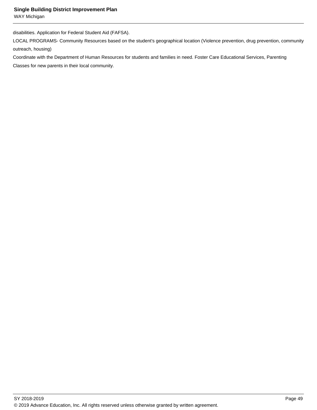WAY Michigan

disabilities. Application for Federal Student Aid (FAFSA).

LOCAL PROGRAMS- Community Resources based on the student's geographical location (Violence prevention, drug prevention, community outreach, housing)

Coordinate with the Department of Human Resources for students and families in need. Foster Care Educational Services, Parenting Classes for new parents in their local community.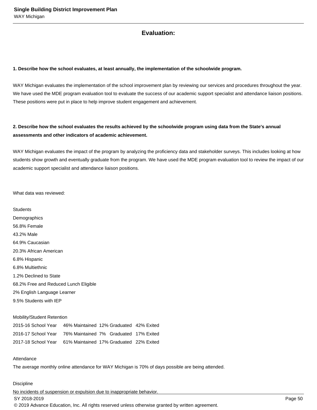## **Evaluation:**

#### **1. Describe how the school evaluates, at least annually, the implementation of the schoolwide program.**

WAY Michigan evaluates the implementation of the school improvement plan by reviewing our services and procedures throughout the year. We have used the MDE program evaluation tool to evaluate the success of our academic support specialist and attendance liaison positions. These positions were put in place to help improve student engagement and achievement.

## **2. Describe how the school evaluates the results achieved by the schoolwide program using data from the State's annual assessments and other indicators of academic achievement.**

WAY Michigan evaluates the impact of the program by analyzing the proficiency data and stakeholder surveys. This includes looking at how students show growth and eventually graduate from the program. We have used the MDE program evaluation tool to review the impact of our academic support specialist and attendance liaison positions.

What data was reviewed:

**Students Demographics** 56.8% Female 43.2% Male 64.9% Caucasian 20.3% African American 6.8% Hispanic 6.8% Multiethnic 1.2% Declined to State 68.2% Free and Reduced Lunch Eligible 2% English Language Learner 9.5% Students with IEP

#### Mobility/Student Retention

| 2015-16 School Year | 46% Maintained 12% Graduated 42% Exited |  |
|---------------------|-----------------------------------------|--|
| 2016-17 School Year | 76% Maintained 7% Graduated 17% Exited  |  |
| 2017-18 School Year | 61% Maintained 17% Graduated 22% Exited |  |

#### Attendance

The average monthly online attendance for WAY Michigan is 70% of days possible are being attended.

#### **Discipline**

No incidents of suspension or expulsion due to inappropriate behavior. SY 2018-2019 Page 50 © 2019 Advance Education, Inc. All rights reserved unless otherwise granted by written agreement.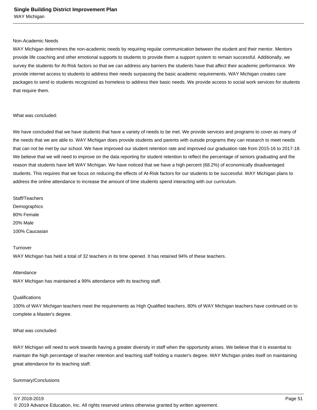#### Non-Academic Needs

WAY Michigan determines the non-academic needs by requiring regular communication between the student and their mentor. Mentors provide life coaching and other emotional supports to students to provide them a support system to remain successful. Additionally, we survey the students for At-Risk factors so that we can address any barriers the students have that affect their academic performance. We provide internet access to students to address their needs surpassing the basic academic requirements. WAY Michigan creates care packages to send to students recognized as homeless to address their basic needs. We provide access to social work services for students that require them.

#### What was concluded:

We have concluded that we have students that have a variety of needs to be met. We provide services and programs to cover as many of the needs that we are able to. WAY Michigan does provide students and parents with outside programs they can research to meet needs that can not be met by our school. We have improved our student retention rate and improved our graduation rate from 2015-16 to 2017-18. We believe that we will need to improve on the data reporting for student retention to reflect the percentage of seniors graduating and the reason that students have left WAY Michigan. We have noticed that we have a high percent (68.2%) of economically disadvantaged students. This requires that we focus on reducing the effects of At-Risk factors for our students to be successful. WAY Michigan plans to address the online attendance to increase the amount of time students spend interacting with our curriculum.

Staff/Teachers **Demographics** 80% Female 20% Male 100% Caucasian

#### **Turnover**

 WAY Michigan has held a total of 32 teachers in its time opened. It has retained 94% of these teachers.

#### Attendance

 WAY Michigan has maintained a 99% attendance with its teaching staff.

#### **Qualifications**

 100% of WAY Michigan teachers meet the requirements as High Qualified teachers. 80% of WAY Michigan teachers have continued on to complete a Master's degree.

#### What was concluded:

WAY Michigan will need to work towards having a greater diversity in staff when the opportunity arises. We believe that it is essential to maintain the high percentage of teacher retention and teaching staff holding a master's degree. WAY Michigan prides itself on maintaining great attendance for its teaching staff.

#### Summary/Conclusions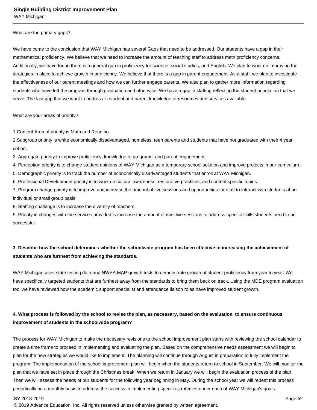#### What are the primary gaps?

We have come to the conclusion that WAY Michigan has several Gaps that need to be addressed. Our students have a gap in their mathematical proficiency. We believe that we need to increase the amount of teaching staff to address math proficiency concerns. Additionally, we have found there is a general gap in proficiency for science, social studies, and English. We plan to work on improving the strategies in place to achieve growth in proficiency. We believe that there is a gap in parent engagement. As a staff, we plan to investigate the effectiveness of our parent meetings and how we can further engage parents. We also plan to gather more information regarding students who have left the program through graduation and otherwise. We have a gap in staffing reflecting the student population that we serve. The last gap that we want to address is student and parent knowledge of resources and services available.

What are your areas of priority?

1.Content Area of priority is Math and Reading.

2.Subgroup priority is white economically disadvantaged, homeless, teen parents and students that have not graduated with their 4 year cohort.

3. Aggregate priority to improve proficiency, knowledge of programs, and parent engagement.

4. Perception priority is to change student opinions of WAY Michigan as a temporary school solution and improve projects in our curriculum.

5. Demographic priority is to track the number of economically disadvantaged students that enroll at WAY Michigan.

6. Professional Development priority is to work on cultural awareness, restorative practices, and content specific topics.

7. Program change priority is to improve and increase the amount of live sessions and opportunities for staff to interact with students at an individual or small group basis.

8. Staffing challenge is to increase the diversity of teachers.

9. Priority in changes with the services provided is increase the amount of mini live sessions to address specific skills students need to be successful.

## **3. Describe how the school determines whether the schoolwide program has been effective in increasing the achievement of students who are furthest from achieving the standards.**

WAY Michigan uses state testing data and NWEA MAP growth tests to demonstrate growth of student proficiency from year to year. We have specifically targeted students that are furthest away from the standards to bring them back on track. Using the MDE program evaluation tool we have reviewed how the academic support specialist and attendance liaison roles have improved student growth.

## **4. What process is followed by the school to revise the plan, as necessary, based on the evaluation, to ensure continuous improvement of students in the schoolwide program?**

The process for WAY Michigan to make the necessary revisions to the school improvement plan starts with reviewing the school calendar to create a time frame to proceed in implementing and evaluating the plan. Based on the comprehensive needs assessment we will begin to plan for the new strategies we would like to implement. The planning will continue through August in preparation to fully implement the program. The implementation of the school improvement plan will begin when the students return to school in September. We will monitor the plan that we have set in place through the Christmas break. When we return in January we will begin the evaluation process of the plan. Then we will assess the needs of our students for the following year beginning in May. During the school year we will repeat this process periodically on a monthly basis to address the success in implementing specific strategies under each of WAY Michigan's goals.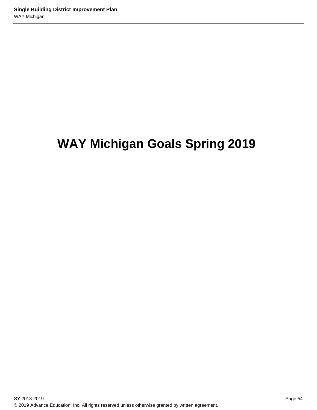# **WAY Michigan Goals Spring 2019**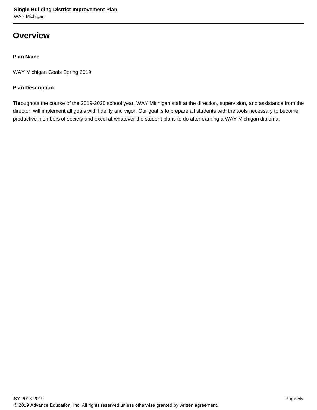## **Overview**

## **Plan Name**

WAY Michigan Goals Spring 2019

## **Plan Description**

Throughout the course of the 2019-2020 school year, WAY Michigan staff at the direction, supervision, and assistance from the director, will implement all goals with fidelity and vigor. Our goal is to prepare all students with the tools necessary to become productive members of society and excel at whatever the student plans to do after earning a WAY Michigan diploma.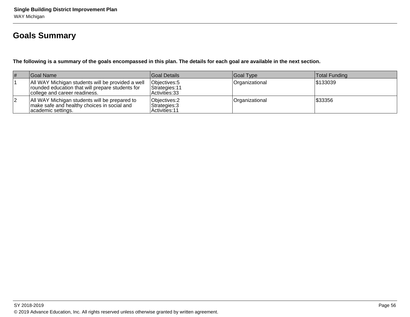## **Goals Summary**

**The following is a summary of the goals encompassed in this plan. The details for each goal are available in the next section.**

| # | Goal Name_                                                                                                                             | Goal Details                                      | Goal Type      | <b>Total Funding</b> |
|---|----------------------------------------------------------------------------------------------------------------------------------------|---------------------------------------------------|----------------|----------------------|
|   | All WAY Michigan students will be provided a well<br>rounded education that will prepare students for<br>college and career readiness. | Objectives: 5<br>Strategies: 11<br>Activities: 33 | Organizational | \$133039             |
|   | All WAY Michigan students will be prepared to<br>make safe and healthy choices in social and<br> academic settings.                    | Objectives: 2<br>Strategies: 3<br>Activities: 11  | Organizational | \$33356              |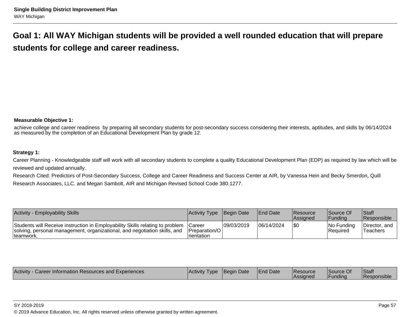## **Goal 1: All WAY Michigan students will be provided a well rounded education that will preparestudents for college and career readiness.**

## **Measurable Objective 1:**

achieve college and career readiness by preparing all secondary students for post-secondary success considering their interests, aptitudes, and skills by 06/14/2024as measured by the completion of an Educational Development Plan by grade 12.

## **Strategy 1:**

Career Planning - Knowledgeable staff will work with all secondary students to complete a quality Educational Development Plan (EDP) as required by law which will bereviewed and updated annually.

Research Cited: Predictors of Post-Secondary Success, College and Career Readiness and Success Center at AIR, by Vanessa Hein and Becky Smerdon, QuillResearch Associates, LLC. and Megan Sambolt, AIR and Michigan Revised School Code 380.1277.

| <b>Activity - Employability Skills</b>                                                                                                                                   | Activity Type Begin Date                        |            | <b>IEnd Date</b> | Resource<br><b>Assigned</b> | Source Of<br><b>Funding</b> | <b>Staff</b><br><b>Responsible</b> |
|--------------------------------------------------------------------------------------------------------------------------------------------------------------------------|-------------------------------------------------|------------|------------------|-----------------------------|-----------------------------|------------------------------------|
| Students will Receive instruction in Employability Skills relating to problem<br>solving, personal management, organizational, and negotiation skills, and<br>Iteamwork. | lCareer<br>Preparation/O<br><b>I</b> rientation | 09/03/2019 | 06/14/2024       | 1\$C                        | INo Fundina<br> Reauired    | Director, and<br>Teachers          |

| Activity<br>Career Information Resources and Experiences | <b>IActivity</b><br><b>I</b> ype | <b>Begin Date</b> | <b>End Date</b> | l Resource<br>'Assianec | Source Of<br>Fundina | <b>Staff</b><br>l Responsible |
|----------------------------------------------------------|----------------------------------|-------------------|-----------------|-------------------------|----------------------|-------------------------------|
|                                                          |                                  |                   |                 |                         |                      |                               |

#### SY 2018-2019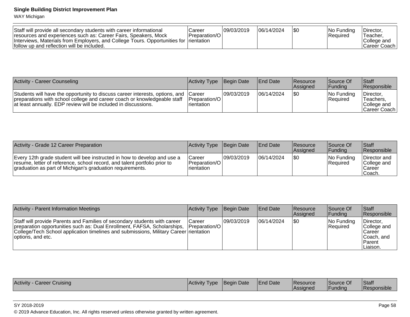WAY Michigan

| Staff will provide all secondary students with career informational<br>resources and experiences such as: Career Fairs, Speakers, Mock<br>Interviews, Materials from Employers, and College Tours. Opportunities for Irientation<br>follow up and reflection will be included. | Career<br>Preparation/O | 09/03/2019 | 06/14/2024 |  | INo Fundina<br>l Reauired | <sup>1</sup> Director<br>Teacher.<br>College and<br>lCareer Coach |
|--------------------------------------------------------------------------------------------------------------------------------------------------------------------------------------------------------------------------------------------------------------------------------|-------------------------|------------|------------|--|---------------------------|-------------------------------------------------------------------|
|--------------------------------------------------------------------------------------------------------------------------------------------------------------------------------------------------------------------------------------------------------------------------------|-------------------------|------------|------------|--|---------------------------|-------------------------------------------------------------------|

| <b>Activity - Career Counseling</b>                                                                                                                                                                                               | Activity Type Begin Date              |            | <b>IEnd Date</b> | Resource<br><b>Assigned</b> | Source Of<br><b>Funding</b>    | <b>Staff</b><br><b>Responsible</b>                      |
|-----------------------------------------------------------------------------------------------------------------------------------------------------------------------------------------------------------------------------------|---------------------------------------|------------|------------------|-----------------------------|--------------------------------|---------------------------------------------------------|
| Students will have the opportunity to discuss career interests, options, and Career<br>preparations with school college and career coach or knowledgeable staff<br>at least annually. EDP review will be included in discussions. | <b>IPreparation/OI</b><br>Irientation | 09/03/2019 | 06/14/2024       | 1\$0                        | INo Fundina<br><b>Required</b> | Director.<br>'Teachers,<br>College and<br> Career Coach |

| Activity - Grade 12 Career Preparation                                                                                                                                                                             | Activity Type Begin Date                         |             | <b>End Date</b> | <b>Resource</b><br><b>Assigned</b> | Source Of<br><b>IFundina</b> | Staff<br><b>Responsible</b>                      |
|--------------------------------------------------------------------------------------------------------------------------------------------------------------------------------------------------------------------|--------------------------------------------------|-------------|-----------------|------------------------------------|------------------------------|--------------------------------------------------|
| Every 12th grade student will bee instructed in how to develop and use a<br>resume, letter of reference, school record, and talent portfolio prior to<br>graduation as part of Michigan's graduation requirements. | Career<br> Preparation/O <br><b>I</b> rientation | 109/03/2019 | 106/14/2024     | 1\$0                               | INo Fundina<br>Required      | Director and<br>College and<br>Career<br>∣Coach. |

| <b>Activity - Parent Information Meetings</b>                                                                                                                                                                                                                                     | Activity Type Begin Date |             | <b>End Date</b> | <b>Resource</b><br><b>Assigned</b> | Source Of<br><b>Funding</b> | Staff<br>Responsible                                                                 |
|-----------------------------------------------------------------------------------------------------------------------------------------------------------------------------------------------------------------------------------------------------------------------------------|--------------------------|-------------|-----------------|------------------------------------|-----------------------------|--------------------------------------------------------------------------------------|
| Staff will provide Parents and Families of secondary students with career<br>preparation opportunities such as: Dual Enrollment, FAFSA, Scholarships, Preparation/O<br>College/Tech School application timelines and submissions, Military Career rientation<br>options, and etc. | <b>ICareer</b>           | 109/03/2019 | 06/14/2024      | \$0                                | $ No$ Funding<br>Required   | Director,<br>College and<br><b>Career</b><br>Coach, and<br><b>Parent</b><br>Liaison. |

| Activity<br>Cruising<br>Career | ⊺Activity<br>I vpe | <b>Begin Date</b> | <b>End Date</b> | <b>Resource</b><br>/Assigned | Source Of<br>Funding | Staff<br><b>Responsible</b> |
|--------------------------------|--------------------|-------------------|-----------------|------------------------------|----------------------|-----------------------------|
|--------------------------------|--------------------|-------------------|-----------------|------------------------------|----------------------|-----------------------------|

#### SY 2018-2019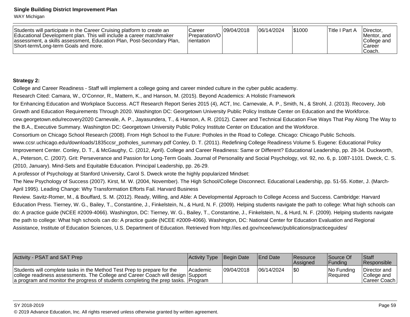WAY Michigan

| Students will participate in the Career Cruising platform to create an<br>Educational Development plan. This will include a career matchmaker<br>assessment, a skills assessment, Education Plan, Post-Secondary Plan,<br>Short-term/Long-term Goals and more. | lCareer<br><b>IPreparation/OI</b><br><b>I</b> rientation | 109/04/2018 | 06/14/2024 | 1\$1000 | Title I Part A | Director.<br>Mentor, and<br>College and<br>l Career<br>Coach. |
|----------------------------------------------------------------------------------------------------------------------------------------------------------------------------------------------------------------------------------------------------------------|----------------------------------------------------------|-------------|------------|---------|----------------|---------------------------------------------------------------|
|----------------------------------------------------------------------------------------------------------------------------------------------------------------------------------------------------------------------------------------------------------------|----------------------------------------------------------|-------------|------------|---------|----------------|---------------------------------------------------------------|

## **Strategy 2:**

College and Career Readiness - Staff will implement a college going and career minded culture in the cyber public academy.

Research Cited: Camara, W., O'Connor, R., Mattern, K., and Hanson, M. (2015). Beyond Academics: A Holistic Framework

for Enhancing Education and Workplace Success. ACT Research Report Series 2015 (4), ACT, Inc. Carnevale, A. P., Smith, N., & Strohl, J. (2013). Recovery, Job

Growth and Education Requirements Through 2020. Washington DC: Georgetown University Public Policy Institute Center on Education and the Workforce.

cew.georgetown.edu/recovery2020 Carnevale, A. P., Jayasundera, T., & Hanson, A. R. (2012). Career and Technical Education Five Ways That Pay Along The Way tothe B.A., Executive Summary. Washington DC: Georgetown University Public Policy Institute Center on Education and the Workforce.

Consortium on Chicago School Research (2008). From High School to the Future: Potholes in the Road to College. Chicago: Chicago Public Schools.

www.ccsr.uchicago.edu/downloads/1835ccsr\_potholes\_summary.pdf Conley, D. T. (2011). Redefining College Readiness Volume 5. Eugene: Educational Policy

Improvement Center. Conley, D. T., & McGaughy, C. (2012, April). College and Career Readiness: Same or Different? Educational Leadership, pp. 28-34. Duckworth,

A., Peterson, C. (2007). Grit: Perseverance and Passion for Long-Term Goals. Journal of Personality and Social Psychology, vol. 92, no. 6, p. 1087-1101. Dweck, C. S.

(2010, January). Mind-Sets and Equitable Education. Principal Leadership, pp. 26-29.

A professor of Psychology at Stanford University, Carol S. Dweck wrote the highly popularized Mindset:

The New Psychology of Success (2007). Kirst, M. W. (2004, November). The High School/College Disconnect. Educational Leadership, pp. 51-55. Kotter, J. (March-April 1995). Leading Change: Why Transformation Efforts Fail. Harvard Business

Review. Savitz-Romer, M., & Bouffard, S. M. (2012). Ready, Willing, and Able: A Developmental Approach to College Access and Success. Cambridge: Harvard Education Press. Tierney, W. G., Bailey, T., Constantine, J., Finkelstein, N., & Hurd, N. F. (2009). Helping students navigate the path to college: What high schools can do: A practice guide (NCEE #2009-4066). Washington, DC: Tierney, W. G., Bailey, T., Constantine, J., Finkelstein, N., & Hurd, N. F. (2009). Helping students navigatethe path to college: What high schools can do: A practice guide (NCEE #2009-4066). Washington, DC: National Center for Education Evaluation and RegionalAssistance, Institute of Education Sciences, U.S. Department of Education. Retrieved from http://ies.ed.gov/ncee/wwc/publications/practiceguides/

| Activity - PSAT and SAT Prep                                                                                                                                                                                                                    | <b>Activity Type Begin Date</b> |             | <b>IEnd Date</b> | <b>IResource</b><br><b>Assigned</b> | Source Of<br>lFundina     | <sup>I</sup> Staff<br><b>Responsible</b>      |
|-------------------------------------------------------------------------------------------------------------------------------------------------------------------------------------------------------------------------------------------------|---------------------------------|-------------|------------------|-------------------------------------|---------------------------|-----------------------------------------------|
| Students will complete tasks in the Method Test Prep to prepare for the<br>college readiness assessments. The College and Career Coach will design Support<br>a program and monitor the progress of students completing the prep tasks. Program | <b>IAcademic</b>                | 109/04/2018 | 06/14/2024       | 1\$0                                | INo Funding<br>l Reauired | Director and<br>College and<br>Career Coach I |

#### SY 2018-2019

en and the state of the state of the state of the state of the state of the state of the state of the state of the state of the state of the state of the state of the state of the state of the state of the state of the sta © 2019 Advance Education, Inc. All rights reserved unless otherwise granted by written agreement.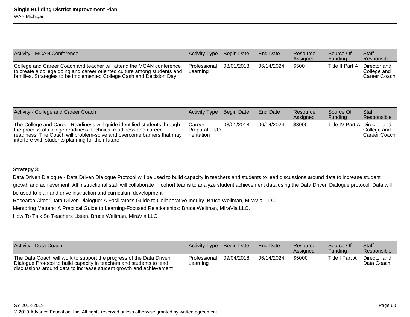| <b>Activity - MCAN Conference</b>                                                                                                                                                                                         | Activity Type Begin Date   |             | <b>IEnd Date</b> | <b>Resource</b><br><b>Assigned</b> | Source Of<br><b>IFundina</b> | <b>Staff</b><br><b>Responsible</b>           |
|---------------------------------------------------------------------------------------------------------------------------------------------------------------------------------------------------------------------------|----------------------------|-------------|------------------|------------------------------------|------------------------------|----------------------------------------------|
| College and Career Coach and teacher will attend the MCAN conference<br>to create a college going and career oriented culture among students and<br>families. Strategies to be implemented College Cash and Decision Day. | l Professional<br>Learning | 108/01/2018 | 106/14/2024      | \$500                              | Title II Part A              | Director and<br>College and<br> Career Coach |

| Activity - College and Career Coach                                                                                                                                                                                                                                         | Activity Type Begin Date      |            | <b>IEnd Date</b> | <b>Resource</b><br>Assigned | Source Of<br><b>IFunding</b>        | <b>Staff</b><br>Responsible  |
|-----------------------------------------------------------------------------------------------------------------------------------------------------------------------------------------------------------------------------------------------------------------------------|-------------------------------|------------|------------------|-----------------------------|-------------------------------------|------------------------------|
| The College and Career Readiness will guide identified students through<br>the process of college readiness, technical readiness and career<br>readiness. The Coach will problem-solve and overcome barriers that may<br>interfere with students planning for their future. | Career<br><b>I</b> rientation | 08/01/2018 | 106/14/2024      | \$3000                      | <b>Title IV Part A Director and</b> | College and<br> Career Coach |

## **Strategy 3:**

Data Driven Dialogue - Data Driven Dialogue Protocol will be used to build capacity in teachers and students to lead discussions around data to increase studentgrowth and achievement. All Instructional staff will collaborate in cohort teams to analyze student achievement data using the Data Driven Dialogue protocol. Data willbe used to plan and drive instruction and curriculum development.

Research Cited: Data Driven Dialogue: A Facilitator's Guide to Collaborative Inquiry. Bruce Wellman, MiraVia, LLC.

Mentoring Matters: A Practical Guide to Learning-Focused Relationships: Bruce Wellman, MIraVia LLC.

How To Talk So Teachers Listen. Bruce Wellman, MiraVia LLC.

| Activity - Data Coach                                                                                                                                                                                             | Activity Type Begin Date   |            | <b>IEnd Date</b> | <b>IResource</b><br><b>Assigned</b> | <b>Source Of</b><br><b>Funding</b> | <b>Staff</b><br><b>Responsible</b> |
|-------------------------------------------------------------------------------------------------------------------------------------------------------------------------------------------------------------------|----------------------------|------------|------------------|-------------------------------------|------------------------------------|------------------------------------|
| The Data Coach will work to support the progress of the Data Driven<br>Dialogue Protocol to build capacity in teachers and students to lead<br>discussions around data to increase student growth and achievement | l Professional<br>Learning | 09/04/2018 | 06/14/2024       | 1\$5000                             | <b>Title I Part A</b>              | Director and<br>IData Coach.       |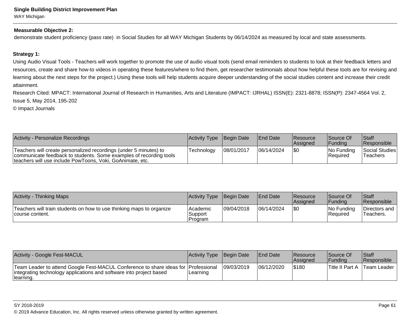## **Single Building District Improvement Plan**WAY Michigan

#### **Measurable Objective 2:**

demonstrate student proficiency (pass rate) in Social Studies for all WAY Michigan Students by 06/14/2024 as measured by local and state assessments.

## **Strategy 1:**

Using Audio Visual Tools - Teachers will work together to promote the use of audio visual tools (send email reminders to students to look at their feedback letters andresources, create and share how-to videos in operating these features/where to find them, get researcher testimonials about how helpful these tools are for revising and learning about the next steps for the project.) Using these tools will help students acquire deeper understanding of the social studies content and increase their creditattainment.

Research Cited: MPACT: International Journal of Research in Humanities, Arts and Literature (IMPACT: IJRHAL) ISSN(E): 2321-8878; ISSN(P): 2347-4564 Vol. 2,Issue 5, May 2014, 195-202

© Impact Journals

| Activity - Personalize Recordings                                                                                                                                                                    | Activity Type Begin Date |            | <b>IEnd Date</b> | <b>IResource</b><br><b>Assigned</b> | Source Of<br> Fundina     | <b>Staff</b><br><b>Responsible</b> |
|------------------------------------------------------------------------------------------------------------------------------------------------------------------------------------------------------|--------------------------|------------|------------------|-------------------------------------|---------------------------|------------------------------------|
| Teachers will create personalized recordings (under 5 minutes) to<br>communicate feedback to students. Some examples of recording tools<br>teachers will use include PowToons, Voki, GoAnimate, etc. | Technoloav               | 08/01/2017 | 06/14/2024       | \$0                                 | $ No$ Funding<br>Required | Social Studies<br>'Teachers        |

| Activity -<br><b>Thinking Maps</b>                                                      | Activity Type                   | Begin Date | <b>End Date</b> | <b>Resource</b><br><b>Assigned</b> | lSource Of<br><b>Funding</b>  | <b>Staff</b><br>Responsible |
|-----------------------------------------------------------------------------------------|---------------------------------|------------|-----------------|------------------------------------|-------------------------------|-----------------------------|
| Teachers will train students on how to use thinking maps to organize<br>course content. | lAcademic<br>Support<br>Program | 09/04/2018 | 06/14/2024      | \$0                                | No Funding<br><b>Required</b> | Directors and<br>Teachers.  |

| <b>Activity - Google Fest-MACUL</b>                                                                                                                                    | Activity Type Begin Date |            | <b>IEnd Date</b> | <b>Resource</b><br><b>Assigned</b> | Source Of<br>lFundina | Staff<br><b>Responsible</b> |
|------------------------------------------------------------------------------------------------------------------------------------------------------------------------|--------------------------|------------|------------------|------------------------------------|-----------------------|-----------------------------|
| Team Leader to attend Google Fest-MACUL Conference to share ideas for Professional<br>integrating technology applications and software into project based<br>Hearning. | Learning                 | 09/03/2019 | 06/12/2020       | 5180                               | 'Title II Part A      | 'Team Leader ⊺              |

#### SY 2018-2019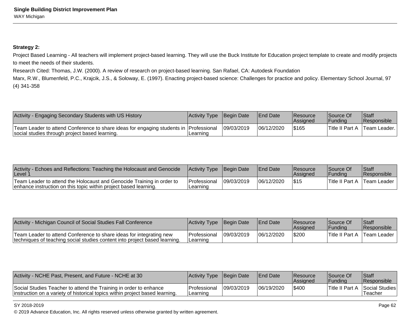## **Strategy 2:**

Project Based Learning - All teachers will implement project-based learning. They will use the Buck Institute for Education project template to create and modify projects to meet the needs of their students.

Research Cited: Thomas, J.W. (2000). A review of research on project-based learning. San Rafael, CA: Autodesk Foundation

 Marx, R.W., Blumenfeld, P.C., Krajcik, J.S., & Soloway, E. (1997). Enacting project-based science: Challenges for practice and policy. Elementary School Journal, 97(4) 341-358

| Activity - Engaging Secondary Students with US History                                                                                    | Activity Type Begin Date |            | <b>End Date</b> | Resource<br><b>Assigned</b> | Source Of<br> Fundina  | <sup>I</sup> Staff<br><b>Responsible</b> |
|-------------------------------------------------------------------------------------------------------------------------------------------|--------------------------|------------|-----------------|-----------------------------|------------------------|------------------------------------------|
| Team Leader to attend Conference to share ideas for engaging students in   Professional<br>social studies through project based learning. | Learning                 | 09/03/2019 | 06/12/2020      | \$165                       | <b>Title II Part A</b> | Team Leader.                             |

| Activity - Echoes and Reflections: Teaching the Holocaust and Genocide<br>/Level 1                                                        | Activity Type Begin Date         |            | <b>End Date</b> | Resource<br>lAssianed | <b>Source Of</b><br><u> 'Fundina'</u> | Staff<br><b>IResponsible</b> |
|-------------------------------------------------------------------------------------------------------------------------------------------|----------------------------------|------------|-----------------|-----------------------|---------------------------------------|------------------------------|
| Team Leader to attend the Holocaust and Genocide Training in order to<br>enhance instruction on this topic within project based learning. | <u>IProfessional</u><br>Learning | 09/03/2019 | 06/12/2020      | <b>S15</b>            | Title II Part A Team Leader           |                              |

| Activity - Michigan Council of Social Studies Fall Conference                                                                                     | Activity Type Begin Date                |            | <b>IEnd Date</b> | <b>Resource</b><br>lAssianed | <b>Source Of</b><br>IFundina | Staff<br><b>Responsible</b> |
|---------------------------------------------------------------------------------------------------------------------------------------------------|-----------------------------------------|------------|------------------|------------------------------|------------------------------|-----------------------------|
| Team Leader to attend Conference to share ideas for integrating new<br>techniques of teaching social studies content into project based learning. | <b>Professional</b><br><b>ILearning</b> | 09/03/2019 | 06/12/2020       | \$200                        | Title II Part A              | Team Leader                 |

| Activity - NCHE Past, Present, and Future - NCHE at 30                                                                                             | Activity Type                      | Begin Date | <b>IEnd Date</b> | <b>Resource</b><br><b>Assigned</b> | Source Of<br><b>Funding</b> | <b>Staff</b><br>Responsible               |
|----------------------------------------------------------------------------------------------------------------------------------------------------|------------------------------------|------------|------------------|------------------------------------|-----------------------------|-------------------------------------------|
| Social Studies Teacher to attend the Training in order to enhance<br>linstruction on a variety of historical topics within project based learning. | <b>IProfessional</b><br>I Learnınd | 09/03/2019 | 06/19/2020       | <b>S400</b>                        |                             | Title II Part A Social Studies<br>Teacher |

#### SY 2018-2019

en and the state of the state of the state of the state of the state of the state of the state of the Page 62  $\,$ © 2019 Advance Education, Inc. All rights reserved unless otherwise granted by written agreement.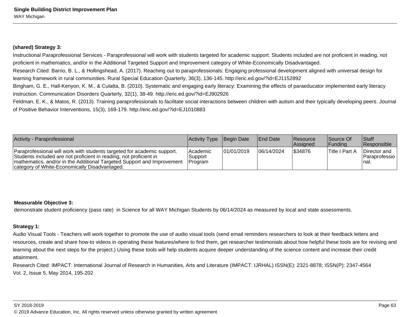## **(shared) Strategy 3:**

Instructional Paraprofessional Services - Paraprofessional will work with students targeted for academic support. Students included are not proficient in reading, notproficient in mathematics, and/or in the Additional Targeted Support and Improvement category of White-Economically Disadvantaged.

Research Cited: Barrio, B. L., & Hollingshead, A. (2017). Reaching out to paraprofessionals: Engaging professional development aligned with universal design forlearning framework in rural communities. Rural Special Education Quarterly, 36(3), 136-145. http://eric.ed.gov/?id=EJ1152892

 Bingham, G. E., Hall-Kenyon, K. M., & Culatta, B. (2010). Systematic and engaging early literacy: Examining the effects of paraeducator implemented early literacyinstruction. Communication Disorders Quarterly, 32(1), 38-49. http://eric.ed.gov/?id=EJ902926

Feldman, E. K., & Matos, R. (2013). Training paraprofessionals to facilitate social interactions between children with autism and their typically developing peers. Journalof Positive Behavior Interventions, 15(3), 169-179. http://eric.ed.gov/?id=EJ1010883

| Activity - Paraprofessional                                                                                                                                                                                                                                                        | Activity Type Begin Date   |            | <b>End Date</b> | <b>Resource</b><br><b>Assigned</b> | Source Of<br> Fundina | <b>Staff</b><br><b>Responsible</b>            |
|------------------------------------------------------------------------------------------------------------------------------------------------------------------------------------------------------------------------------------------------------------------------------------|----------------------------|------------|-----------------|------------------------------------|-----------------------|-----------------------------------------------|
| Paraprofessional will work with students targeted for academic support.<br>Students included are not proficient in reading, not proficient in<br>mathematics, and/or in the Additional Targeted Support and Improvement   Program<br>category of White-Economically Disadvantaged. | <b>Academic</b><br>Support | 01/01/2019 | 06/14/2024      | \$34876                            | <b>Title I Part A</b> | Director and<br><b>Paraprofessio</b><br>Inal. |

## **Measurable Objective 3:**

demonstrate student proficiency (pass rate) in Science for all WAY Michigan Students by 06/14/2024 as measured by local and state assessments.

## **Strategy 1:**

Audio Visual Tools - Teachers will work together to promote the use of audio visual tools (send email reminders researchers to look at their feedback letters andresources, create and share how-to videos in operating these features/where to find them, get researcher testimonials about how helpful these tools are for revising andlearning about the next steps for the project.) Using these tools will help students acquire deeper understanding of the science content and increase their creditattainment.

Research Cited: IMPACT: International Journal of Research in Humanities, Arts and Literature (IMPACT: IJRHAL) ISSN(E): 2321-8878; ISSN(P): 2347-4564Vol. 2, Issue 5, May 2014, 195-202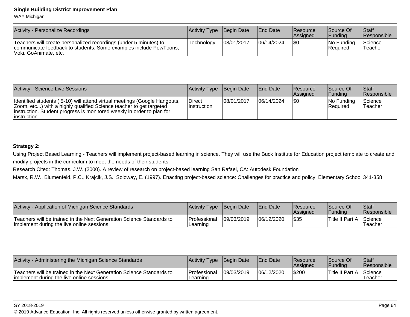WAY Michigan

| Activity - Personalize Recordings                                                                                                                               | <b>Activity Type Begin Date</b> |            | <b>End Date</b> | <b>Resource</b><br><b>Assigned</b> | Source Of<br> Fundina  | <b>Staff</b><br><b>Responsible</b> |
|-----------------------------------------------------------------------------------------------------------------------------------------------------------------|---------------------------------|------------|-----------------|------------------------------------|------------------------|------------------------------------|
| Teachers will create personalized recordings (under 5 minutes) to<br>communicate feedback to students. Some examples include PowToons,<br>Voki, GoAnimate, etc. | Technology                      | 08/01/2017 | 06/14/2024      | \$0                                | No Funding<br>Required | Science<br>Teacher                 |

| Activity - Science Live Sessions                                                                                                                                                                                                            | Activity Type Begin Date            |            | <b>End Date</b> | <b>Resource</b><br><b>Assigned</b> | Source Of<br> Fundina          | Staff<br><b>Responsible</b> |
|---------------------------------------------------------------------------------------------------------------------------------------------------------------------------------------------------------------------------------------------|-------------------------------------|------------|-----------------|------------------------------------|--------------------------------|-----------------------------|
| Identified students (5-10) will attend virtual meetings (Google Hangouts,<br>Zoom, etc) with a highly qualified Science teacher to get targeted<br>linstruction. Student progress is monitored weekly in order to plan for<br>'instruction. | <b>Direct</b><br><b>Instruction</b> | 08/01/2017 | 106/14/2024     | 1\$0                               | INo Fundina<br><b>Required</b> | Science<br>Teacher          |

## **Strategy 2:**

Using Project Based Learning - Teachers will implement project-based learning in science. They will use the Buck Institute for Education project template to create andmodify projects in the curriculum to meet the needs of their students.

Research Cited: Thomas, J.W. (2000). A review of research on project-based learning San Rafael, CA: Autodesk Foundation

Marsx, R.W., Blumenfeld, P.C., Krajcik, J.S., Soloway, E. (1997). Enacting project-based science: Challenges for practice and policy. Elementary School 341-358

| Activity - Application of Michigan Science Standards                                                                | $ $ Activity Type                | Begin Date | <b>End Date</b> | <b>Resource</b><br><b>Assigned</b> | lSource Of<br>lFundina | <b>Staff</b><br>Responsible |
|---------------------------------------------------------------------------------------------------------------------|----------------------------------|------------|-----------------|------------------------------------|------------------------|-----------------------------|
| Teachers will be trained in the Next Generation Science Standards to<br>limplement during the live online sessions. | <b>IProfessional</b><br>Learning | 09/03/2019 | 06/12/2020      | \$35                               | Title II Part A        | <b>Science</b><br>Teacher   |

| Activity - Administering the Michigan Science Standards                                                            | Activity Type Begin Date   |            | <b>IEnd Date</b> | Resource<br><b>Assigned</b> | Source Of<br>Fundina         | Staff<br><b>Responsible</b> |
|--------------------------------------------------------------------------------------------------------------------|----------------------------|------------|------------------|-----------------------------|------------------------------|-----------------------------|
| Teachers will be trained in the Next Generation Science Standards to<br>implement during the live online sessions. | l Professional<br>Learning | 09/03/2019 | 06/12/2020       | \$200                       | <sup>1</sup> Title II Part A | Science<br>Teacher          |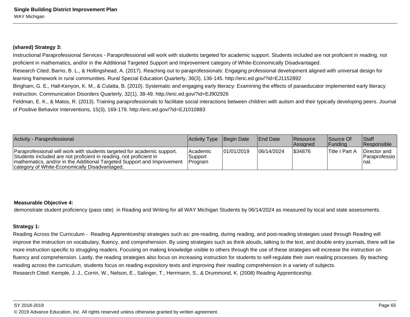## **(shared) Strategy 3:**

Instructional Paraprofessional Services - Paraprofessional will work with students targeted for academic support. Students included are not proficient in reading, notproficient in mathematics, and/or in the Additional Targeted Support and Improvement category of White-Economically Disadvantaged.

Research Cited: Barrio, B. L., & Hollingshead, A. (2017). Reaching out to paraprofessionals: Engaging professional development aligned with universal design forlearning framework in rural communities. Rural Special Education Quarterly, 36(3), 136-145. http://eric.ed.gov/?id=EJ1152892

 Bingham, G. E., Hall-Kenyon, K. M., & Culatta, B. (2010). Systematic and engaging early literacy: Examining the effects of paraeducator implemented early literacyinstruction. Communication Disorders Quarterly, 32(1), 38-49. http://eric.ed.gov/?id=EJ902926

Feldman, E. K., & Matos, R. (2013). Training paraprofessionals to facilitate social interactions between children with autism and their typically developing peers. Journalof Positive Behavior Interventions, 15(3), 169-179. http://eric.ed.gov/?id=EJ1010883

| Activity - Paraprofessional                                                                                                                                                                                                                                              | Activity Type Begin Date         |             | <b>End Date</b> | <b>Resource</b><br><b>Assigned</b> | Source Of<br> Fundina | <b>Staff</b><br><b>Responsible</b>        |
|--------------------------------------------------------------------------------------------------------------------------------------------------------------------------------------------------------------------------------------------------------------------------|----------------------------------|-------------|-----------------|------------------------------------|-----------------------|-------------------------------------------|
| Paraprofessional will work with students targeted for academic support.<br>Students included are not proficient in reading, not proficient in<br>mathematics, and/or in the Additional Targeted Support and Improvement<br>category of White-Economically Disadvantaged. | lAcademic<br>Support<br> Program | 101/01/2019 | 106/14/2024     | \$34876                            | <b>Title I Part A</b> | Director and<br> Paraprofessio  <br>Inal. |

## **Measurable Objective 4:**

demonstrate student proficiency (pass rate) in Reading and Writing for all WAY Michigan Students by 06/14/2024 as measured by local and state assessments.

## **Strategy 1:**

Reading Across the Curriculum - Reading Apprenticeship strategies such as: pre-reading, during reading, and post-reading strategies used through Reading willimprove the instruction on vocabulary, fluency, and comprehension. By using strategies such as think alouds, talking to the text, and double entry journals, there will bemore instruction specific to struggling readers. Focusing on making knowledge visible to others through the use of these strategies will increase the instruction onfluency and comprehension. Lastly, the reading strategies also focus on increasing instruction for students to self-regulate their own reading processes. By teachingreading across the curriculum, students focus on reading expository texts and improving their reading comprehension in a variety of subjects.Research Cited: Kemple, J. J., Corrin, W., Nelson, E., Salinger, T., Herrmann, S., & Drummond, K. (2008) Reading Apprenticeship.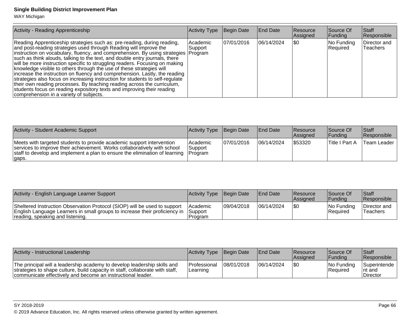WAY Michigan

| Activity - Reading Apprenticeship                                                                                                                                                                                                                                                                                                                                                                                                                                                                                                                                                                                                                                                                                                                                                                                                       | <b>Activity Type</b> | Begin Date  | <b>End Date</b> | <b>Resource</b><br>Assigned | Source Of<br> Funding  | <b>Staff</b><br>Responsible |
|-----------------------------------------------------------------------------------------------------------------------------------------------------------------------------------------------------------------------------------------------------------------------------------------------------------------------------------------------------------------------------------------------------------------------------------------------------------------------------------------------------------------------------------------------------------------------------------------------------------------------------------------------------------------------------------------------------------------------------------------------------------------------------------------------------------------------------------------|----------------------|-------------|-----------------|-----------------------------|------------------------|-----------------------------|
| Reading Apprenticeship strategies such as: pre-reading, during reading,<br>and post-reading strategies used through Reading will improve the<br>instruction on vocabulary, fluency, and comprehension. By using strategies Program<br>such as think alouds, talking to the text, and double entry journals, there<br>will be more instruction specific to struggling readers. Focusing on making<br>knowledge visible to others through the use of these strategies will<br>increase the instruction on fluency and comprehension. Lastly, the reading<br>strategies also focus on increasing instruction for students to self-regulate<br>their own reading processes. By teaching reading across the curriculum,<br>students focus on reading expository texts and improving their reading<br>comprehension in a variety of subjects. | Academic<br>Support  | 107/01/2016 | 06/14/2024      | ISO                         | No Funding<br>Required | Director and<br>Teachers    |

| Activity - Student Academic Support                                                                                                                                                                                                       | Activity Type Begin Date                |            | <b>End Date</b> | Resource<br>Assigned | Source Of<br> Fundina | <b>Staff</b><br><b>Responsible</b> |
|-------------------------------------------------------------------------------------------------------------------------------------------------------------------------------------------------------------------------------------------|-----------------------------------------|------------|-----------------|----------------------|-----------------------|------------------------------------|
| Meets with targeted students to provide academic support intervention<br>services to improve their achievement. Works collaboratively with school<br>staff to develop and implement a plan to ensure the elimination of learning<br>gaps. | lAcademic<br>Support<br><b>IProgram</b> | 07/01/2016 | 06/14/2024      | \$53320              | ∣Title I Part A       | Team Leader                        |

| Activity - English Language Learner Support                                                                                                                                                 | <b>Activity Type Begin Date</b>               |            | <b>IEnd Date</b> | <b>Resource</b><br><b>Assigned</b> | <b>Source Of</b><br><b>IFundina</b> | Staff<br><b>Responsible</b> |
|---------------------------------------------------------------------------------------------------------------------------------------------------------------------------------------------|-----------------------------------------------|------------|------------------|------------------------------------|-------------------------------------|-----------------------------|
| Sheltered Instruction Observation Protocol (SIOP) will be used to support<br>English Language Learners in small groups to increase their proficiency in<br>reading, speaking and listening. | <b>IAcademic</b><br><b>Support</b><br>Program | 09/04/2018 | 06/14/2024       | \$0                                | No Funding<br> Reauired             | Director and<br>'Teachers   |

| Activity - Instructional Leadership                                                                                                                                                                                      | Activity Type Begin Date                 |            | <b>IEnd Date</b> | Resource<br>lAssianed | Source Of<br> Fundina          | <b>Staff</b><br><b>Responsible</b>          |
|--------------------------------------------------------------------------------------------------------------------------------------------------------------------------------------------------------------------------|------------------------------------------|------------|------------------|-----------------------|--------------------------------|---------------------------------------------|
| The principal will a leadership academy to develop leadership skills and<br>strategies to shape culture, build capacity in staff, collaborate with staff,<br>communicate effectively and become an instructional leader. | <b>IProfessional</b><br><b>ILearning</b> | 08/01/2018 | 06/14/2024       |                       | INo Fundina<br><b>Required</b> | <b>Superintende</b><br>Int and<br>∣Director |

SY 2018-2019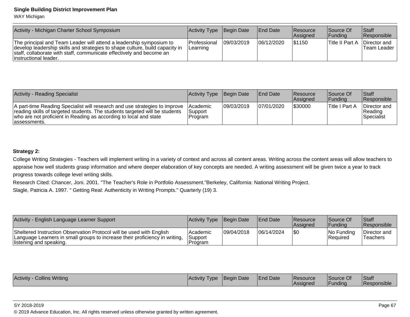WAY Michigan

| Activity - Michigan Charter School Symposium                                                                                                                                                                                                          | <b>Activity Type</b>             | Begin Date | <b>End Date</b> | Resource<br><b>Assigned</b> | Source Of<br><b>IFundina</b> | <b>Staff</b><br><b>Responsible</b> |
|-------------------------------------------------------------------------------------------------------------------------------------------------------------------------------------------------------------------------------------------------------|----------------------------------|------------|-----------------|-----------------------------|------------------------------|------------------------------------|
| The principal and Team Leader will attend a leadership symposium to<br>develop leadership skills and strategies to shape culture, build capacity in<br>staff, collaborate with staff, communicate effectively and become an<br>linstructional leader. | <b>IProfessional</b><br>Learning | 09/03/2019 | 06/12/2020      | 1\$1150                     | <b>Title II Part A</b>       | Director and<br>lTeam Leader       |

| Activity - Reading Specialist                                                                                                                                                                                                                   | Activity Type Begin Date              |            | <b>IEnd Date</b> | <b>Resource</b><br><b>Assigned</b> | Source Of<br><b>IFundina</b> | Staff<br><b>Responsible</b>             |
|-------------------------------------------------------------------------------------------------------------------------------------------------------------------------------------------------------------------------------------------------|---------------------------------------|------------|------------------|------------------------------------|------------------------------|-----------------------------------------|
| A part-time Reading Specialist will research and use strategies to improve<br>reading skills of targeted students. The students targeted will be students<br>who are not proficient in Reading as according to local and state<br>lassessments. | <b>Academic</b><br>Support<br>Program | 09/03/2019 | 07/01/2020       | 1\$30000                           | Title I Part A               | Director and<br>l Reading<br>Specialist |

## **Strategy 2:**

College Writing Strategies - Teachers will implement writing in a variety of context and across all content areas. Writing across the content areas will allow teachers toappraise how well students grasp information and where deeper elaboration of key concepts are needed. A writing assessment will be given twice a year to trackprogress towards college level writing skills.

Research Cited: Chancer, Joni. 2001. "The Teacher's Role in Portfolio Assessment."Berkeley, California: National Writing Project.

Slagle, Patricia A. 1997. " Getting Real: Authenticity in Writing Prompts." Quarterly (19) 3.

| Activity - English Language Learner Support                                                                                                                                    | Activity Type Begin Date           |            | <b>IEnd Date</b> | Resource<br><b>Assigned</b> | Source Of<br> Fundina         | <b>Staff</b><br><b>Responsible</b> |
|--------------------------------------------------------------------------------------------------------------------------------------------------------------------------------|------------------------------------|------------|------------------|-----------------------------|-------------------------------|------------------------------------|
| Sheltered Instruction Observation Protocol will be used with English<br>Language Learners in small groups to increase their proficiency in writing,<br>listening and speaking. | l Academic<br> Support<br>IProgram | 09/04/2018 | 06/14/2024       | 1\$C                        | No Funding<br><b>Required</b> | Director and<br><b>Teachers</b>    |

| Writing<br>Activity<br>Collins | <b>Activity</b><br><b>I</b> vpe | <b>IBegin Date</b> | <b>IEnd Date</b> | <b>Resource</b><br><b>IAssigned</b> | Source Of<br>Fundina | Staff<br>$\cdots$<br><b>Responsible</b> |
|--------------------------------|---------------------------------|--------------------|------------------|-------------------------------------|----------------------|-----------------------------------------|
|--------------------------------|---------------------------------|--------------------|------------------|-------------------------------------|----------------------|-----------------------------------------|

#### SY 2018-2019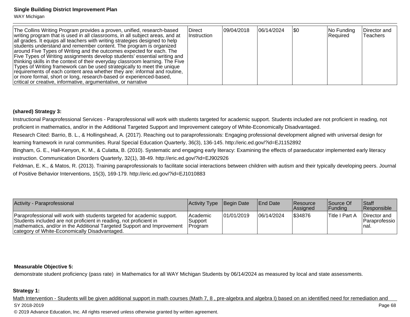WAY Michigan

| The Collins Writing Program provides a proven, unified, research-based<br>writing program that is used in all classrooms, in all subject areas, and at<br>all grades. It equips all teachers with writing strategies designed to help<br>students understand and remember content. The program is organized<br>around Five Types of Writing and the outcomes expected for each. The<br>Five Types of Writing assignments develop students' essential writing and<br>thinking skills in the context of their everyday classroom learning. The Five<br>Types of Writing framework can be used strategically to meet the unique<br>requirements of each content area whether they are: informal and routine,<br>or more formal, short or long, research-based or experienced-based, | Direct<br><i>Instruction</i> | 09/04/2018 | 06/14/2024 | 1\$0 | No Funding<br>Required | Director and<br>Teachers |
|----------------------------------------------------------------------------------------------------------------------------------------------------------------------------------------------------------------------------------------------------------------------------------------------------------------------------------------------------------------------------------------------------------------------------------------------------------------------------------------------------------------------------------------------------------------------------------------------------------------------------------------------------------------------------------------------------------------------------------------------------------------------------------|------------------------------|------------|------------|------|------------------------|--------------------------|
| critical or creative, informative, argumentative, or narrative                                                                                                                                                                                                                                                                                                                                                                                                                                                                                                                                                                                                                                                                                                                   |                              |            |            |      |                        |                          |

## **(shared) Strategy 3:**

Instructional Paraprofessional Services - Paraprofessional will work with students targeted for academic support. Students included are not proficient in reading, notproficient in mathematics, and/or in the Additional Targeted Support and Improvement category of White-Economically Disadvantaged.

Research Cited: Barrio, B. L., & Hollingshead, A. (2017). Reaching out to paraprofessionals: Engaging professional development aligned with universal design forlearning framework in rural communities. Rural Special Education Quarterly, 36(3), 136-145. http://eric.ed.gov/?id=EJ1152892

 Bingham, G. E., Hall-Kenyon, K. M., & Culatta, B. (2010). Systematic and engaging early literacy: Examining the effects of paraeducator implemented early literacyinstruction. Communication Disorders Quarterly, 32(1), 38-49. http://eric.ed.gov/?id=EJ902926

Feldman, E. K., & Matos, R. (2013). Training paraprofessionals to facilitate social interactions between children with autism and their typically developing peers. Journal of Positive Behavior Interventions, 15(3), 169-179. http://eric.ed.gov/?id=EJ1010883

| Activity - Paraprofessional                                                                                                                                                                                                                                              | Activity Type Begin Date                      |            | <b>End Date</b> | <b>Resource</b><br><b>Assigned</b> | Source Of<br> Fundina | <b>Staff</b><br><b>Responsible</b>        |
|--------------------------------------------------------------------------------------------------------------------------------------------------------------------------------------------------------------------------------------------------------------------------|-----------------------------------------------|------------|-----------------|------------------------------------|-----------------------|-------------------------------------------|
| Paraprofessional will work with students targeted for academic support.<br>Students included are not proficient in reading, not proficient in<br>mathematics, and/or in the Additional Targeted Support and Improvement<br>category of White-Economically Disadvantaged. | <b>Academic</b><br>Support<br><b>IProgram</b> | 01/01/2019 | 06/14/2024      | 534876                             | ∣Title I Part A       | Director and<br> Paraprofessio  <br>Inal. |

## **Measurable Objective 5:**

demonstrate student proficiency (pass rate) in Mathematics for all WAY Michigan Students by 06/14/2024 as measured by local and state assessments.

## **Strategy 1:**

Math Intervention - Students will be given additional support in math courses (Math 7, 8, pre-algebra and algebra I) based on an identified need for remediation and SY 2018-2019en die staatsgeskilde is in die 19de jaar van die 19de eeu n.C. In 19de jaar van die 19de eeu n.C. In 19de 68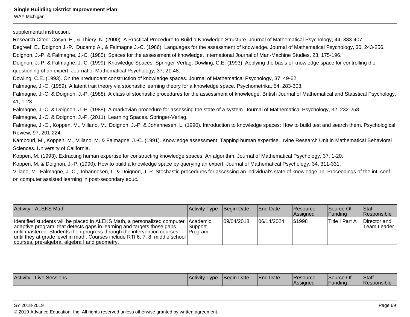supplemental instruction.

Research Cited: Cosyn, E., & Thiery, N. (2000). A Practical Procedure to Build a Knowledge Structure. Journal of Mathematical Psychology, 44, 383-407.

Degreef, E., Doignon J.-P., Ducamp A., & Falmagne J.-C. (1986). Languages for the assessment of knowledge. Journal of Mathematical Psychology, 30, 243-256.

Doignon, J.-P. & Falmagne, J.-C. (1985). Spaces for the assessment of knowledge. International Journal of Man-Machine Studies, 23, 175-196.

Doignon, J.-P. & Falmagne, J.-C. (1999). Knowledge Spaces. Springer-Verlag. Dowling, C.E. (1993). Applying the basis of knowledge space for controlling thequestioning of an expert. Journal of Mathematical Psychology, 37, 21-48.

Dowling, C.E. (1993). On the irredundant construction of knowledge spaces. Journal of Mathematical Psychology, 37, 49-62.

Falmagne, J.-C. (1989). A latent trait theory via stochastic learning theory for a knowledge space. Psychometrika, 54, 283-303.

Falmagne, J.-C. & Doignon, J.-P. (1988). A class of stochastic procedures for the assessment of knowledge. British Journal of Mathematical and Statistical Psychology,41, 1-23.

Falmagne, J.-C. & Doignon, J.-P. (1988). A markovian procedure for assessing the state of a system. Journal of Mathematical Psychology, 32, 232-258.

Falmagne, J.-C. & Doignon, J.-P. (2011). Learning Spaces. Springer-Verlag.

Falmagne, J.-C., Koppen, M., Villano, M., Doignon, J.-P. & Johannesen, L. (1990). Introduction to knowledge spaces: How to build test and search them. PsychologicalReview, 97, 201-224.

Kambouri, M., Koppen, M., Villano, M. & Falmagne, J.-C. (1991). Knowledge assessment: Tapping human expertise. Irvine Research Unit in Mathematical BehavioralSciences. University of California.

Koppen, M. (1993). Extracting human expertise for constructing knowledge spaces: An algorithm. Journal of Mathematical Psychology, 37, 1-20.

Koppen, M. & Doignon, J.-P. (1990). How to build a knowledge space by querying an expert. Journal of Mathematical Psychology, 34, 311-331.

Villano, M., Falmagne, J.-C., Johannesen, L. & Doignon, J.-P. Stochastic procedures for assessing an individual's state of knowledge. In: Proceedings of the int. conf.on computer assisted learning in post-secondary educ.

| <b>Activity - ALEKS Math</b>                                                                                                                                                                                                                                                                                                                                                | Activity Type Begin Date |             | <b>End Date</b> | <b>Resource</b><br><b>Assigned</b> | Source Of<br> Fundina | <b>Staff</b><br><b>Responsible</b> |
|-----------------------------------------------------------------------------------------------------------------------------------------------------------------------------------------------------------------------------------------------------------------------------------------------------------------------------------------------------------------------------|--------------------------|-------------|-----------------|------------------------------------|-----------------------|------------------------------------|
| Identified students will be placed in ALEKS Math, a personalized computer   Academic<br>adaptive program, that detects gaps in learning and targets those gaps<br>until mastered. Students then progress through the intervention courses<br>until they at grade level in math. Courses include RTI 6, 7, 8, middle school<br>courses, pre-algebra, algebra I and geometry. | Support<br> Program      | 109/04/2018 | 06/14/2024      | 51998                              | <b>Title I Part A</b> | Director and<br>Team Leader I      |

| <b>Activity - Live Sessions</b> | <b>Activity Type</b> | Begin Date | <b>End Date</b> | <b>Resource</b><br><b>Assigned</b> | <b>Source Of</b><br>Funding | Staff<br><b>Responsible</b> |
|---------------------------------|----------------------|------------|-----------------|------------------------------------|-----------------------------|-----------------------------|
|---------------------------------|----------------------|------------|-----------------|------------------------------------|-----------------------------|-----------------------------|

SY 2018-2019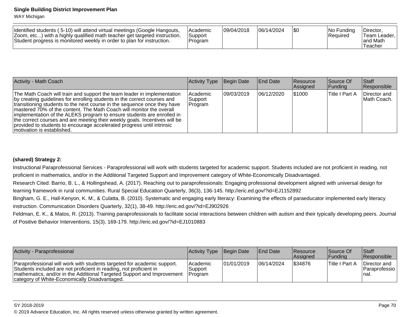WAY Michigan

| Identified students (5-10) will attend virtual meetings (Google Hangouts,<br>Zoom, etc) with a highly qualified math teacher get targeted instruction.<br>Student progress is monitored weekly in order to plan for instruction. | <b>IAcademic</b><br>Support<br>Program | 09/04/2018 | 06/14/2024 |  | INo Fundina<br>Required | Director<br>'Team Leader.<br>and Math<br>Teacher |
|----------------------------------------------------------------------------------------------------------------------------------------------------------------------------------------------------------------------------------|----------------------------------------|------------|------------|--|-------------------------|--------------------------------------------------|
|----------------------------------------------------------------------------------------------------------------------------------------------------------------------------------------------------------------------------------|----------------------------------------|------------|------------|--|-------------------------|--------------------------------------------------|

| <b>Activity - Math Coach</b>                                                                                                                                                                                                                                                                                                                                                                                                                                                                                                                                              | Activity Type                   | Begin Date  | End Date   | <b>Resource</b><br>Assigned | Source Of<br> Funding | <b>Staff</b><br>Responsible |
|---------------------------------------------------------------------------------------------------------------------------------------------------------------------------------------------------------------------------------------------------------------------------------------------------------------------------------------------------------------------------------------------------------------------------------------------------------------------------------------------------------------------------------------------------------------------------|---------------------------------|-------------|------------|-----------------------------|-----------------------|-----------------------------|
| The Math Coach will train and support the team leader in implementation<br>by creating guidelines for enrolling students in the correct courses and<br>transitioning students to the next course in the sequence once they have<br>Imastered 70% of the content. The Math Coach will monitor the overall<br>implementation of the ALEKS program to ensure students are enrolled in<br>the correct courses and are meeting their weekly goals. Incentives will be<br>provided to students to encourage accelerated progress until intrinsic<br>Imotivation is established. | Academic<br>'Support<br>Program | 109/03/2019 | 06/12/2020 | 1\$1000                     | <b>Title I Part A</b> | Director and<br>Math Coach. |

## **(shared) Strategy 2:**

Instructional Paraprofessional Services - Paraprofessional will work with students targeted for academic support. Students included are not proficient in reading, notproficient in mathematics, and/or in the Additional Targeted Support and Improvement category of White-Economically Disadvantaged.

Research Cited: Barrio, B. L., & Hollingshead, A. (2017). Reaching out to paraprofessionals: Engaging professional development aligned with universal design forlearning framework in rural communities. Rural Special Education Quarterly, 36(3), 136-145. http://eric.ed.gov/?id=EJ1152892

 Bingham, G. E., Hall-Kenyon, K. M., & Culatta, B. (2010). Systematic and engaging early literacy: Examining the effects of paraeducator implemented early literacyinstruction. Communication Disorders Quarterly, 32(1), 38-49. http://eric.ed.gov/?id=EJ902926

Feldman, E. K., & Matos, R. (2013). Training paraprofessionals to facilitate social interactions between children with autism and their typically developing peers. Journal of Positive Behavior Interventions, 15(3), 169-179. http://eric.ed.gov/?id=EJ1010883

| Activity - Paraprofessional                                                                                                                                                                                                                                              | Activity Type Begin Date                       |             | <b>End Date</b> | <b>Resource</b><br><b>Assigned</b> | Source Of<br><b>IFundina</b> | <b>Staff</b><br><b>Responsible</b>         |
|--------------------------------------------------------------------------------------------------------------------------------------------------------------------------------------------------------------------------------------------------------------------------|------------------------------------------------|-------------|-----------------|------------------------------------|------------------------------|--------------------------------------------|
| Paraprofessional will work with students targeted for academic support.<br>Students included are not proficient in reading, not proficient in<br>mathematics, and/or in the Additional Targeted Support and Improvement<br>category of White-Economically Disadvantaged. | <b>Academic</b><br>∣Support<br><b>IProgram</b> | 101/01/2019 | 06/14/2024      | S34876                             | <b>Title I Part A</b>        | Director and<br>  Paraprofessio  <br>Inal. |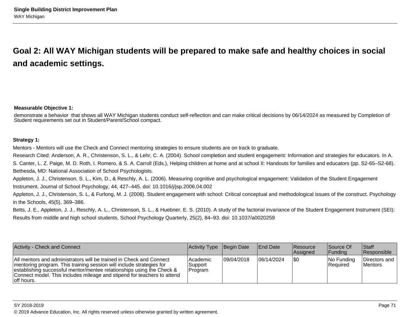# **Goal 2: All WAY Michigan students will be prepared to make safe and healthy choices in socialand academic settings.**

#### **Measurable Objective 1:**

demonstrate a behavior that shows all WAY Michigan students conduct self-reflection and can make critical decisions by 06/14/2024 as measured by Completion ofStudent requirements set out in Student/Parent/School compact.

#### **Strategy 1:**

Mentors - Mentors will use the Check and Connect mentoring strategies to ensure students are on track to graduate.

Research Cited: Anderson, A. R., Christenson, S. L., & Lehr, C. A. (2004). School completion and student engagement: Information and strategies for educators. In A.

S. Canter, L. Z. Paige, M. D. Roth, I. Romero, & S. A. Carroll (Eds.), Helping children at home and at school II: Handouts for families and educators (pp. S2-65–S2-68).Bethesda, MD: National Association of School Psychologists.

Appleton, J. J., Christenson, S. L., Kim, D., & Reschly, A. L. (2006). Measuring cognitive and psychological engagement: Validation of the Student EngagementInstrument. Journal of School Psychology, 44, 427–445. doi: 10.1016/j/jsp.2006.04.002

Appleton, J. J., Christenson, S. L, & Furlong, M. J. (2008). Student engagement with school: Critical conceptual and methodological issues of the construct. Psychologyin the Schools, 45(5), 369–386.

Betts, J. E., Appleton, J. J., Reschly, A. L., Christenson, S. L., & Huebner, E. S. (2010). A study of the factorial invariance of the Student Engagement Instrument (SEI): Results from middle and high school students. School Psychology Quarterly, 25(2), 84–93. doi: 10.1037/a0020259

| Activity - Check and Connect                                                                                                                                                                                                                                                                                   | Activity Type                  | Begin Date  | <b>IEnd Date</b> | <b>IResource</b><br><b>Assigned</b> | Source Of<br><b>Funding</b> | <b>Staff</b><br><b>Responsible</b> |
|----------------------------------------------------------------------------------------------------------------------------------------------------------------------------------------------------------------------------------------------------------------------------------------------------------------|--------------------------------|-------------|------------------|-------------------------------------|-----------------------------|------------------------------------|
| All mentors and administrators will be trained in Check and Connect<br>mentoring program. This training session will include strategies for<br>establishing successful mentor/mentee relationships using the Check &<br>Connect model. This includes mileage and stipend for teachers to attend<br>loff hours. | Academic<br>Support<br>Program | 109/04/2018 | 06/14/2024       | \$0                                 | No Funding<br>Required      | Directors and<br><b>Mentors</b>    |

#### SY 2018-2019

© 2019 Advance Education, Inc. All rights reserved unless otherwise granted by written agreement.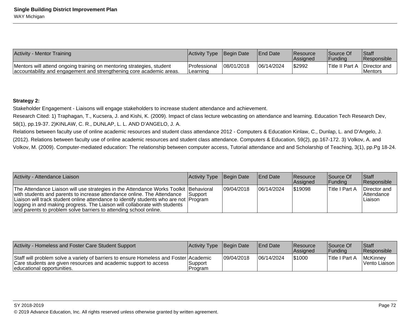| Activity - Mentor Training                                                                                                                    | Activity Type Begin Date          |            | <b>IEnd Date</b> | <b>Resource</b><br><b>Assigned</b> | Source Of<br><u> 'Fundina</u>       | <b>Staff</b><br><b>Responsible</b> |
|-----------------------------------------------------------------------------------------------------------------------------------------------|-----------------------------------|------------|------------------|------------------------------------|-------------------------------------|------------------------------------|
| Mentors will attend ongoing training on mentoring strategies, student<br>accountability and engagement and strengthening core academic areas. | <b>Professional</b><br>I Learning | 08/01/2018 | 06/14/2024       | \$2992                             | <b>Title II Part A Director and</b> | <b>Mentors</b>                     |

### **Strategy 2:**

Stakeholder Engagement - Liaisons will engage stakeholders to increase student attendance and achievement.

Research Cited: 1) Traphagan, T., Kucsera, J. and Kishi, K. (2009). Impact of class lecture webcasting on attendance and learning. Education Tech Research Dev,58(1), pp.19-37. 2)KINLAW, C. R., DUNLAP, L. L. AND D'ANGELO, J. A.

Relations between faculty use of online academic resources and student class attendance 2012 - Computers & Education Kinlaw, C., Dunlap, L. and D'Angelo, J.(2012). Relations between faculty use of online academic resources and student class attendance. Computers & Education, 59(2), pp.167-172. 3) Volkov, A. andVolkov, M. (2009). Computer-mediated education: The relationship between computer access, Tutorial attendance and and Scholarship of Teaching, 3(1), pp.Pg 18-24.

| Activity - Attendance Liaison                                                                                                                                                                                                                                                                                                                                                                                | Activity Type Begin Date |             | End Date   | Resource<br>Assigned | Source Of<br><b>Funding</b> | <b>Staff</b><br>Responsible                  |
|--------------------------------------------------------------------------------------------------------------------------------------------------------------------------------------------------------------------------------------------------------------------------------------------------------------------------------------------------------------------------------------------------------------|--------------------------|-------------|------------|----------------------|-----------------------------|----------------------------------------------|
| The Attendance Liaison will use strategies in the Attendance Works Toolkit Behavioral<br>with students and parents to increase attendance online. The Attendance<br>Liaison will track student online attendance to identify students who are not Program<br>logging in and making progress. The Liaison will collaborate with students<br>and parents to problem solve barriers to attending school online. | <b>Support</b>           | 109/04/2018 | 06/14/2024 | 519098               | Title I Part A              | Director and<br><b>Attendance</b><br>Liaison |

| Activity - Homeless and Foster Care Student Support                                                                                                                                     | Activity Type Begin Date |            | <b>IEnd Date</b> | <b>Resource</b><br><b>Assigned</b> | <b>Source Of</b><br><b>Funding</b> | <b>Staff</b><br><b>Responsible</b> |
|-----------------------------------------------------------------------------------------------------------------------------------------------------------------------------------------|--------------------------|------------|------------------|------------------------------------|------------------------------------|------------------------------------|
| Staff will problem solve a variety of barriers to ensure Homeless and Foster Academic<br>Care students are given resources and academic support to access<br>educational opportunities. | Support<br>Program       | 09/04/2018 | 06/14/2024       | 1\$1000                            | <b>Title I Part A</b>              | McKinney<br>Vento Liaison          |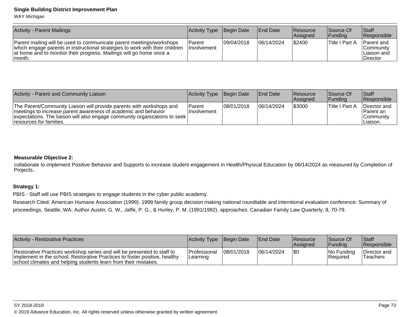WAY Michigan

| <b>Activity - Parent Mailings</b>                                                                                                                                                                                                      | Activity Type                  | Begin Date  | <b>End Date</b> | <b>Resource</b><br><b>Assigned</b> | Source Of<br><b>IFundina</b> | Staff<br>Responsible                                        |
|----------------------------------------------------------------------------------------------------------------------------------------------------------------------------------------------------------------------------------------|--------------------------------|-------------|-----------------|------------------------------------|------------------------------|-------------------------------------------------------------|
| Parent mailing will be used to communicate parent meetings/workshops<br>which engage parents in instructional strategies to work with their children<br>at home and to monitor their progress. Mailings will go home once a<br>Imonth. | l Parent<br><b>Involvement</b> | 109/04/2018 | 06/14/2024      | \$2400                             | <b>Title I Part A</b>        | <b>Parent</b> and<br>lCommunitv<br>⊺Liaison and<br>Director |

| Activity - Parent and Community Liaison                                                                                                                                                                                                         | Activity Type Begin Date     |            | <b>IEnd Date</b> | <b>Resource</b><br><b>Assigned</b> | Source Of<br><b>Funding</b> | <b>Staff</b><br><b>Responsible</b>                          |
|-------------------------------------------------------------------------------------------------------------------------------------------------------------------------------------------------------------------------------------------------|------------------------------|------------|------------------|------------------------------------|-----------------------------|-------------------------------------------------------------|
| The Parent/Community Liaison will provide parents with workshops and<br>meetings to increase parent awareness of academic and behavior<br>expectations. The liaison will also engage community organizations to seek<br>resources for families. | Parent<br><b>Involvement</b> | 08/01/2018 | 106/14/2024      | \$3000                             | <sup>1</sup> Title I Part A | Director and<br><b>Parent</b> an<br> Community <br>Liaison. |

## **Measurable Objective 2:**

 collaborate to implement Positive Behavior and Supports to increase student engagement in Health/Physical Education by 06/14/2024 as measured by Completion ofProjects..

## **Strategy 1:**

PBIS - Staff will use PBIS strategies to engage students in the cyber public academy.

Research Cited: American Humane Association (1999). 1999 family group decision making national roundtable and interntional evaluation conference: Summary ofproceedings. Seattle, WA: Author.Austin, G. W., Jaffe, P. G., & Hurley, P. M. (1991/1992). approaches. Canadian Family Law Quarterly, 8, 70-79.

| Activity - Restorative Practices                                                                                                                                                                                         | Activity Type Begin Date                 |            | <b>IEnd Date</b> | <b>Resource</b><br><b>Assigned</b> | Source Of<br>IFundina          | Staff<br><b>Responsible</b> |
|--------------------------------------------------------------------------------------------------------------------------------------------------------------------------------------------------------------------------|------------------------------------------|------------|------------------|------------------------------------|--------------------------------|-----------------------------|
| Restorative Practices workshop series and will be presented to staff to<br>implement in the school. Restorative Practices to foster positive, healthy<br>school climates and helping students learn from their mistakes. | <b>IProfessional</b><br><b>ILearning</b> | 08/01/2018 | 106/14/2024      | I\$0                               | INo Fundina<br><b>Required</b> | Director and<br>Teachers    |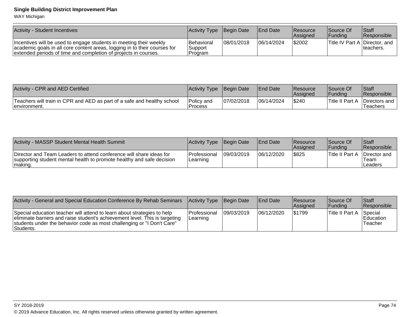WAY Michigan

| <b>Activity - Student Incentives</b>                                                                                                                                                                               | Activity Type Begin Date                  |             | <b>IEnd Date</b> | <b>Resource</b><br>Assigned | Source Of<br>Funding          | Staff<br>Responsible |
|--------------------------------------------------------------------------------------------------------------------------------------------------------------------------------------------------------------------|-------------------------------------------|-------------|------------------|-----------------------------|-------------------------------|----------------------|
| Incentives will be used to engage students in meeting their weekly<br>academic goals in all core content areas, logging in to their courses for<br>extended periods of time and completion of projects in courses. | <b>Behavioral</b><br> Support<br> Program | 108/01/2018 | 106/14/2024      | \$2002                      | Title IV Part A Director, and | Iteachers.           |

| Activity - CPR and AED Certified                                                         | Activity Type                 | <b>Begin Date</b> | <b>IEnd Date</b> | <b>Resource</b><br><b>Assigned</b> | Source Of<br>IFundina | Staff<br><b>Responsible</b> |
|------------------------------------------------------------------------------------------|-------------------------------|-------------------|------------------|------------------------------------|-----------------------|-----------------------------|
| Teachers will train in CPR and AED as part of a safe and healthy school<br>Tenvironment. | lPolicv and<br><b>Process</b> | 07/02/2018        | 06/14/2024       | \$240                              | 'Title II Part A      | Directors and<br>Teachers   |

| Activity - MASSP Student Mental Health Summit                                                                                                            | Activity Type Begin Date          |            | <b>End Date</b> | <b>Resource</b><br><b>Assigned</b> | Source Of<br> Fundina | <b>S</b> taff<br><b>Responsible</b> |
|----------------------------------------------------------------------------------------------------------------------------------------------------------|-----------------------------------|------------|-----------------|------------------------------------|-----------------------|-------------------------------------|
| Director and Team Leaders to attend conference will share ideas for<br>supporting student mental health to promote healthy and safe decision<br> making. | <b>IProfessional</b><br> Learning | 09/03/2019 | 06/12/2020      | <b>S825</b>                        | Title II Part A       | Director and<br>Team<br>Leaders     |

| Activity - General and Special Education Conference By Rehab Seminars                                                                                                                                                                         | Activity Type Begin Date          |            | <b>End Date</b> | <b>Resource</b><br><b>Assigned</b> | Source Of<br>IFundina | <b>Staff</b><br><b>IResponsible</b>    |
|-----------------------------------------------------------------------------------------------------------------------------------------------------------------------------------------------------------------------------------------------|-----------------------------------|------------|-----------------|------------------------------------|-----------------------|----------------------------------------|
| Special education teacher will attend to learn about strategies to help<br>eliminate barriers and raise student's achievement level. This is targeting<br>students under the behavior code as most challenging or "I Don't Care"<br>Students. | <b>IProfessional</b><br> Learning | 09/03/2019 | 06/12/2020      | \$1799                             | Title II Part A       | Special<br><b>Education</b><br>Teacher |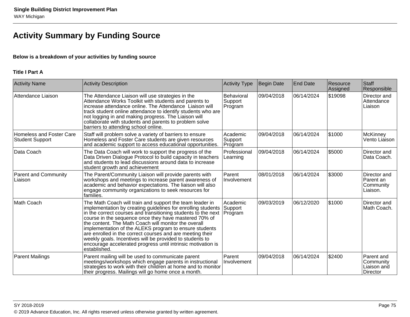# **Activity Summary by Funding Source**

## **Below is a breakdown of your activities by funding source**

## **Title I Part A**

| <b>Activity Name</b>                                      | <b>Activity Description</b>                                                                                                                                                                                                                                                                                                                                                                                                                                                                                                                                                   | <b>Activity Type</b>             | <b>Begin Date</b> | <b>End Date</b> | Resource<br>Assigned | Staff<br>Responsible                                      |
|-----------------------------------------------------------|-------------------------------------------------------------------------------------------------------------------------------------------------------------------------------------------------------------------------------------------------------------------------------------------------------------------------------------------------------------------------------------------------------------------------------------------------------------------------------------------------------------------------------------------------------------------------------|----------------------------------|-------------------|-----------------|----------------------|-----------------------------------------------------------|
| Attendance Liaison                                        | The Attendance Liaison will use strategies in the<br>Attendance Works Toolkit with students and parents to<br>increase attendance online. The Attendance Liaison will<br>track student online attendance to identify students who are<br>not logging in and making progress. The Liaison will<br>collaborate with students and parents to problem solve<br>barriers to attending school online.                                                                                                                                                                               | Behavioral<br>Support<br>Program | 09/04/2018        | 06/14/2024      | \$19098              | Director and<br>Attendance<br>Liaison                     |
| <b>Homeless and Foster Care</b><br><b>Student Support</b> | Staff will problem solve a variety of barriers to ensure<br>Homeless and Foster Care students are given resources<br>and academic support to access educational opportunities.                                                                                                                                                                                                                                                                                                                                                                                                | Academic<br>Support<br>Program   | 09/04/2018        | 06/14/2024      | \$1000               | McKinney<br>Vento Liaison                                 |
| Data Coach                                                | The Data Coach will work to support the progress of the<br>Data Driven Dialogue Protocol to build capacity in teachers<br>and students to lead discussions around data to increase<br>student growth and achievement                                                                                                                                                                                                                                                                                                                                                          | Professional<br>Learning         | 09/04/2018        | 06/14/2024      | \$5000               | Director and<br>Data Coach.                               |
| <b>Parent and Community</b><br>Liaison                    | The Parent/Community Liaison will provide parents with<br>workshops and meetings to increase parent awareness of<br>academic and behavior expectations. The liaison will also<br>engage community organizations to seek resources for<br>families.                                                                                                                                                                                                                                                                                                                            | Parent<br>Involvement            | 08/01/2018        | 06/14/2024      | \$3000               | Director and<br>Parent an<br>Community<br>Liaison.        |
| Math Coach                                                | The Math Coach will train and support the team leader in<br>implementation by creating guidelines for enrolling students<br>in the correct courses and transitioning students to the next<br>course in the sequence once they have mastered 70% of<br>the content. The Math Coach will monitor the overall<br>implementation of the ALEKS program to ensure students<br>are enrolled in the correct courses and are meeting their<br>weekly goals. Incentives will be provided to students to<br>encourage accelerated progress until intrinsic motivation is<br>established. | Academic<br>Support<br>Program   | 09/03/2019        | 06/12/2020      | \$1000               | Director and<br>Math Coach.                               |
| <b>Parent Mailings</b>                                    | Parent mailing will be used to communicate parent<br>meetings/workshops which engage parents in instructional<br>strategies to work with their children at home and to monitor<br>their progress. Mailings will go home once a month.                                                                                                                                                                                                                                                                                                                                         | Parent<br>Involvement            | 09/04/2018        | 06/14/2024      | \$2400               | Parent and<br>Community<br>Liaison and<br><b>Director</b> |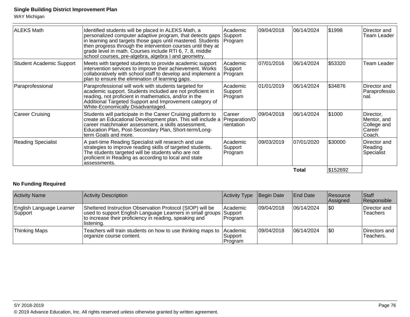WAY Michigan

| <b>ALEKS Math</b>               | Identified students will be placed in ALEKS Math, a<br>personalized computer adaptive program, that detects gaps<br>in learning and targets those gaps until mastered. Students<br>then progress through the intervention courses until they at<br>grade level in math. Courses include RTI 6, 7, 8, middle<br>school courses, pre-algebra, algebra I and geometry. | Academic<br>Support<br>Program       | 09/04/2018 | 06/14/2024 | \$1998   | Director and<br>Team Leader                                 |
|---------------------------------|---------------------------------------------------------------------------------------------------------------------------------------------------------------------------------------------------------------------------------------------------------------------------------------------------------------------------------------------------------------------|--------------------------------------|------------|------------|----------|-------------------------------------------------------------|
| <b>Student Academic Support</b> | Meets with targeted students to provide academic support<br>intervention services to improve their achievement. Works<br>collaboratively with school staff to develop and implement a Program<br>plan to ensure the elimination of learning gaps.                                                                                                                   | Academic<br>Support                  | 07/01/2016 | 06/14/2024 | \$53320  | Team Leader                                                 |
| Paraprofessional                | Paraprofessional will work with students targeted for<br>academic support. Students included are not proficient in<br>reading, not proficient in mathematics, and/or in the<br>Additional Targeted Support and Improvement category of<br>White-Economically Disadvantaged.                                                                                         | Academic<br>Support<br> Program      | 01/01/2019 | 06/14/2024 | \$34876  | Director and<br>Paraprofessio<br>Inal.                      |
| <b>Career Cruising</b>          | Students will participate in the Career Cruising platform to<br>create an Educational Development plan. This will include a Preparation/O<br>career matchmaker assessment, a skills assessment,<br>Education Plan, Post-Secondary Plan, Short-term/Long-<br>term Goals and more.                                                                                    | <b>Career</b><br><i>I</i> rientation | 09/04/2018 | 06/14/2024 | \$1000   | Director,<br>Mentor, and<br>College and<br>Career<br>Coach. |
| <b>Reading Specialist</b>       | A part-time Reading Specialist will research and use<br>strategies to improve reading skills of targeted students.<br>The students targeted will be students who are not<br>proficient in Reading as according to local and state<br>assessments.                                                                                                                   | Academic<br>Support<br> Program      | 09/03/2019 | 07/01/2020 | \$30000  | Director and<br>Reading<br>Specialist                       |
|                                 |                                                                                                                                                                                                                                                                                                                                                                     |                                      |            | Total      | \$152692 |                                                             |

## **No Funding Required**

| <b>Activity Name</b>                 | Activity Description                                                                                                                                                                                   | Activity Type                   | Begin Date | <b>End Date</b> | <b>Resource</b><br>Assigned | <b>Staff</b><br>Responsible |
|--------------------------------------|--------------------------------------------------------------------------------------------------------------------------------------------------------------------------------------------------------|---------------------------------|------------|-----------------|-----------------------------|-----------------------------|
| English Language Learner<br> Support | Sheltered Instruction Observation Protocol (SIOP) will be<br>used to support English Language Learners in small groups Support<br>to increase their proficiency in reading, speaking and<br>listening. | <b>Academic</b><br> Program     | 09/04/2018 | 06/14/2024      | \$0                         | Director and<br>Teachers    |
| <b>Thinking Maps</b>                 | Teachers will train students on how to use thinking maps to<br> organize course content.                                                                                                               | Academic<br>Support<br> Program | 09/04/2018 | 06/14/2024      | \$0                         | Directors and<br>Teachers.  |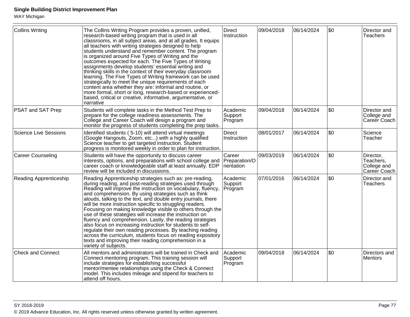WAY Michigan

| Collins Writing               | The Collins Writing Program provides a proven, unified,<br>research-based writing program that is used in all<br>classrooms, in all subject areas, and at all grades. It equips<br>all teachers with writing strategies designed to help<br>students understand and remember content. The program<br>is organized around Five Types of Writing and the<br>outcomes expected for each. The Five Types of Writing<br>assignments develop students' essential writing and<br>thinking skills in the context of their everyday classroom<br>learning. The Five Types of Writing framework can be used<br>strategically to meet the unique requirements of each<br>content area whether they are: informal and routine, or<br>more formal, short or long, research-based or experienced-<br>based, critical or creative, informative, argumentative, or<br>narrative | <b>Direct</b><br>Instruction          | 09/04/2018 | 06/14/2024 | \$0  | Director and<br><b>Teachers</b>                       |
|-------------------------------|-----------------------------------------------------------------------------------------------------------------------------------------------------------------------------------------------------------------------------------------------------------------------------------------------------------------------------------------------------------------------------------------------------------------------------------------------------------------------------------------------------------------------------------------------------------------------------------------------------------------------------------------------------------------------------------------------------------------------------------------------------------------------------------------------------------------------------------------------------------------|---------------------------------------|------------|------------|------|-------------------------------------------------------|
| <b>PSAT and SAT Prep</b>      | Students will complete tasks in the Method Test Prep to<br>prepare for the college readiness assessments. The<br>College and Career Coach will design a program and<br>monitor the progress of students completing the prep tasks.                                                                                                                                                                                                                                                                                                                                                                                                                                                                                                                                                                                                                              | Academic<br>Support<br>Program        | 09/04/2018 | 06/14/2024 | \$0  | Director and<br>College and<br>Career Coach           |
| <b>Science Live Sessions</b>  | Identified students (5-10) will attend virtual meetings<br>(Google Hangouts, Zoom, etc) with a highly qualified<br>Science teacher to get targeted instruction. Student<br>progress is monitored weekly in order to plan for instruction.                                                                                                                                                                                                                                                                                                                                                                                                                                                                                                                                                                                                                       | Direct<br>Instruction                 | 08/01/2017 | 06/14/2024 | \$0  | Science<br>Teacher                                    |
| <b>Career Counseling</b>      | Students will have the opportunity to discuss career<br>interests, options, and preparations with school college and<br>career coach or knowledgeable staff at least annually. EDP<br>review will be included in discussions.                                                                                                                                                                                                                                                                                                                                                                                                                                                                                                                                                                                                                                   | Career<br>Preparation/O<br>rientation | 09/03/2019 | 06/14/2024 | l\$0 | Director,<br>Teachers,<br>College and<br>Career Coach |
| <b>Reading Apprenticeship</b> | Reading Apprenticeship strategies such as: pre-reading,<br>during reading, and post-reading strategies used through<br>Reading will improve the instruction on vocabulary, fluency,<br>and comprehension. By using strategies such as think<br>alouds, talking to the text, and double entry journals, there<br>will be more instruction specific to struggling readers.<br>Focusing on making knowledge visible to others through the<br>use of these strategies will increase the instruction on<br>fluency and comprehension. Lastly, the reading strategies<br>also focus on increasing instruction for students to self-<br>regulate their own reading processes. By teaching reading<br>across the curriculum, students focus on reading expository<br>texts and improving their reading comprehension in a<br>variety of subjects.                       | Academic<br>Support<br>Program        | 07/01/2016 | 06/14/2024 | \$0  | Director and<br><b>Teachers</b>                       |
| <b>Check and Connect</b>      | All mentors and administrators will be trained in Check and<br>Connect mentoring program. This training session will<br>include strategies for establishing successful<br>mentor/mentee relationships using the Check & Connect<br>model. This includes mileage and stipend for teachers to<br>attend off hours.                                                                                                                                                                                                                                                                                                                                                                                                                                                                                                                                                | Academic<br>Support<br>Program        | 09/04/2018 | 06/14/2024 | \$0  | Directors and<br>Mentors                              |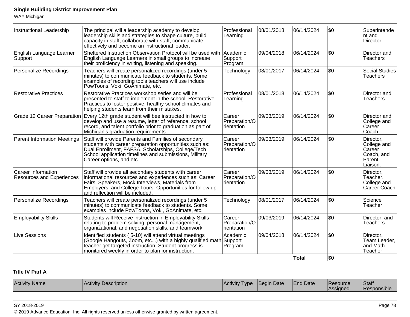WAY Michigan

| Instructional Leadership                               | The principal will a leadership academy to develop<br>leadership skills and strategies to shape culture, build<br>capacity in staff, collaborate with staff, communicate<br>effectively and become an instructional leader.                                           | Professional<br>Learning               | 08/01/2018 | 06/14/2024   | \$0       | Superintende<br>$ $ nt and<br>Director                                        |
|--------------------------------------------------------|-----------------------------------------------------------------------------------------------------------------------------------------------------------------------------------------------------------------------------------------------------------------------|----------------------------------------|------------|--------------|-----------|-------------------------------------------------------------------------------|
| English Language Learner<br>Support                    | Sheltered Instruction Observation Protocol will be used with<br>English Language Learners in small groups to increase<br>their proficiency in writing, listening and speaking.                                                                                        | Academic<br>Support<br>Program         | 09/04/2018 | 06/14/2024   | \$0       | Director and<br>Teachers                                                      |
| Personalize Recordings                                 | Teachers will create personalized recordings (under 5<br>minutes) to communicate feedback to students. Some<br>examples of recording tools teachers will use include<br>PowToons, Voki, GoAnimate, etc.                                                               | Technology                             | 08/01/2017 | 06/14/2024   | \$0       | Social Studies<br><b>Teachers</b>                                             |
| <b>Restorative Practices</b>                           | Restorative Practices workshop series and will be<br>presented to staff to implement in the school. Restorative<br>Practices to foster positive, healthy school climates and<br>helping students learn from their mistakes.                                           | Professional<br>Learning               | 08/01/2018 | 06/14/2024   | \$0       | Director and<br><b>Teachers</b>                                               |
|                                                        | Grade 12 Career Preparation Every 12th grade student will bee instructed in how to<br>develop and use a resume, letter of reference, school<br>record, and talent portfolio prior to graduation as part of<br>Michigan's graduation requirements.                     | Career<br>Preparation/O<br>rientation  | 09/03/2019 | 06/14/2024   | \$0       | Director and<br>College and<br>∣Careĕr<br>Coach.                              |
| <b>Parent Information Meetings</b>                     | Staff will provide Parents and Families of secondary<br>students with career preparation opportunities such as:<br>Dual Enrollment, FAFSA, Scholarships, College/Tech<br>School application timelines and submissions, Military<br>Career options, and etc.           | Career<br>Preparation/O<br>rientation  | 09/03/2019 | 06/14/2024   | \$0       | Director,<br>College and<br><b>Career</b><br>Coach, and<br>Parent<br>Liaison. |
| Career Information<br><b>Resources and Experiences</b> | Staff will provide all secondary students with career<br>informational resources and experiences such as: Career<br>Fairs, Speakers, Mock Interviews, Materials from<br>Employers, and College Tours. Opportunities for follow up<br>and reflection will be included. | Career<br>Preparation/O<br>Irientation | 09/03/2019 | 06/14/2024   | \$0       | Director,<br>Teacher,<br>College and<br>Career Coach                          |
| Personalize Recordings                                 | Teachers will create personalized recordings (under 5<br>minutes) to communicate feedback to students. Some<br>examples include PowToons, Voki, GoAnimate, etc.                                                                                                       | Technology                             | 08/01/2017 | 06/14/2024   | \$0       | Science<br>Teacher                                                            |
| <b>Employability Skills</b>                            | Students will Receive instruction in Employability Skills<br>relating to problem solving, personal management,<br>organizational, and negotiation skills, and teamwork.                                                                                               | Career<br>Preparation/O<br>rientation  | 09/03/2019 | 06/14/2024   | \$0       | Director, and<br><b>Teachers</b>                                              |
| Live Sessions                                          | Identified students (5-10) will attend virtual meetings<br>(Google Hangouts, Zoom, etc) with a highly qualified math Support<br>teacher get targeted instruction. Student progress is<br>monitored weekly in order to plan for instruction.                           | Academic<br>Program                    | 09/04/2018 | 06/14/2024   | \$0       | Director,<br>Team Leader,<br>land Math<br>Teacher                             |
|                                                        |                                                                                                                                                                                                                                                                       |                                        |            | <b>Total</b> | <b>SO</b> |                                                                               |

## **Title IV Part A**

| Activit<br>∵iname | $\Delta \sim$<br><b>Pescription</b> | .<br>Activity<br>VD <sub>6</sub><br>. . | Date<br>seain | $\overline{\phantom{a}}$<br>Date | esource<br>75 D.C<br><i><b>ssigner</b></i> | Staff<br>R<br>юше |
|-------------------|-------------------------------------|-----------------------------------------|---------------|----------------------------------|--------------------------------------------|-------------------|
|                   |                                     |                                         |               |                                  |                                            |                   |

SY 2018-2019

© 2019 Advance Education, Inc. All rights reserved unless otherwise granted by written agreement.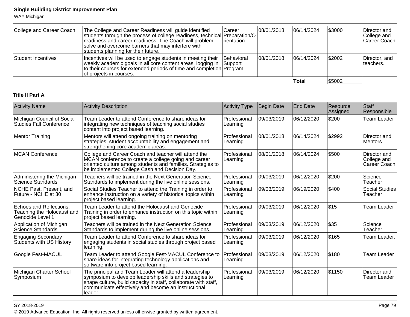WAY Michigan

| College and Career Coach | The College and Career Readiness will guide identified<br>students through the process of college readiness, technical Preparation/O<br>readiness and career readiness. The Coach will problem-<br>solve and overcome barriers that may interfere with<br>students planning for their future. | <b>Career</b><br><i>I</i> rientation | 108/01/2018 | 06/14/2024  | 1\$3000 | Director and<br>College and<br> Career Coach |
|--------------------------|-----------------------------------------------------------------------------------------------------------------------------------------------------------------------------------------------------------------------------------------------------------------------------------------------|--------------------------------------|-------------|-------------|---------|----------------------------------------------|
| Student Incentives       | Incentives will be used to engage students in meeting their<br>weekly academic goals in all core content areas, logging in Support<br>to their courses for extended periods of time and completion Program<br>lof proiects in courses.                                                        | <b>Behavioral</b>                    | 08/01/2018  | 106/14/2024 | \$2002  | Director, and<br>Iteachers.                  |
|                          |                                                                                                                                                                                                                                                                                               |                                      |             | Total       | \$5002  |                                              |

## **Title II Part A**

| <b>Activity Name</b>                                                      | <b>Activity Description</b>                                                                                                                                                                                                                             | <b>Activity Type</b>     | <b>Begin Date</b> | <b>End Date</b> | Resource<br>Assigned | Staff<br>Responsible                        |
|---------------------------------------------------------------------------|---------------------------------------------------------------------------------------------------------------------------------------------------------------------------------------------------------------------------------------------------------|--------------------------|-------------------|-----------------|----------------------|---------------------------------------------|
| Michigan Council of Social<br><b>Studies Fall Conference</b>              | Team Leader to attend Conference to share ideas for<br>integrating new techniques of teaching social studies<br>content into project based learning.                                                                                                    | Professional<br>Learning | 09/03/2019        | 06/12/2020      | \$200                | <b>Team Leader</b>                          |
| <b>Mentor Training</b>                                                    | Mentors will attend ongoing training on mentoring<br>strategies, student accountability and engagement and<br>strengthening core academic areas.                                                                                                        | Professional<br>Learning | 08/01/2018        | 06/14/2024      | \$2992               | Director and<br>Mentors                     |
| <b>MCAN Conference</b>                                                    | College and Career Coach and teacher will attend the<br>MCAN conference to create a college going and career<br>oriented culture among students and families. Strategies to<br>be implemented College Cash and Decision Day.                            | Professional<br>Learning | 08/01/2018        | 06/14/2024      | \$500                | Director and<br>College and<br>Career Coach |
| Administering the Michigan<br>Science Standards                           | Teachers will be trained in the Next Generation Science<br>Standards to implement during the live online sessions.                                                                                                                                      | Professional<br>Learning | 09/03/2019        | 06/12/2020      | \$200                | Science<br>Teacher                          |
| NCHE Past, Present, and<br>Future - NCHE at 30                            | Social Studies Teacher to attend the Training in order to<br>enhance instruction on a variety of historical topics within<br>project based learning.                                                                                                    | Professional<br>Learning | 09/03/2019        | 06/19/2020      | \$400                | <b>Social Studies</b><br>Teacher            |
| Echoes and Reflections:<br>Teaching the Holocaust and<br>Genocide Level 1 | Team Leader to attend the Holocaust and Genocide<br>Training in order to enhance instruction on this topic within<br>project based learning.                                                                                                            | Professional<br>Learning | 09/03/2019        | 06/12/2020      | \$15                 | Team Leader                                 |
| Application of Michigan<br>Science Standards                              | Teachers will be trained in the Next Generation Science<br>Standards to implement during the live online sessions.                                                                                                                                      | Professional<br>Learning | 09/03/2019        | 06/12/2020      | \$35                 | Science<br>Teacher                          |
| <b>Engaging Secondary</b><br>Students with US History                     | Team Leader to attend Conference to share ideas for<br>engaging students in social studies through project based<br>learning.                                                                                                                           | Professional<br>Learning | 09/03/2019        | 06/12/2020      | \$165                | Team Leader.                                |
| Google Fest-MACUL                                                         | Team Leader to attend Google Fest-MACUL Conference to<br>share ideas for integrating technology applications and<br>software into project based learning.                                                                                               | Professional<br>Learning | 09/03/2019        | 06/12/2020      | \$180                | Team Leader                                 |
| Michigan Charter School<br>Symposium                                      | The principal and Team Leader will attend a leadership<br>symposium to develop leadership skills and strategies to<br>shape culture, build capacity in staff, collaborate with staff,<br>communicate effectively and become an instructional<br>leader. | Professional<br>Learning | 09/03/2019        | 06/12/2020      | \$1150               | Director and<br><b>Team Leader</b>          |

en and the set of the set of the set of the set of the set of the set of the set of the set of the set of the  $P$ age  $79$ © 2019 Advance Education, Inc. All rights reserved unless otherwise granted by written agreement.